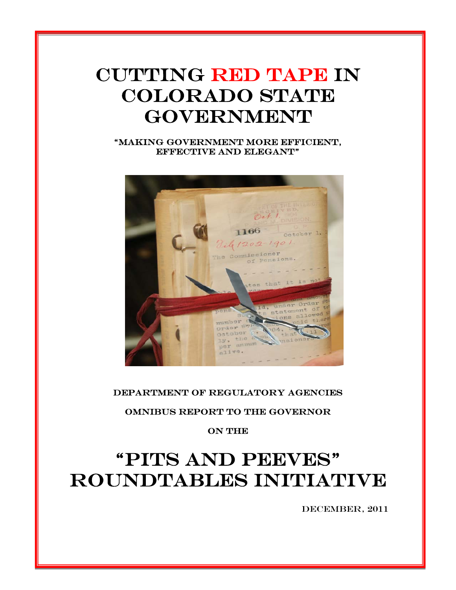# "PITS AND PEEVES" ROUNDTABLES INITIATIVE

**ON THE** 

### Omnibus Report to the Governor

#### Department of Regulatory Agencies



"Making government more efficient, effective and elegant"

## CUTTING RED TAPE IN COLORADO STATE **GOVERNMENT**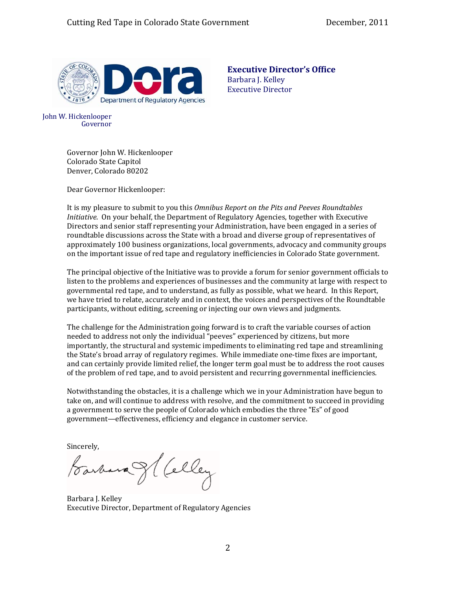

**Executive Director's Office** Barbara J. Kelley Executive Director

John W. Hickenlooper Governor

> Governor John W. Hicken looper Colorado State Capitol Denver, Colorado 80202

Dear Governor Hickenlooper:

It is my pleasure to submit to you this *Omnibus Report on the Pits and Peeves Roundtables Initiative*. On your behalf, the Department of Regulatory Agencies, together with Executive Directors and senior staff representing your Administration, have been engaged in a series of roundtable discussions across the State with a broad and diverse group of representatives of approximately 100 business organizations, local governments, advocacy and community groups on the important issue of red tape and regulatory inefficiencies in Colorado State government.

The principal objective of the Initiative was to provide a forum for senior government officials to listen to the problems and experiences of businesses and the community at large with respect to governmental red tape, and to understand, as fully as possible, what we heard. In this Report, we have tried to relate, accurately and in context, the voices and perspectives of the Roundtable participants, without editing, screening or injecting our own views and judgments.

The challenge for the Administration going forward is to craft the variable courses of action needed to address not only the individual "peeves" experienced by citizens, but more importantly, the structural and systemic impediments to eliminating red tape and streamlining the State's broad array of regulatory regimes. While immediate one‐time fixes are important, and can certainly provide limited relief, the longer term goal must be to address the root causes of the problem of red tape, and to avoid persistent and recurring governmental inefficiencies.

Notwithstanding the obstacles, it is a challenge which we in your Administration have begun to take on, and will continue to address with resolve, and the commitment to succeed in providing a government to serve the people of Colorado which embodies the three "Es" of good government—effectiveness, efficiency and elegance in customer service.

Sincerely,<br>Farbara & (celley

Barbara J. Kelley Executive Director, Department of Regulatory Agencies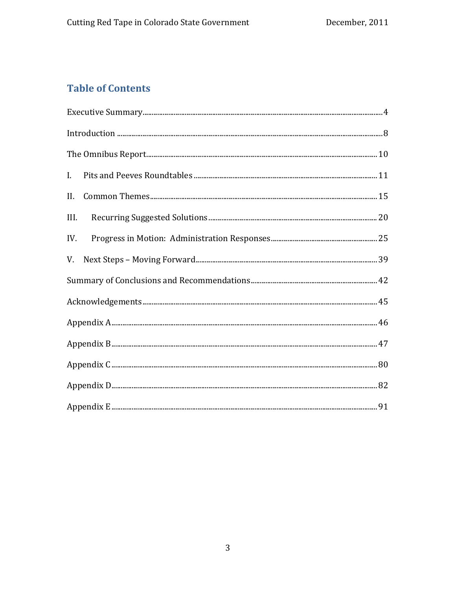## **Table of Contents**

| ${\bf Executive\; Summary.} \label{prop:ex:2} \vspace{-0.05cm} {\bf Exercise 4}$ |  |
|----------------------------------------------------------------------------------|--|
|                                                                                  |  |
|                                                                                  |  |
| L.                                                                               |  |
| II.                                                                              |  |
| III.                                                                             |  |
| IV.                                                                              |  |
| V.                                                                               |  |
|                                                                                  |  |
|                                                                                  |  |
|                                                                                  |  |
|                                                                                  |  |
|                                                                                  |  |
|                                                                                  |  |
|                                                                                  |  |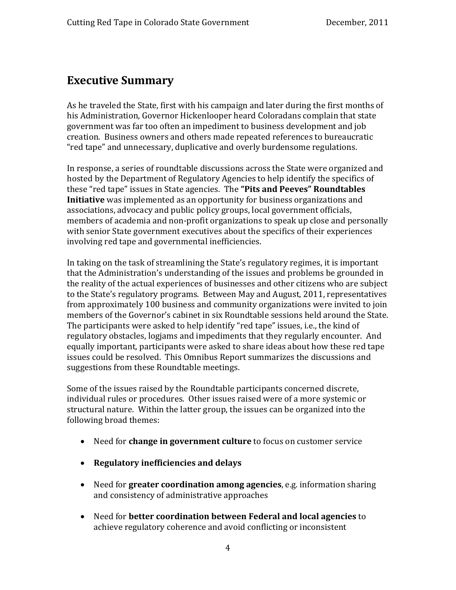## <span id="page-3-0"></span>**Executive Summary**

As he traveled the State, first with his campaign and later during the first months of his Administration, Governor Hickenlooper heard Coloradans complain that state government was far too often an impediment to business development and job creation. Business owners and others made repeated references to bureaucratic "red tape" and unnecessary, duplicative and overly burdensome regulations.

In response, a series of roundtable discussions across the State were organized and hosted by the Department of Regulatory Agencies to help identify the specifics of these "red tape" issues in State agencies. The **"Pits and Peeves" Roundtables Initiative** was implemented as an opportunity for business organizations and associations, advocacy and public policy groups, local government officials, members of academia and non‐profit organizations to speak up close and personally with senior State government executives about the specifics of their experiences involving red tape and governmental inefficiencies.

In taking on the task of streamlining the State's regulatory regimes, it is important that the Administration's understanding of the issues and problems be grounded in the reality of the actual experiences of businesses and other citizens who are subject to the State's regulatory programs. Between May and August, 2011, representatives from approximately 100 business and community organizations were invited to join members of the Governor's cabinet in six Roundtable sessions held around the State. The participants were asked to help identify "red tape" issues, i.e., the kind of regulatory obstacles, logjams and impediments that they regularly encounter. And equally important, participants were asked to share ideas about how these red tape issues could be resolved. This Omnibus Report summarizes the discussions and suggestions from these Roundtable meetings.

Some of the issues raised by the Roundtable participants concerned discrete, individual rules or procedures. Other issues raised were of a more systemic or structural nature. Within the latter group, the issues can be organized into the following broad themes:

- Need for **change in government culture** to focus on customer service
- **Regulatory inefficiencies and delays**
- and consi stency of administrative approaches • Need for **greater coordination among agencies**, e.g. information sharing
- Need for **better coordination between Federal and local agencies** to achieve regulatory coherence and avoid conflicting or inconsistent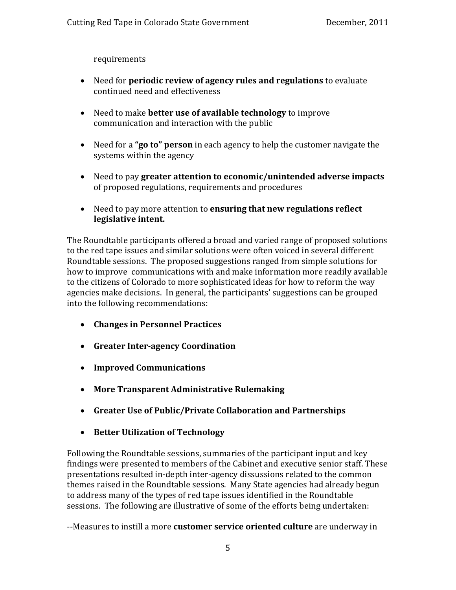requirem ents

- Need for **periodic review of agency rules and regulations** to evaluate continued need and effectiveness
- Need to make **better use of available technology** to improve communication and interaction with the public
- Need for a **"go to" person** in each agency to help the customer navigate the systems within the agency
- Need to pay **greater attention to economic/unintended adverse impacts** of proposed regulations, requirements and procedures
- Need to pay more attention to **ensuring that new regulations reflect legislative intent.**

The Roundtable participants offered a broad and varied range of proposed solutions to the red tape issues and similar solutions were often voiced in several different Roundtable sessions. The proposed suggestions ranged from simple solutions for how to improve communications with and make information more readily available to the citizens of Colorado to more sophisticated ideas for how to reform the way agencies make decisions. In general, the participants' suggestions can be grouped into the following recommendations:

- **Changes in Personnel Practices**
- **Greater Interagency Coordination**
- **Improved Communications**
- **More Transparent Administrative Rulemaking**
- **Greater Use of Public/Private Collaboration and Partnerships**
- **Better Utilization of Technology**

Following the Roundtable sessions, summaries of the participant input and key findings were presented to members of the Cabinet and executive senior staff. These presentations resulted in‐depth inter‐agency dissussions related to the common themes raised in the Roundtable sessions. Many State agencies had already begun to address many of the types of red tape issues identified in the Roundtable sessions. The following are illustrative of some of the efforts being undertaken:

‐‐Measures to instill a more **customer service oriented culture** are underway in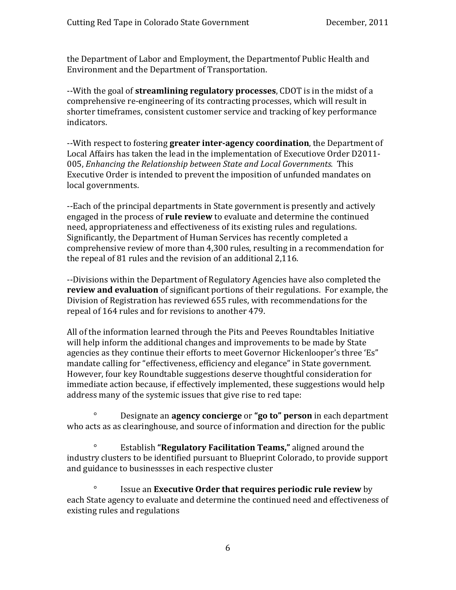the Department of Labor and Employment, the Departmentof Public Health and Environment and the Department of Transportation.

‐‐With the goal of **streamlining regulatory processes**, CDOT is in the midst of a comprehensive re‐engineering of its contracting processes, which will result in shorter timeframes, consistent customer service and tracking of key performance indicators.

‐‐With respect to fostering **greater interagency coordination**, the Department of Local Affairs has taken the lead in the implementation of Executiove Order D2011‐ 005, *Enhancing the Relationship between State and Local Governments.* This Executive Order is intended to prevent the imposition of unfunded mandates on local governments.

‐‐Each of the principal departments in State government is presently and actively engaged in the process of **rule review** to evaluate and determine the continued need, appropriateness and effectiveness of its existing rules and regulations. Significantly, the Department of Human Services has recently completed a comprehensive review of more than 4,300 rules, resulting in a recommendation for the repeal of 81 rules and the revision of an additional 2,116.

‐‐Divisions within the Department of Regulatory Agencies have also completed the **review and evaluation** of significant portions of their regulations. For example, the Division of Registration has reviewed 655 rules, with recommendations for the repeal of 164 rules and for revisions to another 479.

All of the information learned through the Pits and Peeves Roundtables Initiative will help inform the additional changes and improvements to be made by State agencies as they continue their efforts to meet Governor Hickenlooper's three 'Es" mandate calling for "effectiveness, efficiency and elegance" in State government. However, four key Roundtable suggestions deserve thoughtful consideration for immediate action because, if effectively implemented, these suggestions would help address many of the systemic issues that give rise to red tape:

Designate an **agency concierge** or **"go to" person** in each department who acts as as clearinghouse, and source of information and direction for the public  $\circ$ 

 ° Establish **"Regulatory Facilitation Teams,"** aligned around the ndustry clusters to be identified pursuant to Blueprint Colorado, to provide support i and guidance to businessses in each respective cluster

 ° Issue an **Executive Order that requires periodic rule review** by each State agency to evaluate and determine the continued need and effectiveness of existing rules and regulations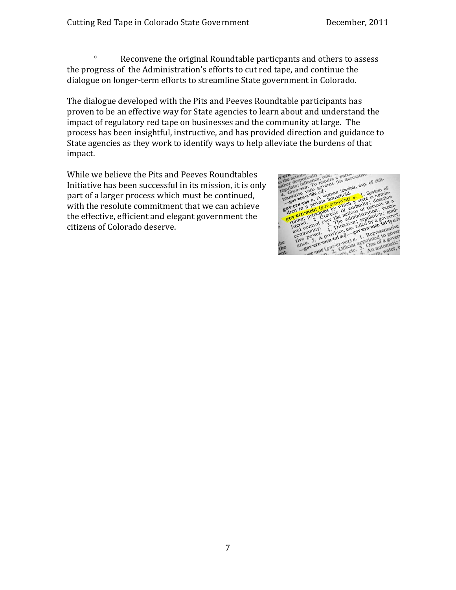° Reconvene the original Roundtable particpants and others to assess the progress of the Administration's efforts to cut red tape, and continue the dialogue on longer‐term efforts to streamline State government in Colorado.

The dialogue developed with the Pits and Peeves Roundtable participants has proven to be an effective way for State agencies to learn about and understand the impact of regulatory red tape on businesses and the community at large. The process has been insightful, instructive, and has provided direction and guidance to impact.

State agencies as they work to identify ways to help alleviate the burdens of that<br>
impact.<br>
While we believe the Pits and Peeves Roundtables<br>
Initiative has been successful in its mission, it is only<br>
part of a larger pr While we believe the Pits and Peeves Roundtables Initiative has been successful in its mission, it is only part of a larger process which must be continued, with the resolute commitment that we can achieve the effective, efficient and elegant government the citizens of Colorado deserve.

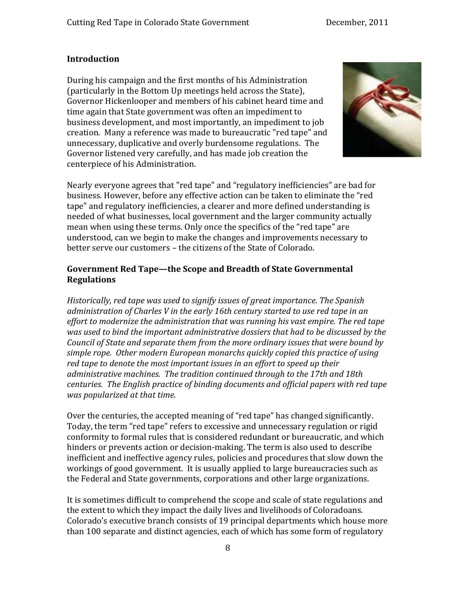#### <span id="page-7-0"></span>**Introduction**

During his campaign and the first months of his Administration (particularly in the Bottom Up meetings held across the State), Governor Hickenlooper and members of his cabinet heard time and time again that State government was often an impediment to business development, and most importantly, an impediment to job creation. Many a reference was made to bureaucratic "red tape" and unnecessary, duplicative and overly burdensome regulations. The Governor listened very carefully, and has made job creation the centerpiece of his Administration.



Nearly everyone agrees that "red tape" and "regulatory inefficiencies" are bad for business. However, before any effective action can be taken to eliminate the "red tape" and regulatory inefficiencies, a clearer and more defined understanding is needed of what businesses, local government and the larger community actually mean when using these terms. Only once the specifics of the "red tape" are understood, can we begin to make the changes and improvements necessary to better serve our customers - the citizens of the State of Colorado.

#### **G overnment Red Tape—the Scope and Breadth of State Governmental R egulations**

*Historically, red tape was used to signify issues of great importance. The Spanish administration of Charles V in the early 16th century started to use red tape in an effort to modernize the administration that was running his vast empire. The red tape was used to bind the important administrative dossiers that had to be discussed by the Council of State and separate them from the more ordinary issues that were bound by simple rope. Other modern European monarchs quickly copied this practice of using red tape to denote the most important issues in an effort to speed up their administrative machines. The tradition continued through to the 17th and 18th centuries. The English practice of binding documents and official papers with red tape was popularized at that time.* 

the Federal and State governments, corporations and other large organizations. Over the centuries, the accepted meaning of "red tape" has changed significantly. Today, the term "red tape" refers to excessive and unnecessary regulation or rigid conformity to formal rules that is considered redundant or bureaucratic, and which hinders or prevents action or decision‐making. The term is also used to describe inefficient and ineffective agency rules, policies and procedures that slow down the workings of good government. It is usually applied to large bureaucracies such as

It is sometimes difficult to comprehend the scope and scale of state regulations and the extent to which they impact the daily lives and livelihoods of Coloradoans. Colorado's executive branch consists of 19 principal departments which house more than 100 separate and distinct agencies, each of which has some form of regulatory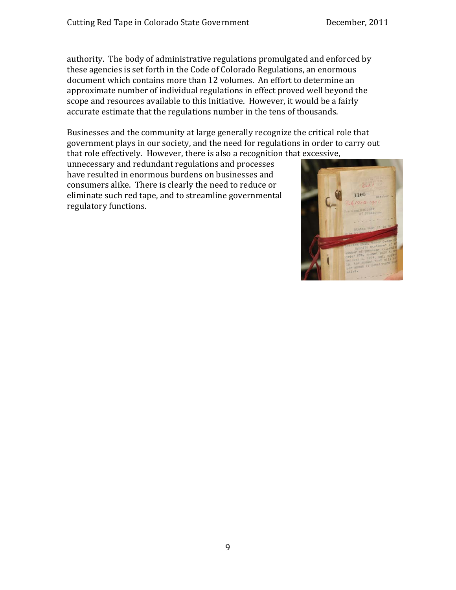authority. The body of administrative regulations promulgated and enforced by these agencies is set forth in the Code of Colorado Regulations, an enormous document which contains more than 12 volumes. An effort to determine an approximate number of individual regulations in effect proved well beyond the scope and resources available to this Initiative. However, it would be a fairly accurate estimate that the regulations number in the tens of thousands.

Businesses and the community at large generally recognize the critical role that government plays in our society, and the need for regulations in order to carry out that role effectively. However, there is also a recognition that excessive,

unnecessary and redundant regulations and processes have resulted in enormous burdens on businesses and consumers alike. There is clearly the need to reduce or eliminate such red tape, and to streamline governmental regulatory functions.

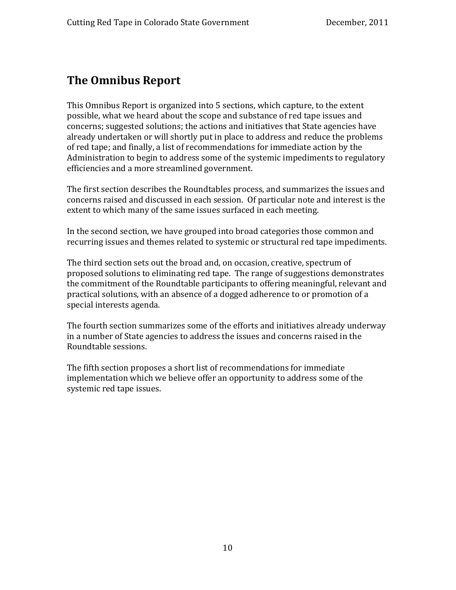## <span id="page-9-0"></span>**The Omnibus Report**

This Omnibus Report is organized into 5 sections, which capture, to the extent possible, what we heard about the scope and substance of red tape issues and concerns; suggested solutions; the actions and initiatives that State agencies have already undertaken or will shortly put in place to address and reduce the problems of red tape; and finally, a list of recommendations for immediate action by the Administration to begin to address some of the systemic impediments to regulatory efficiencies and a more streamlined government.

The first section describes the Roundtables process, and summarizes the issues and concerns raised and discussed in each session. Of particular note and interest is the extent to which many of the same issues surfaced in each meeting.

n the second section, we have grouped into broad categories those common and I recurring issues and themes related to systemic or structural red tape impediments.

The third section sets out the broad and, on occasion, creative, spectrum of proposed solutions to eliminating red tape. The range of suggestions demonstrates the commitment of the Roundtable participants to offering meaningful, relevant and practical solutions, with an absence of a dogged adherence to or promotion of a special interests agenda.

The fourth section summarizes some of the efforts and initiatives already underway in a number of State agencies to address the issues and concerns raised in the Roundtable sessions.

The fifth section proposes a short list of recommendations for immediate implementation which we believe offer an opportunity to address some of the systemic red tape issues.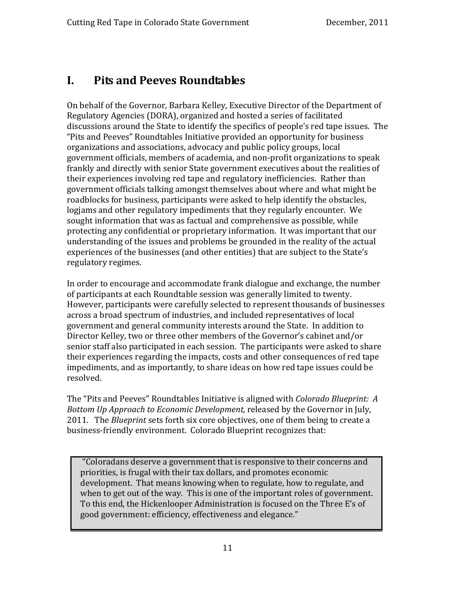## <span id="page-10-0"></span>**I. Pits and Peeves Roundtables**

On behalf of the Governor, Barbara Kelley, Executive Director of the Department of Regulatory Agencies (DORA), organized and hosted a series of facilitated discussions around the State to identify the specifics of people's red tape issues. The "Pits and Peeves" Roundtables Initiative provided an opportunity for business organizations and associations, advocacy and public policy groups, local government officials, members of academia, and non‐profit organizations to speak frankly and directly with senior State government executives about the realities of their experiences involving red tape and regulatory inefficiencies. Rather than government officials talking amongst themselves about where and what might be roadblocks for business, participants were asked to help identify the obstacles, logjams and other regulatory impediments that they regularly encounter. We sought information that was as factual and comprehensive as possible, while protecting any confidential or proprietary information. It was important that our understanding of the issues and problems be grounded in the reality of the actual experiences of the businesses (and other entities) that are subject to the State's regulatory regimes.

In order to encourage and accommodate frank dialogue and exchange, the number of participants at each Roundtable session was generally limited to twenty. However, participants were carefully selected to represent thousands of businesses across a broad spectrum of industries, and included representatives of local government and general community interests around the State. In addition to Director Kelley, two or three other members of the Governor's cabinet and/or senior staff also participated in each session. The participants were asked to share their experiences regarding the impacts, costs and other consequences of red tape impediments, and as importantly, to share ideas on how red tape issues could be resolved.

The "Pits and Peeves" Roundtables Initiative is aligned with *Colorado Blueprint: A Bottom Up Approach to Economic Development,* released by the Governor in July, 2011. The *Blueprint* sets forth six core objectives, one of them being to create a business-friendly environment. Colorado Blueprint recognizes that:

 "Coloradans deserve a government that is responsive to their concerns and priorities, is frugal with their tax dollars, and promotes economic development. That means knowing when to regulate, how to regulate, and when to get out of the way. This is one of the important roles of government. To this end, the Hickenlooper Administration is focused on the Three E's of good government: efficiency, effectiveness and elegance."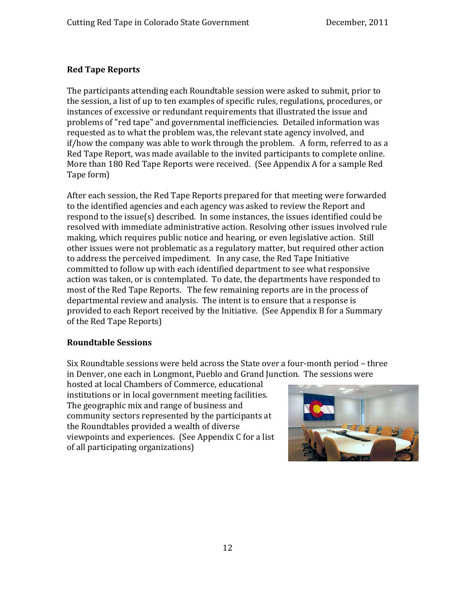#### **Red Tape Reports**

The participants attending each Roundtable session were asked to submit, prior to the session, a list of up to ten examples of specific rules, regulations, procedures, or instances of excessive or redundant requirements that illustrated the issue and problems of "red tape" and governmental inefficiencies. Detailed information was requested as to what the problem was, the relevant state agency involved, and if/how the company was able to work through the problem. A form, referred to as a Red Tape Report, was made available to the invited participants to complete online. More than 180 Red Tape Reports were received. (See Appendix A for a sample Red Tape form)

After each session, the Red Tape Reports prepared for that meeting were forwarded to the identified agencies and each agency was asked to review the Report and respond to the issue(s) described. In some instances, the issues identified could be resolved with immediate administrative action. Resolving other issues involved rule making, which requires public notice and hearing, or even legislative action. Still other issues were not problematic as a regulatory matter, but required other action to address the perceived impediment. In any case, the Red Tape Initiative committed to follow up with each identified department to see what responsive action was taken, or is contemplated. To date, the departments have responded to most of the Red Tape Reports. The few remaining reports are in the process of departmental review and analysis. The intent is to ensure that a response is provided to each Report received by the Initiative. (See Appendix B for a Summary of the Red Tape Reports)

#### **Roundtable Sessions**

Six Roundtable sessions were held across the State over a four‐month period – three in Denver, one each in Longmont, Pueblo and Grand Junction. The sessions were

hosted at local Chambers of Commerce, educational institutions or in local government meeting facilities. The geographic mix and range of business and community sectors represented by the participants at the Roundtables provided a wealth of diverse viewpoints and experiences. (See Appendix C for a list of all participating organizations)

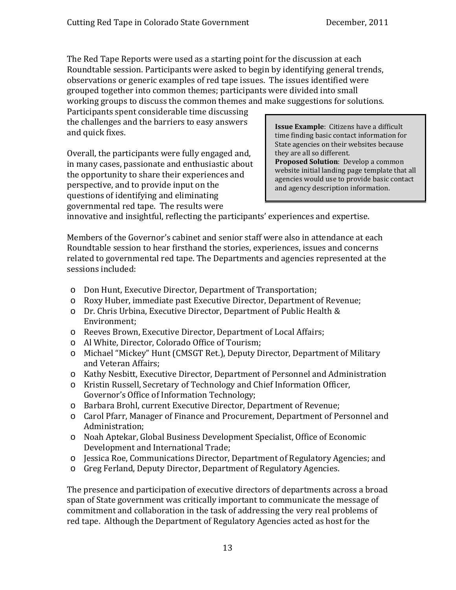The Red Tape Reports were used as a starting point for the discussion at each Roundtable session. Participants were asked to begin by identifying general trends, observations or generic examples of red tape issues. The issues identified were grouped together into common themes; participants were divided into small working groups to discuss the common themes and make suggestions for solutions.

Participants spent considerable time discussing the challenges and the barriers to easy answers and quick fixes.

Overall, the participants were fully engaged and, in many cases, passionate and enthusiastic about the opportunity to share their experiences and perspective, and to provide input on the questions of identifying and eliminating governmental red tape. The results were

**Issue Example**: Citizens have a difficult time finding basic contact information for State agencies on their websites because they are all so different. **Proposed Solution**: Develop a common website initial landing page template that all agencies would use to provide basic contact and agency description information.

innovative and insightful, reflecting the participants' experiences and expertise.

Members of the Governor's cabinet and senior staff were also in attendance at each Roundtable session to hear firsthand the stories, experiences, issues and concerns related to governmental red tape. The Departments and agencies represented at the ess s ions included:

- o Don Hunt, Executive Director, Department of Transportation;
- o Roxy Huber, immediate past Executive Director, Department of Revenue;
- o Dr. Chris Urbina, Executive Director, Department of Public Health & Environment;
- o Reeves Brown, Executive Director, Department of Local Affairs;
- o Al White, Director, Colorado Office of Tourism;
- o Michael "Mickey" Hunt (CMSGT Ret.), Deputy Director, Department of Military and Veteran Affairs;
- o Kathy Nesbitt, Executive Director, Department of Personnel and Administration
- o Kristin Russell, Secretary of Technology and Chief Information Officer, Governor's Office of Information Technology;
- o Barbara Brohl, current Executive Director, Department of Revenue;
- o Carol Pfarr, Manager of Finance and Procurement, Department of Personnel and Administration;
- o Noah Aptekar, Global Business Development Specialist, Office of Economic Development and International Trade;
- o Jessica Roe, Communications Director, Department of Regulatory Agencies; and
- o Greg Ferland, Deputy Director, Department of Regulatory Agencies.

The presence and participation of executive directors of departments across a broad span of State government was critically important to communicate the message of commitment and collaboration in the task of addressing the very real problems of red tape. Although the Department of Regulatory Agencies acted as host for the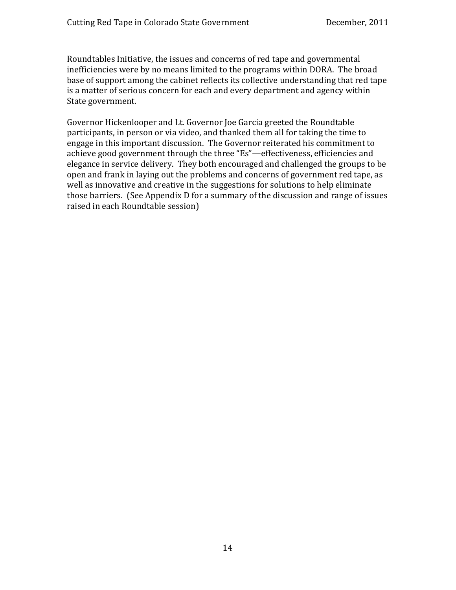Roundtables Initiative, the issues and concerns of red tape and governmental inefficiencies were by no means limited to the programs within DORA. The broad base of support among the cabinet reflects its collective understanding that red tape is a matter of serious concern for each and every department and agency within State government.

Governor Hickenlooper and Lt. Governor Joe Garcia greeted the Roundtable participants, in person or via video, and thanked them all for taking the time to engage in this important discussion. The Governor reiterated his commitment to achieve good government through the three "Es"—effectiveness, efficiencies and elegance in service delivery. They both encouraged and challenged the groups to be open and frank in laying out the problems and concerns of government red tape, as well as innovative and creative in the suggestions for solutions to help eliminate those barriers. (See Appendix D for a summary of the discussion and range of issues raised in each Roundtable session)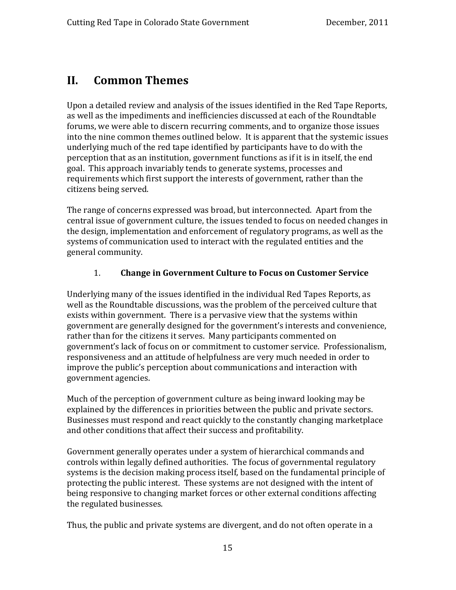## <span id="page-14-0"></span>**II. Common Themes**

Upon a detailed review and analysis of the issues identified in the Red Tape Reports, as well as the impediments and inefficiencies discussed at each of the Roundtable forums, we were able to discern recurring comments, and to organize those issues into the nine common themes outlined below. It is apparent that the systemic issues underlying much of the red tape identified by participants have to do with the perception that as an institution, government functions as if it is in itself, the end goal. This approach invariably tends to generate systems, processes and requirements which first support the interests of government, rather than the citizens being served.

The range of concerns expressed was broad, but interconnected. Apart from the central issue of government culture, the issues tended to focus on needed changes in the design, implementation and enforcement of regulatory programs, as well as the systems of communication used to interact with the regulated entities and the general community.

#### 1. **Change in Government Culture to Focus on Customer Service**

Underlying many of the issues identified in the individual Red Tapes Reports, as well as the Roundtable discussions, was the problem of the perceived culture that exists within government. There is a pervasive view that the systems within government are generally designed for the government's interests and convenience, rather than for the citizens it serves. Many participants commented on government's lack of focus on or commitment to customer service. Professionalism, responsiveness and an attitude of helpfulness are very much needed in order to improve the public's perception about communications and interaction with government agencies.

Much of the perception of government culture as being inward looking may be explained by the differences in priorities between the public and private sectors. Businesses must respond and react quickly to the constantly changing marketplace and other conditions that affect their success and profitability.

the regulated businesses. Government generally operates under a system of hierarchical commands and controls within legally defined authorities. The focus of governmental regulatory systems is the decision making process itself, based on the fundamental principle of protecting the public interest. These systems are not designed with the intent of being responsive to changing market forces or other external conditions affecting

Thus, the public and private systems are divergent, and do not often operate in a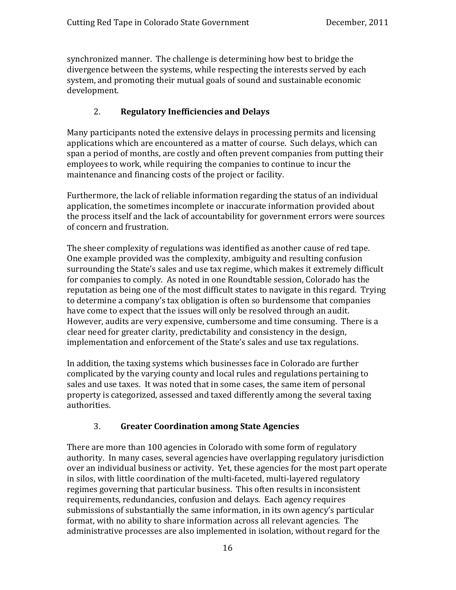synchronized manner. The challenge is determining how best to bridge the divergence between the systems, while respecting the interests served by each ystem, and promoting their mutual goals of sound and sustainable economic s development.

#### 2. **Regulatory Inefficiencies and Delays**

Many participants noted the extensive delays in processing permits and licensing applications which are encountered as a matter of course. Such delays, which can span a period of months, are costly and often prevent companies from putting their employees to work, while requiring the companies to continue to incur the maintenance and financing costs of the project or facility.

Furthermore, the lack of reliable information regarding the status of an individual application, the sometimes incomplete or inaccurate information provided about the process itself and the lack of accountability for government errors were sources of concern and frustration.

The sheer complexity of regulations was identified as another cause of red tape. One example provided was the complexity, ambiguity and resulting confusion surrounding the State's sales and use tax regime, which makes it extremely difficult for companies to comply. As noted in one Roundtable session, Colorado has the reputation as being one of the most difficult states to navigate in this regard. Trying to determine a company's tax obligation is often so burdensome that companies have come to expect that the issues will only be resolved through an audit. However, audits are very expensive, cumbersome and time consuming. There is a clear need for greater clarity, predictability and consistency in the design, implementation and enforcement of the State's sales and use tax regulations.

In addition, the taxing systems which businesses face in Colorado are further complicated by the varying county and local rules and regulations pertaining to sales and use taxes. It was noted that in some cases, the same item of personal property is categorized, assessed and taxed differently among the several taxing authorities.

#### 3. **Greater Coordination among State Agencies**

There are more than 100 agencies in Colorado with some form of regulatory authority. In many cases, several agencies have overlapping regulatory jurisdiction over an individual business or activity. Yet, these agencies for the most part operate in silos, with little coordination of the multi‐faceted, multi‐layered regulatory regimes governing that particular business. This often results in inconsistent requirements, redundancies, confusion and delays. Each agency requires submissions of substantially the same information, in its own agency's particular format, with no ability to share information across all relevant agencies. The administrative processes are also implemented in isolation, without regard for the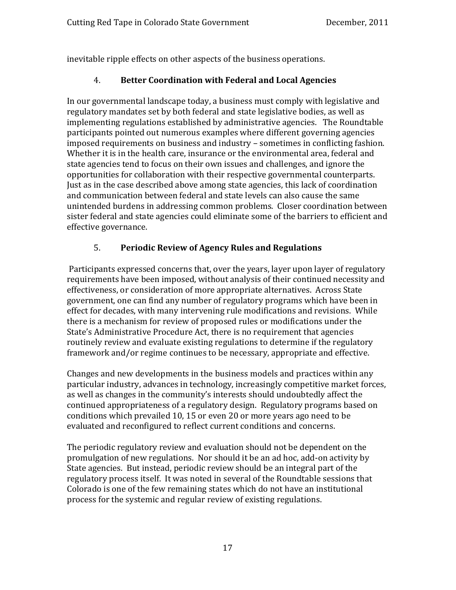inevitable ripple effects on other aspects of the business operations.

#### 4. **Better Coordination with Federal and Local Agencies**

In our governmental landscape today, a business must comply with legislative and regulatory mandates set by both federal and state legislative bodies, as well as implementing regulations established by administrative agencies. The Roundtable participants pointed out numerous examples where different governing agencies imposed requirements on business and industry – sometimes in conflicting fashion. Whether it is in the health care, insurance or the environmental area, federal and state agencies tend to focus on their own issues and challenges, and ignore the opportunities for collaboration with their respective governmental counterparts. Just as in the case described above among state agencies, this lack of coordination and communication between federal and state levels can also cause the same unintended burdens in addressing common problems. Closer coordination between sister federal and state agencies could eliminate some of the barriers to efficient and effective governance.

#### 5. **Periodic Review of Agency Rules and Regulations**

 Participants expressed concerns that, over the years, layer upon layer of regulatory requirements have been imposed, without analysis of their continued necessity and effectiveness, or consideration of more appropriate alternatives. Across State government, one can find any number of regulatory programs which have been in effect for decades, with many intervening rule modifications and revisions. While there is a mechanism for review of proposed rules or modifications under the State's Administrative Procedure Act, there is no requirement that agencies routinely review and evaluate existing regulations to determine if the regulatory framework and/or regime continues to be necessary, appropriate and effective.

Changes and new developments in the business models and practices within any particular industry, advances in technology, increasingly competitive market forces, as well as changes in the community's interests should undoubtedly affect the continued appropriateness of a regulatory design. Regulatory programs based on conditions which prevailed 10, 15 or even 20 or more years ago need to be evaluated and reconfigured to reflect current conditions and concerns.

The periodic regulatory review and evaluation should not be dependent on the promulgation of new regulations. Nor should it be an ad hoc, add‐on activity by State agencies. But instead, periodic review should be an integral part of the regulatory process itself. It was noted in several of the Roundtable sessions that Colorado is one of the few remaining states which do not have an institutional process for the systemic and regular review of existing regulations.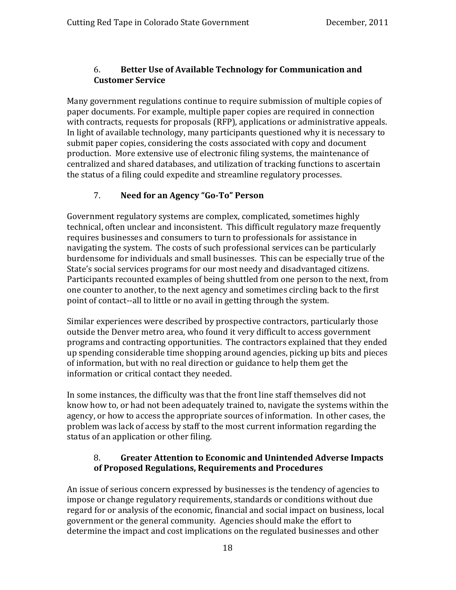#### 6. **Better Use of Available Technology for Communication and Customer Service**

Many government regulations continue to require submission of multiple copies of paper documents. For example, multiple paper copies are required in connection with contracts, requests for proposals (RFP), applications or administrative appeals. In light of available technology, many participants questioned why it is necessary to submit paper copies, considering the costs associated with copy and document production. More extensive use of electronic filing systems, the maintenance of centralized and shared databases, and utilization of tracking functions to ascertain the status of a filing could expedite and streamline regulatory processes.

#### 7. **Need for an Agency "GoTo" Person**

Government regulatory systems are complex, complicated, sometimes highly technical, often unclear and inconsistent. This difficult regulatory maze frequently requires businesses and consumers to turn to professionals for assistance in navigating the system. The costs of such professional services can be particularly burdensome for individuals and small businesses. This can be especially true of the State's social services programs for our most needy and disadvantaged citizens. Participants recounted examples of being shuttled from one person to the next, from one counter to another, to the next agency and sometimes circling back to the first point of contact‐‐all to little or no avail in getting through the system.

Similar experiences were described by prospective contractors, particularly those outside the Denver metro area, who found it very difficult to access government programs and contracting opportunities. The contractors explained that they ended up spending considerable time shopping around agencies, picking up bits and pieces of information, but with no real direction or guidance to help them get the information or critical contact they needed.

In some instances, the difficulty was that the front line staff themselves did not know how to, or had not been adequately trained to, navigate the systems within the agency, or how to access the appropriate sources of information. In other cases, the problem was lack of access by staff to the most current information regarding the status of an application or other filing.

#### **of Proposed Regulations, Requirements and Procedures**  8. **Greater Attention to Economic and Unintended Adverse Impacts**

An issue of serious concern expressed by businesses is the tendency of agencies to impose or change regulatory requirements, standards or conditions without due regard for or analysis of the economic, financial and social impact on business, local government or the general community. Agencies should make the effort to determine the impact and cost implications on the regulated businesses and other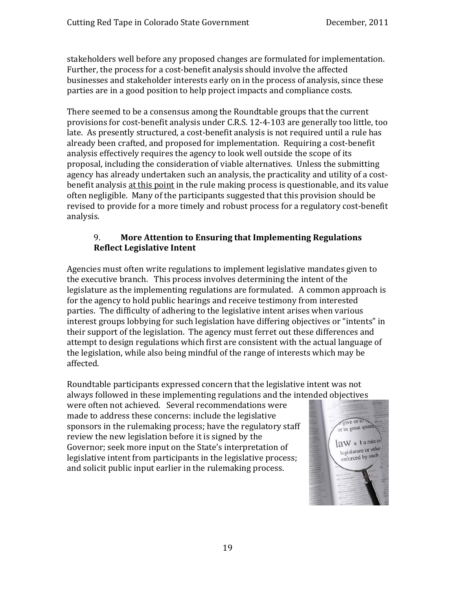stakeholders well before any proposed changes are formulated for implementation. Further, the process for a cost‐benefit analysis should involve the affected businesses and stakeholder interests early on in the process of analysis, since these parties are in a good position to help project impacts and compliance costs.

There seemed to be a consensus among the Roundtable groups that the current provisions for cost‐benefit analysis under C.R.S. 12‐4‐103 are generally too little, too late. As presently structured, a cost‐benefit analysis is not required until a rule has already been crafted, and proposed for implementation. Requiring a cost‐benefit analysis effectively requires the agency to look well outside the scope of its proposal, including the consideration of viable alternatives. Unless the submitting agency has already undertaken such an analysis, the practicality and utility of a cost‐ benefit analysis at this point in the rule making process is questionable, and its value often negligible. Many of the participants suggested that this provision should be revised to provide for a more timely and robust process for a regulatory cost-benefit analysis.

#### 9. **More Attention to Ensuring that Implementing Regulations Reflect Legislative Intent**

Agencies must often write regulations to implement legislative mandates given to the executive branch. This process involves determining the intent of the legislature as the implementing regulations are formulated. A common approach is for the agency to hold public hearings and receive testimony from interested parties. The difficulty of adhering to the legislative intent arises when various interest groups lobbying for such legislation have differing objectives or "intents" in their support of the legislation. The agency must ferret out these differences and attempt to design regulations which first are consistent with the actual language of the legislation, while also being mindful of the range of interests which may be affected.

Roundtable participants expressed concern that the legislative intent was not always followed in these implementing regulations and the intended objectives

were often not achieved. Several recommendations were made to address these concerns: include the legislative sponsors in the rulemaking process; have the regulatory staff review the new legislation before it is signed by the Governor; seek more input on the State's interpretation of legislative intent from participants in the legislative process; and solicit public input earlier in the rulemaking process.

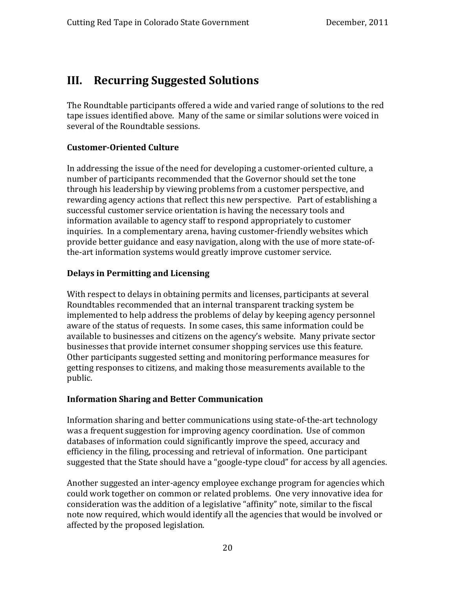## <span id="page-19-0"></span>**III. Recurring Suggested Solutions**

The Roundtable participants offered a wide and varied range of solutions to the red tape issues identified above. Many of the same or similar solutions were voiced in several of the Roundtable sessions.

#### **CustomerOriented Culture**

In addressing the issue of the need for developing a customer‐oriented culture, a number of participants recommended that the Governor should set the tone through his leadership by viewing problems from a customer perspective, and rewarding agency actions that reflect this new perspective. Part of establishing a successful customer service orientation is having the necessary tools and information available to agency staff to respond appropriately to customer inquiries. In a complementary arena, having customer‐friendly websites which provide better guidance and easy navigation, along with the use of more state-ofthe-art information systems would greatly improve customer service.

#### **Delays in Permitting and Licensing**

With respect to delays in obtaining permits and licenses, participants at several Roundtables recommended that an internal transparent tracking system be implemented to help address the problems of delay by keeping agency personnel aware of the status of requests. In some cases, this same information could be available to businesses and citizens on the agency's website. Many private sector businesses that provide internet consumer shopping services use this feature. Other participants suggested setting and monitoring performance measures for etting responses to citizens, and making those measurements available to the g public.

#### **Information Sharing and Better Communication**

Information sharing and better communications using state‐of‐the‐art technology was a frequent suggestion for improving agency coordination. Use of common databases of information could significantly improve the speed, accuracy and efficiency in the filing, processing and retrieval of information. One participant suggested that the State should have a "google‐type cloud" for access by all agencies.

Another suggested an inter‐agency employee exchange program for agencies which could work together on common or related problems. One very innovative idea for consideration was the addition of a legislative "affinity" note, similar to the fiscal note now required, which would identify all the agencies that would be involved or affected by the proposed legislation.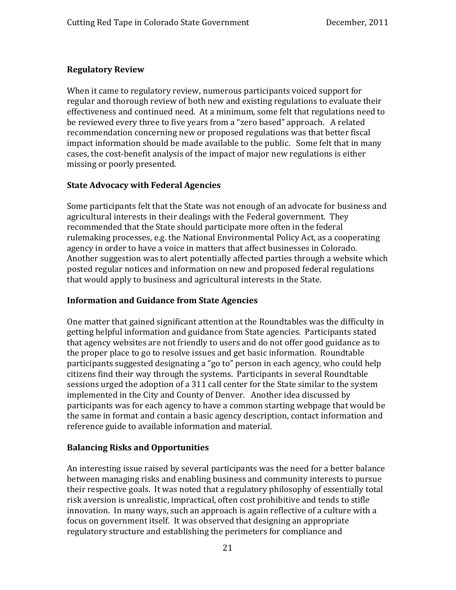#### **Regulatory Review**

When it came to regulatory review, numerous participants voiced support for regular and thorough review of both new and existing regulations to evaluate their effectiveness and continued need. At a minimum, some felt that regulations need to be reviewed every three to five years from a "zero based" approach. A related recommendation concerning new or proposed regulations was that better fiscal impact information should be made available to the public. Some felt that in many cases, the cost-benefit analysis of the impact of major new regulations is either missing or poorly presented.

#### **State Advocacy with Federal Agencies**

Some participants felt that the State was not enough of an advocate for business and agricultural interests in their dealings with the Federal government. They recommended that the State should participate more often in the federal rulemaking processes, e.g. the National Environmental Policy Act, as a cooperating agency in order to have a voice in matters that affect businesses in Colorado. Another suggestion was to alert potentially affected parties through a website which posted regular notices and information on new and proposed federal regulations hat would apply to business and agricultural interests in the State. t

#### **Information and Guidance from State Agencies**

One matter that gained significant attention at the Roundtables was the difficulty in getting helpful information and guidance from State agencies. Participants stated that agency websites are not friendly to users and do not offer good guidance as to the proper place to go to resolve issues and get basic information. Roundtable participants suggested designating a "go to" person in each agency, who could help citizens find their way through the systems. Participants in several Roundtable sessions urged the adoption of a 311 call center for the State similar to the system implemented in the City and County of Denver. Another idea discussed by participants was for each agency to have a common starting webpage that would be he same in format and contain a basic agency description, contact information and t reference guide to available information and material.

#### **Balancing Risks and Opportunities**

An interesting issue raised by several participants was the need for a better balance between managing risks and enabling business and community interests to pursue their respective goals. It was noted that a regulatory philosophy of essentially total risk aversion is unrealistic, impractical, often cost prohibitive and tends to stifle innovation. In many ways, such an approach is again reflective of a culture with a focus on government itself. It was observed that designing an appropriate regulatory structure and establishing the perimeters for compliance and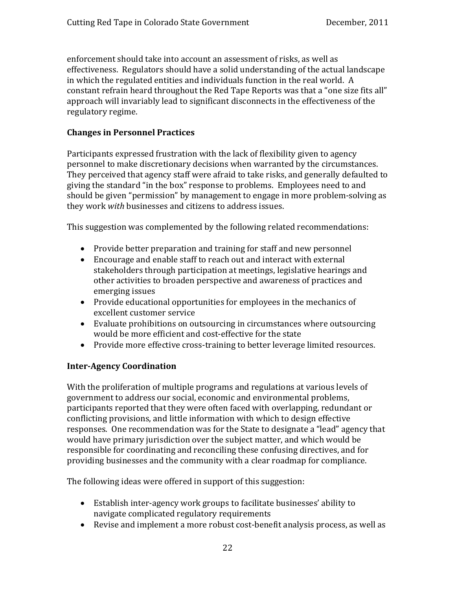enforcement should take into account an assessment of risks, as well as effectiveness. Regulators should have a solid understanding of the actual landscape in which the regulated entities and individuals function in the real world. A constant refrain heard throughout the Red Tape Reports was that a "one size fits all" approach will invariably lead to significant disconnects in the effectiveness of the regulatory regime.

#### **Changes in Personnel Practices**

Participants expressed frustration with the lack of flexibility given to agency personnel to make discretionary decisions when warranted by the circumstances. They perceived that agency staff were afraid to take risks, and generally defaulted to giving the standard "in the box" response to problems. Employees need to and should be given "permission" by management to engage in more problem‐solving as they work *with* businesses and citizens to address issues.

This suggestion was complemented by the following related recommendations:

- Provide better preparation and training for staff and new personnel
- Encourage and enable staff to reach out and interact with external stakeholders through participation at meetings, legislative hearings and other activities to broaden perspective and awareness of practices and emerging issues
- Provide educational opportunities for employees in the mechanics of excellent customer service
- Evaluate prohibitions on outsourcing in circumstances where outsourcing would be more efficient and cost-effective for the state
- Provide more effective cross-training to better leverage limited resources.

#### **InterAgency Coordination**

With the proliferation of multiple programs and regulations at various levels of government to address our social, economic and environmental problems, participants reported that they were often faced with overlapping, redundant or conflicting provisions, and little information with which to design effective responses. One recommendation was for the State to designate a "lead" agency that would have primary jurisdiction over the subject matter, and which would be responsible for coordinating and reconciling these confusing directives, and for providing businesses and the community with a clear roadmap for compliance.

The following ideas were offered in support of this suggestion:

- Establish inter-agency work groups to facilitate businesses' ability to navigate complicated regulatory requirements
- Revise and implement a more robust cost-benefit analysis process, as well as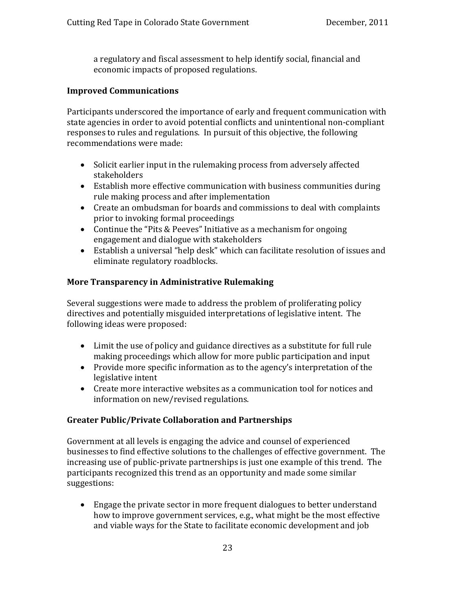a regulatory and fiscal assessment to help identify social, financial and economic impacts of proposed regulations.

#### **Improved Communications**

Participants underscored the importance of early and frequent communication with state agencies in order to avoid potential conflicts and unintentional non‐compliant responses to rules and regulations. In pursuit of this objective, the following recommendations were made:

- Solicit earlier input in the rulemaking process from adversely affected stakeholders
- Establish more effective communication with business communities during rule making process and after implementation
- Create an ombudsman for boards and commissions to deal with complaints prior to invoking formal proceedings
- Continue the "Pits & Peeves" Initiative as a mechanism for ongoing engagement and dialogue with stakeholders
- Establish a universal "help desk" which can facilitate resolution of issues and eliminate regulatory roadblocks.

#### **More Transparency in Administrative Rulemaking**

Several suggestions were made to address the problem of proliferating policy directives and potentially misguided interpretations of legislative intent. The following ideas were proposed:

- Limit the use of policy and guidance directives as a substitute for full rule making proceedings which allow for more public participation and input
- Provide more specific information as to the agency's interpretation of the legislative intent
- Create more interactive websites as a communication tool for notices and information on new/revised regulations.

#### **Greater Public/Private Collaboration and Partnerships**

suggestions: Government at all levels is engaging the advice and counsel of experienced businesses to find effective solutions to the challenges of effective government. The increasing use of public‐private partnerships is just one example of this trend. The articipants recognized this trend as an opportunity and made some similar p

• Engage the private sector in more frequent dialogues to better understand how to improve government services, e.g., what might be the most effective and viable ways for the State to facilitate economic development and job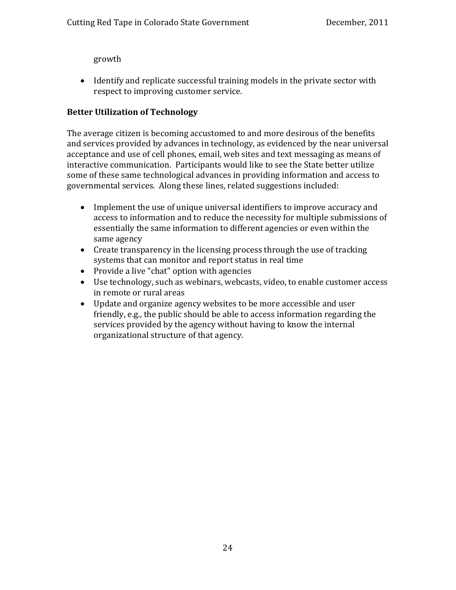growth

• Identify and replicate successful training models in the private sector with respect to improving customer service.

#### **Better Utilization of Technology**

The average citizen is becoming accustomed to and more desirous of the benefits and services provided by advances in technology, as evidenced by the near universal acceptance and use of cell phones, email, web sites and text messaging as means of interactive communication. Participants would like to see the State better utilize some of these same technological advances in providing information and access to governmental services. Along these lines, related suggestions included:

- Implement the use of unique universal identifiers to improve accuracy and access to information and to reduce the necessity for multiple submissions of essentially the same information to different agencies or even within the same agency
- Create transparency in the licensing process through the use of tracking systems that can monitor and report status in real time
- Provide a live "chat" option with agencies
- Use technology, such as webinars, webcasts, video, to enable customer access in remote or rural areas
- Update and organize agency websites to be more accessible and user friendly, e.g., the public should be able to access information regarding the services provided by the agency without having to know the internal organizational structure of that agency.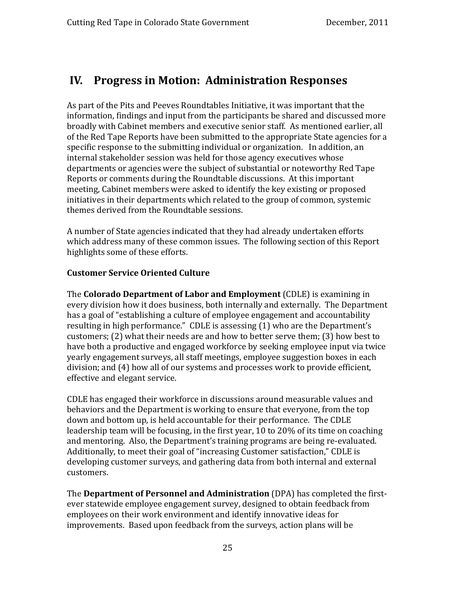## <span id="page-24-0"></span>**IV. Progress in Motion: Administration Responses**

As part of the Pits and Peeves Roundtables Initiative, it was important that the information, findings and input from the participants be shared and discussed more broadly with Cabinet members and executive senior staff. As mentioned earlier, all of the Red Tape Reports have been submitted to the appropriate State agencies for a specific response to the submitting individual or organization. In addition, an internal stakeholder session was held for those agency executives whose departments or agencies were the subject of substantial or noteworthy Red Tape Reports or comments during the Roundtable discussions. At this important meeting, Cabinet members were asked to identify the key existing or proposed initiatives in their departments which related to the group of common, systemic themes derived from the Roundtable sessions.

A number of State agencies indicated that they had already undertaken efforts which address many of these common issues. The following section of this Report highlights some of these efforts.

#### **Cust omer Service Oriented Culture**

The **Colorado Department of Labor and Employment** (CDLE) is examining in every division how it does business, both internally and externally. The Department has a goal of "establishing a culture of employee engagement and accountability resulting in high performance." CDLE is assessing (1) who are the Department's customers; (2) what their needs are and how to better serve them; (3) how best to have both a productive and engaged workforce by seeking employee input via twice yearly engagement surveys, all staff meetings, employee suggestion boxes in each division; and (4) how all of our systems and processes work to provide efficient, effective and elegant service.

custo mers. CDLE has engaged their workforce in discussions around measurable values and behaviors and the Department is working to ensure that everyone, from the top down and bottom up, is held accountable for their performance. The CDLE leadership team will be focusing, in the first year, 10 to 20% of its time on coaching and mentoring. Also, the Department's training programs are being re‐evaluated. Additionally, to meet their goal of "increasing Customer satisfaction," CDLE is developing customer surveys, and gathering data from both internal and external

The **Department of Personnel and Administration** (DPA) has completed the first‐ ever statewide employee engagement survey, designed to obtain feedback from employees on their work environment and identify innovative ideas for improvements. Based upon feedback from the surveys, action plans will be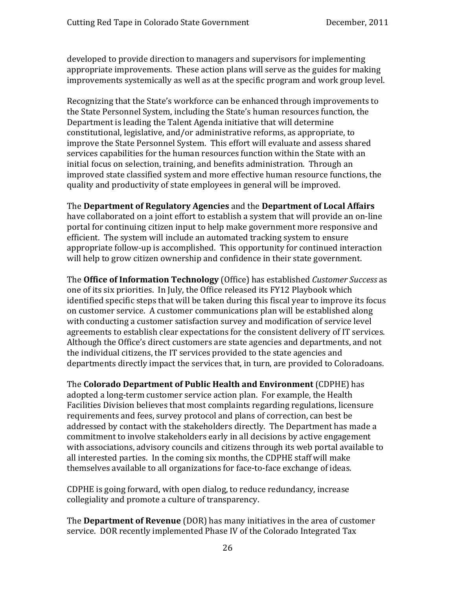developed to provide direction to managers and supervisors for implementing appropriate improvements. These action plans will serve as the guides for making improvements systemically as well as at the specific program and work group level.

Recognizing that the State's workforce can be enhanced through improvements to the State Personnel System, including the State's human resources function, the Department is leading the Talent Agenda initiative that will determine constitutional, legislative, and/or administrative reforms, as appropriate, to improve the State Personnel System. This effort will evaluate and assess shared services capabilities for the human resources function within the State with an initial focus on selection, training, and benefits administration. Through an mproved state classified system and more effective human resource functions, the i quality and productivity of state employees in general will be improved.

#### The **Department of Regulatory Agencies** and the **Department of Local Affairs**

have collaborated on a joint effort to establish a system that will provide an on‐line portal for continuing citizen input to help make government more responsive and efficient. The system will include an automated tracking system to ensure appropriate follow-up is accomplished. This opportunity for continued interaction will help to grow citizen ownership and confidence in their state government.

The **Office of Information Technology** (Office) has established *Customer Success* as one of its six priorities. In July, the Office released its FY12 Playbook which identified specific steps that will be taken during this fiscal year to improve its focus on customer service. A customer communications plan will be established along with conducting a customer satisfaction survey and modification of service level agreements to establish clear expectations for the consistent delivery of IT services. Although the Office's direct customers are state agencies and departments, and not the individual citizens, the IT services provided to the state agencies and departments directly impact the services that, in turn, are provided to Coloradoans.

The **Colorado Department of Public Health and Environment** (CDPHE) has adopted a long‐term customer service action plan. For example, the Health Facilities Division believes that most complaints regarding regulations, licensure requirements and fees, survey protocol and plans of correction, can best be addressed by contact with the stakeholders directly. The Department has made a commitment to involve stakeholders early in all decisions by active engagement with associations, advisory councils and citizens through its web portal available to all interested parties. In the coming six months, the CDPHE staff will make themselves available to all organizations for face‐to‐face exchange of ideas.

collegiality and promote a culture of transparency. CDPHE is going forward, with open dialog, to reduce redundancy, increase

The **Department of Revenue** (DOR) has many initiatives in the area of customer service. DOR recently implemented Phase IV of the Colorado Integrated Tax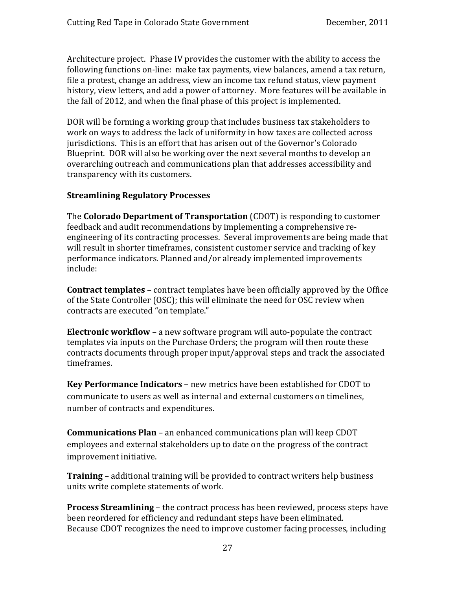Architecture project. Phase IV provides the customer with the ability to access the following functions on-line: make tax payments, view balances, amend a tax return, file a protest, change an address, view an income tax refund status, view payment history, view letters, and add a power of attorney. More features will be available in the fall of 2012, and when the final phase of this project is implemented.

DOR will be forming a working group that includes business tax stakeholders to work on ways to address the lack of uniformity in how taxes are collected across jurisdictions. This is an effort that has arisen out of the Governor's Colorado Blueprint. DOR will also be working over the next several months to develop an overarching outreach and communications plan that addresses accessibility and transparency with its customers.

#### **Stre amlining Regulatory Processes**

The **Colorado Department of Transportation** (CDOT) is responding to customer feedback and audit recommendations by implementing a comprehensive re‐ engineering of its contracting processes. Several improvements are being made that will result in shorter timeframes, consistent customer service and tracking of key performance indicators. Planned and/or already implemented improvements nclude: i

**Contract templates** – contract templates have been officially approved by the Office of the State Controller (OSC); this will eliminate the need for OSC review when contracts are executed "on template."

**Electronic workflow** – a new software program will auto‐populate the contract templates via inputs on the Purchase Orders; the program will then route these ontracts documents through proper input/approval steps and track the associated c timeframes.

**Key Performance Indicators** – new metrics have been established for CDOT to ommunicate to users as well as internal and external customers on timelines, c number of contracts and expenditures.

**Communications Plan** – an enhanced communications plan will keep CDOT employees and external stakeholders up to date on the progress of the contract improvement initiative.

**raining** – additional training will be provided to contract writers help business **T** units write complete statements of work.

**Process Streamlining** – the contract process has been reviewed, process steps have been reordered for efficiency and redundant steps have been eliminated. Because CDOT recognizes the need to improve customer facing processes, including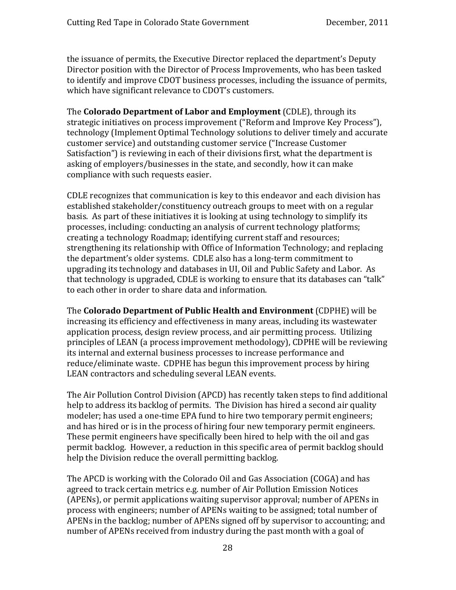the issuance of permits, the Executive Director replaced the department's Deputy Director position with the Director of Process Improvements, who has been tasked to identify and improve CDOT business processes, including the issuance of permits, which have significant relevance to CDOT's customers.

The **Colorado Department of Labor and Employment** (CDLE), through its strategic initiatives on process improvement ("Reform and Improve Key Process"), technology (Implement Optimal Technology solutions to deliver timely and accurate customer service) and outstanding customer service ("Increase Customer Satisfaction") is reviewing in each of their divisions first, what the department is asking of employers/businesses in the state, and secondly, how it can make compliance with such requests easier.

CDLE recognizes that communication is key to this endeavor and each division has established stakeholder/constituency outreach groups to meet with on a regular basis. As part of these initiatives it is looking at using technology to simplify its processes, including: conducting an analysis of current technology platforms; creating a technology Roadmap; identifying current staff and resources; strengthening its relationship with Office of Information Technology; and replacing the department's older systems. CDLE also has a long‐term commitment to upgrading its technology and databases in UI, Oil and Public Safety and Labor. As hat technology is upgraded, CDLE is working to ensure that its databases can "talk" t to each other in order to share data and information.

The **Colorado Department of Public Health and Environment** (CDPHE) will be increasing its efficiency and effectiveness in many areas, including its wastewater application process, design review process, and air permitting process. Utilizing principles of LEAN (a process improvement methodology), CDPHE will be reviewing its internal and external business processes to increase performance and reduce/eliminate waste. CDPHE has begun this improvement process by hiring LEAN contractors and scheduling several LEAN events.

help the Division reduce the overall permitting backlog. The Air Pollution Control Division (APCD) has recently taken steps to find additional help to address its backlog of permits. The Division has hired a second air quality modeler; has used a one-time EPA fund to hire two temporary permit engineers; and has hired or is in the process of hiring four new temporary permit engineers. These permit engineers have specifically been hired to help with the oil and gas permit backlog. However, a reduction in this specific area of permit backlog should

The APCD is working with the Colorado Oil and Gas Association (COGA) and has agreed to track certain metrics e.g. number of Air Pollution Emission Notices (APENs), or permit applications waiting supervisor approval; number of APENs in process with engineers; number of APENs waiting to be assigned; total number of APENs in the backlog; number of APENs signed off by supervisor to accounting; and number of APENs received from industry during the past month with a goal of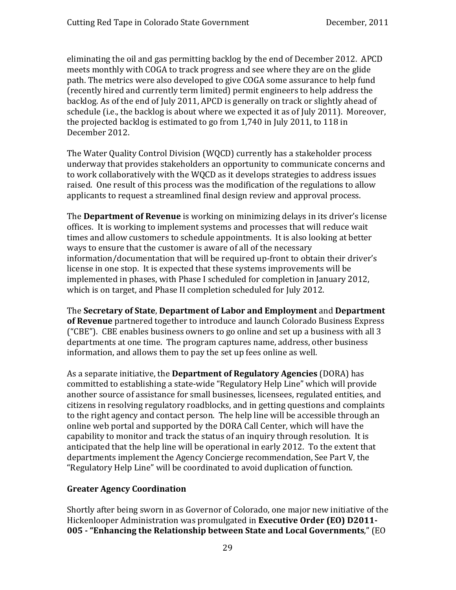eliminating the oil and gas permitting backlog by the end of December 2012. APCD meets monthly with COGA to track progress and see where they are on the glide path. The metrics were also developed to give COGA some assurance to help fund (recently hired and currently term limited) permit engineers to help address the backlog. As of the end of July 2011, APCD is generally on track or slightly ahead of schedule (i.e., the backlog is about where we expected it as of July 2011). Moreover, the projected backlog is estimated to go from 1,740 in July 2011, to 118 in December 2012.

The Water Quality Control Division (WQCD) currently has a stakeholder process underway that provides stakeholders an opportunity to communicate concerns and to work collaboratively with the WQCD as it develops strategies to address issues raised. One result of this process was the modification of the regulations to allow applicants to request a streamlined final design review and approval process.

The **Department of Revenue** is working on minimizing delays in its driver's license offices. It is working to implement systems and processes that will reduce wait times and allow customers to schedule appointments. It is also looking at better ways to ensure that the customer is aware of all of the necessary information/documentation that will be required up-front to obtain their driver's license in one stop. It is expected that these systems improvements will be implemented in phases, with Phase I scheduled for completion in January 2012, which is on target, and Phase II completion scheduled for July 2012.

The **Secretary of State**, **Department of Labor and Employment** and **Department of Revenue** partnered together to introduce and launch Colorado Business Express ("CBE"). CBE enables business owners to go online and set up a business with all 3 departments at one time. The program captures name, address, other business information, and allows them to pay the set up fees online as well.

As a separate initiative, the **Department of Regulatory Agencies** (DORA) has committed to establishing a state‐wide "Regulatory Help Line" which will provide another source of assistance for small businesses, licensees, regulated entities, and citizens in resolving regulatory roadblocks, and in getting questions and complaints to the right agency and contact person. The help line will be accessible through an online web portal and supported by the DORA Call Center, which will have the capability to monitor and track the status of an inquiry through resolution. It is anticipated that the help line will be operational in early 2012. To the extent that departments implement the Agency Concierge recommendation, See Part V, the "Regulatory Help Line" will be coordinated to avoid duplication of function.

#### **Greater Agency Coordination**

Shortly after being sworn in as Governor of Colorado, one major new initiative of the Hickenlooper Administration was promulgated in **Executive Order (EO) D2011 005 "Enhancing the Relationship between State and Local Governments**," (EO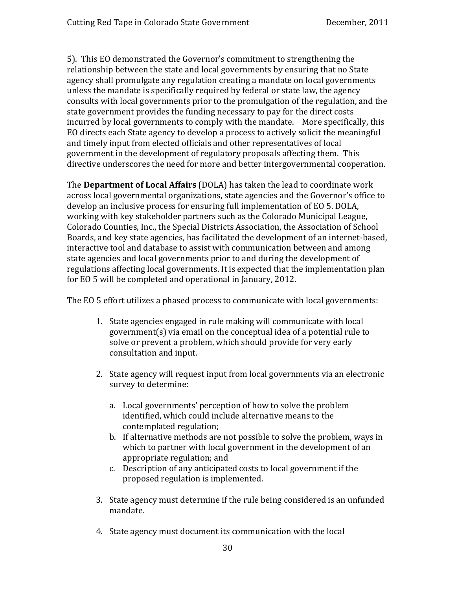5). This EO demonstrated the Governor's commitment to strengthening the relationship between the state and local governments by ensuring that no State agency shall promulgate any regulation creating a mandate on local governments unless the mandate is specifically required by federal or state law, the agency consults with local governments prior to the promulgation of the regulation, and the state government provides the funding necessary to pay for the direct costs incurred by local governments to comply with the mandate. More specifically, this EO directs each State agency to develop a process to actively solicit the meaningful and timely input from elected officials and other representatives of local government in the development of regulatory proposals affecting them. This directive underscores the need for more and better intergovernmental cooperation.

The **Department of Local Affairs** (DOLA) has taken the lead to coordinate work across local governmental organizations, state agencies and the Governor's office to develop an inclusive process for ensuring full implementation of EO 5. DOLA, working with key stakeholder partners such as the Colorado Municipal League, Colorado Counties, Inc., the Special Districts Association, the Association of School Boards, and key state agencies, has facilitated the development of an internet‐based, interactive tool and database to assist with communication between and among state agencies and local governments prior to and during the development of regulations affecting local governments. It is expected that the implementation plan for EO 5 will be completed and operational in January, 2012.

The EO 5 effort utilizes a phased process to communicate with local governments:

- 1. State agencies engaged in rule making will communicate with local government(s) via email on the conceptual idea of a potential rule to solve or prevent a problem, which should provide for very early consultation and input.
- 2. State agency will request input from local governments via an electronic survey to determine:
	- a. Local governments' perception of how to solve the problem identified, which could include alternative means to the contemplated regulation;
	- b. If alternative methods are not possible to solve the problem, ways in which to partner with local government in the development of an appropriate regulation; and
	- c. Description of any anticipated costs to local government if the proposed regulation is implemented.
- mandate. 3. State agency must determine if the rule being considered is an unfunded
- 4. State agency must document its communication with the local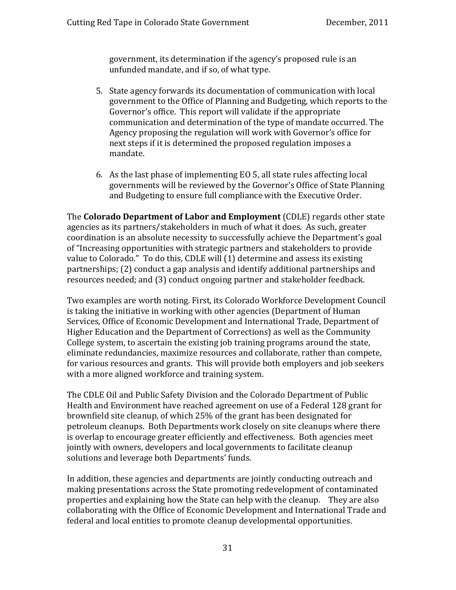government, its determination if the agency's proposed rule is an unfunded mandate, and if so, of what type.

- 5. State agency forwards its documentation of communication with local government to the Office of Planning and Budgeting, which reports to the Governor's office. This report will validate if the appropriate communication and determination of the type of mandate occurred. The Agency proposing the regulation will work with Governor's office for next steps if it is determined the proposed regulation imposes a mandate.
- 6. As the last phase of implementing EO 5, all state rules affecting local governments will be reviewed by the Governor's Office of State Planning and Budgeting to ensure full compliance with the Executive Order.

The **Colorado Department of Labor and Employment** (CDLE) regards other state agencies as its partners/stakeholders in much of what it does. As such, greater coordination is an absolute necessity to successfully achieve the Department's goal of "Increasing opportunities with strategic partners and stakeholders to provide value to Colorado." To do this, CDLE will (1) determine and assess its existing partnerships; (2) conduct a gap analysis and identify additional partnerships and resources needed; and (3) conduct ongoing partner and stakeholder feedback.

Two examples are worth noting. First, its Colorado Workforce Development Council is taking the initiative in working with other agencies (Department of Human Services, Office of Economic Development and International Trade, Department of Higher Education and the Department of Corrections) as well as the Community College system, to ascertain the existing job training programs around the state, eliminate redundancies, maximize resources and collaborate, rather than compete, for various resources and grants. This will provide both employers and job seekers with a more aligned workforce and training system.

The CDLE Oil and Public Safety Division and the Colorado Department of Public Health and Environment have reached agreement on use of a Federal 128 grant for brownfield site cleanup, of which 25% of the grant has been designated for petroleum cleanups. Both Departments work closely on site cleanups where there is overlap to encourage greater efficiently and effectiveness. Both agencies meet jointly with owners, developers and local governments to facilitate cleanup solutions and leverage both Departments' funds.

In addition, these agencies and departments are jointly conducting outreach and making presentations across the State promoting redevelopment of contaminated properties and explaining how the State can help with the cleanup. They are also collaborating with the Office of Economic Development and International Trade and federal and local entities to promote cleanup developmental opportunities.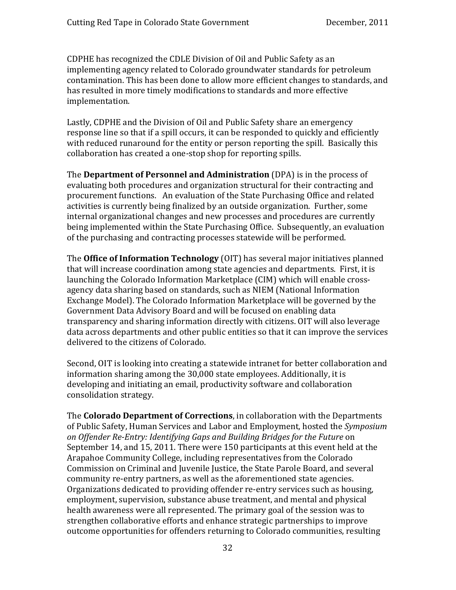CDPHE has recognized the CDLE Division of Oil and Public Safety as an implementing agency related to Colorado groundwater standards for petroleum contamination. This has been done to allow more efficient changes to standards, and has resulted in more timely modifications to standards and more effective implementation.

Lastly, CDPHE and the Division of Oil and Public Safety share an emergency response line so that if a spill occurs, it can be responded to quickly and efficiently with reduced runaround for the entity or person reporting the spill. Basically this collaboration has created a one-stop shop for reporting spills.

The **Department of Personnel and Administration** (DPA) is in the process of evaluating both procedures and organization structural for their contracting and procurement functions. An evaluation of the State Purchasing Office and related activities is currently being finalized by an outside organization. Further, some internal organizational changes and new processes and procedures are currently being implemented within the State Purchasing Office. Subsequently, an evaluation of the purchasing and contracting processes statewide will be performed.

The **Office of Information Technology** (OIT) has several major initiatives planned that will increase coordination among state agencies and departments. First, it is launching the Colorado Information Marketplace (CIM) which will enable cross‐ agency data sharing based on standards, such as NIEM (National Information Exchange Model). The Colorado Information Marketplace will be governed by the Government Data Advisory Board and will be focused on enabling data transparency and sharing information directly with citizens. OIT will also leverage data across departments and other public entities so that it can improve the services delivered to the citizens of Colorado.

cons olidation strategy. Second, OIT is looking into creating a statewide intranet for better collaboration and information sharing among the 30,000 state employees. Additionally, it is developing and initiating an email, productivity software and collaboration

The **Colorado Department of Corrections**, in collaboration with the Departments of Public Safety, Human Services and Labor and Employment, hosted the *Symposium on Offender ReEntry: Identifying Gaps and Building Bridges for the Future* on September 14, and 15, 2011. There were 150 participants at this event held at the Arapahoe Community College, including representatives from the Colorado Commission on Criminal and Juvenile Justice, the State Parole Board, and several community re-entry partners, as well as the aforementioned state agencies. Organizations dedicated to providing offender re‐entry services such as housing, employment, supervision, substance abuse treatment, and mental and physical health awareness were all represented. The primary goal of the session was to strengthen collaborative efforts and enhance strategic partnerships to improve outcome opportunities for offenders returning to Colorado communities, resulting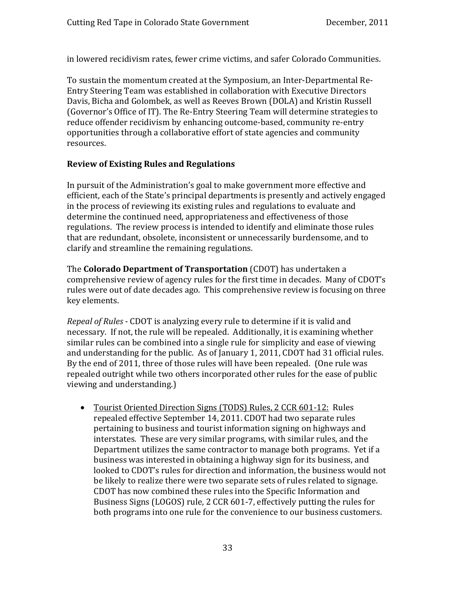in lowered recidivism rates, fewer crime victims, and safer Colorado Communitie s.

To sustain the momentum created at the Symposium, an Inter‐Departmental Re‐ Entry Steering Team was established in collaboration with Executive Directors Davis, Bicha and Golombek, as well as Reeves Brown (DOLA) and Kristin Russell (Governor's Office of IT). The Re‐Entry Steering Team will determine strategies to reduce offender recidivism by enhancing outcome‐based, community re‐entry pportunities through a collaborative effort of state agencies and community o resources.

#### **Review of Existing Rules and Regulations**

In pursuit of the Administration's goal to make government more effective and efficient, each of the State's principal departments is presently and actively engaged in the process of reviewing its existing rules and regulations to evaluate and determine the continued need, appropriateness and effectiveness of those regulations. The review process is intended to identify and eliminate those rules hat are redundant, obsolete, inconsistent or unnecessarily burdensome, and to t clarify and streamline the remaining regulations.

The **Colorado Department of Transportation** (CDOT) has undertaken a comprehensive review of agency rules for the first time in decades. Many of CDOT's rules were out of date decades ago. This comprehensive review is focusing on three key elements.

*Repeal of Rules* ‐ CDOT is analyzing every rule to determine if it is valid and necessary. If not, the rule will be repealed. Additionally, it is examining whether similar rules can be combined into a single rule for simplicity and ease of viewing and understanding for the public. As of January 1, 2011, CDOT had 31 official rules. By the end of 2011, three of those rules will have been repealed. (One rule was repealed outright while two others incorporated other rules for the ease of public viewing and understanding.)

• Tourist Oriented Direction Signs (TODS) Rules, 2 CCR 601-12: Rules repealed effective September 14, 2011. CDOT had two separate rules pertaining to business and tourist information signing on highways and interstates. These are very similar programs, with similar rules, and the Department utilizes the same contractor to manage both programs. Yet if a business was interested in obtaining a highway sign for its business, and looked to CDOT's rules for direction and information, the business would not be likely to realize there were two separate sets of rules related to signage. CDOT has now combined these rules into the Specific Information and Business Signs (LOGOS) rule, 2 CCR 601-7, effectively putting the rules for both programs into one rule for the convenience to our business customers.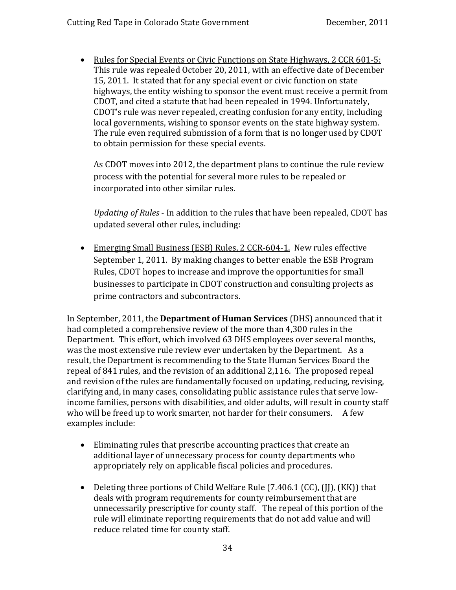• Rules for Special Events or Civic Functions on State Highways, 2 CCR 601-5: This rule was repealed October 20, 2011, with an effective date of December 15, 2011. It stated that for any special event or civic function on state highways, the entity wishing to sponsor the event must receive a permit from CDOT, and cited a statute that had been repealed in 1994. Unfortunately, CDOT's rule was never repealed, creating confusion for any entity, including local governments, wishing to sponsor events on the state highway system. The rule even required submission of a form that is no longer used by CDOT to obtain permission for these special events.

As CDOT moves into 2012, the department plans to continue the rule review process with the potential for several more rules to be repealed or incorporated into other similar rules.

*Updating of Rules* ‐ In addition to the rules that have been repealed, CDOT has updated several other rules, including:

• Emerging Small Business (ESB) Rules, 2 CCR-604-1. New rules effective September 1, 2011. By making changes to better enable the ESB Program Rules, CDOT hopes to increase and improve the opportunities for small businesses to participate in CDOT construction and consulting projects as prime contractors and subcontractors.

In September, 2011, the **Department of Human Services** (DHS) announced that it had completed a comprehensive review of the more than 4,300 rules in the Department. This effort, which involved 63 DHS employees over several months, was the most extensive rule review ever undertaken by the Department. As a result, the Department is recommending to the State Human Services Board the repeal of 841 rules, and the revision of an additional 2,116. The proposed repeal and revision of the rules are fundamentally focused on updating, reducing, revising, clarifying and, in many cases, consolidating public assistance rules that serve low‐ income families, persons with disabilities, and older adults, will result in county staff who will be freed up to work smarter, not harder for their consumers. A few examples include:

- Eliminating rules that prescribe accounting practices that create an additional layer of unnecessary process for county departments who appropriately rely on applicable fiscal policies and procedures.
- Deleting three portions of Child Welfare Rule (7.406.1 (CC), (JJ), (KK)) that deals with program requirements for county reimbursement that are unnecessarily prescriptive for county staff. The repeal of this portion of the rule will eliminate reporting requirements that do not add value and will reduce related time for county staff.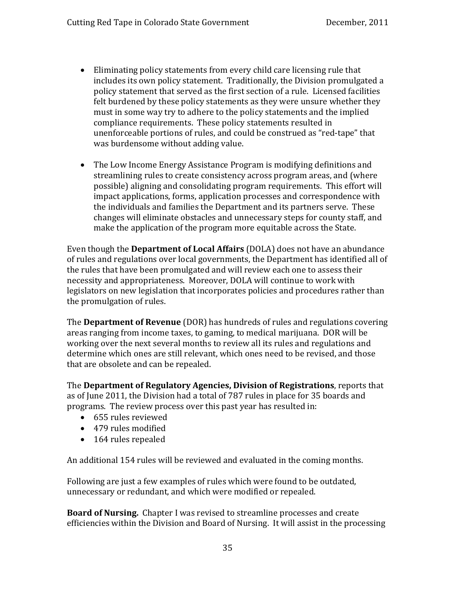- Eliminating policy statements from every child care licensing rule that includes its own policy statement. Traditionally, the Division promulgated a policy statement that served as the first section of a rule. Licensed facilities felt burdened by these policy statements as they were unsure whether they must in some way try to adhere to the policy statements and the implied compliance requirements. These policy statements resulted in unenforceable portions of rules, and could be construed as "red‐tape" that was burdensome without adding value.
- The Low Income Energy Assistance Program is modifying definitions and streamlining rules to create consistency across program areas, and (where possible) aligning and consolidating program requirements. This effort will impact applications, forms, application processes and correspondence with the individuals and families the Department and its partners serve. These changes will eliminate obstacles and unnecessary steps for county staff, and make the application of the program more equitable across the State.

Even though the **Department of Local Affairs** (DOLA) does not have an abundance of rules and regulations over local governments, the Department has identified all of the rules that have been promulgated and will review each one to assess their necessity and appropriateness. Moreover, DOLA will continue to work with legislators on new legislation that incorporates policies and procedures rather than the promulgation of rules.

The **Department of Revenue** (DOR) has hundreds of rules and regulations covering areas ranging from income taxes, to gaming, to medical marijuana. DOR will be working over the next several months to review all its rules and regulations and determine which ones are still relevant, which ones need to be revised, and those that are obsolete and can be repealed.

The **Department of Regulatory Agencies, Division of Registrations**, reports that as of June 2011, the Division had a total of 787 rules in place for 35 boards and programs. The review process over this past year has resulted in:

- 655 rules reviewed
- 479 rules modified
- 164 rules repealed

An additional 154 rules will be reviewed and evaluated in the coming months.

unnecessary or redundant, and which were modified or repealed. Following are just a few examples of rules which were found to be outdated,

**Board of Nursing.** Chapter I was revised to streamline processes and create efficiencies within the Division and Board of Nursing. It will assist in the processing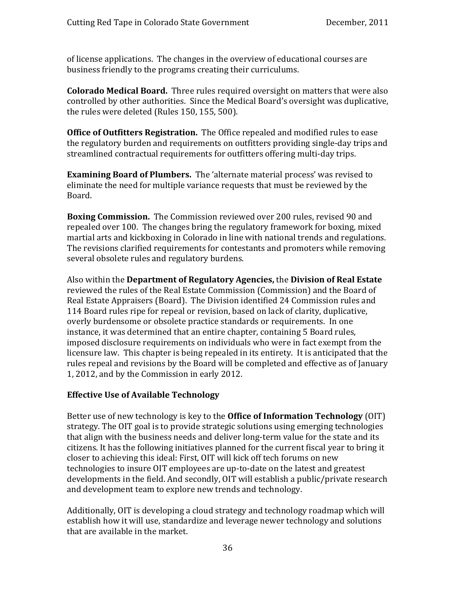o f license applications. The changes in the overview of educational courses are b usiness friendly to the programs creating their curriculums.

**Colorado Medical Board.** Three rules required oversight on matters that were also ontrolled by other authorities. Since the Medical Board's oversight was duplicative, c the rules were deleted (Rules 150, 155, 500).

**Office of Outfitters Registration.** The Office repealed and modified rules to ease he regulatory burden and requirements on outfitters providing single‐day trips and t streamlined contractual requirements for outfitters offering multi-day trips.

**Examining Board of Plumbers.** The 'alternate material process' was revised to eliminate the need for multiple variance requests that must be reviewed by the Board.

**Boxing Commission.** The Commission reviewed over 200 rules, revised 90 and repealed over 100. The changes bring the regulatory framework for boxing, mixed martial arts and kickboxing in Colorado in line with national trends and regulations. The revisions clarified requirements for contestants and promoters while removing several obsolete rules and regulatory burdens.

Also within the **Department of Regulatory Agencies,** the **Division of Real Estate** reviewed the rules of the Real Estate Commission (Commission) and the Board of Real Estate Appraisers (Board). The Division identified 24 Commission rules and 114 Board rules ripe for repeal or revision, based on lack of clarity, duplicative, overly burdensome or obsolete practice standards or requirements. In one instance, it was determined that an entire chapter, containing 5 Board rules, imposed disclosure requirements on individuals who were in fact exempt from the licensure law. This chapter is being repealed in its entirety. It is anticipated that the rules repeal and revisions by the Board will be completed and effective as of January 1, 2012, and by the Commission in early 2012.

#### **Effective Use of Available Technology**

Better use of new technology is key to the **Office of Information Technology** (OIT) strategy. The OIT goal is to provide strategic solutions using emerging technologies that align with the business needs and deliver long‐term value for the state and its citizens. It has the following initiatives planned for the current fiscal year to bring it closer to achieving this ideal: First, OIT will kick off tech forums on new technologies to insure OIT employees are up‐to‐date on the latest and greatest developments in the field. And secondly, OIT will establish a public/private research and development team to explore new trends and technology.

Additionally, OIT is developing a cloud strategy and technology roadmap which will establish how it will use, standardize and leverage newer technology and solutions that are available in the market.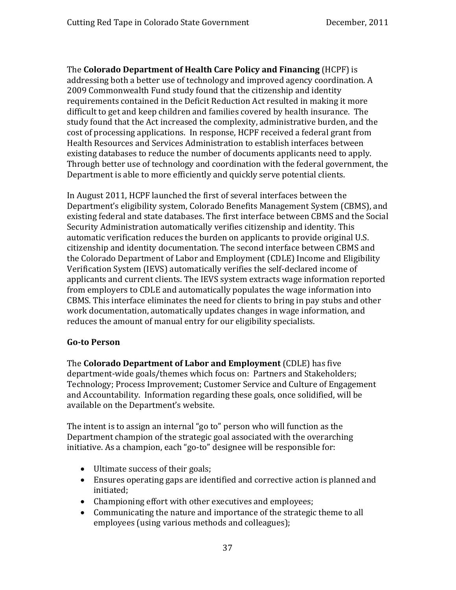The **Colorado Department of Health Care Policy and Financing** (HCPF) is addressing both a better use of technology and improved agency coordination. A 2009 Commonwealth Fund study found that the citizenship and identity requirements contained in the Deficit Reduction Act resulted in making it more difficult to get and keep children and families covered by health insurance. The study found that the Act increased the complexity, administrative burden, and the cost of processing applications. In response, HCPF received a federal grant from Health Resources and Services Administration to establish interfaces between existing databases to reduce the number of documents applicants need to apply. Through better use of technology and coordination with the federal government, the Department is able to more efficiently and quickly serve potential clients.

In August 2011, HCPF launched the first of several interfaces between the Department's eligibility system, Colorado Benefits Management System (CBMS), and existing federal and state databases. The first interface between CBMS and the Social Security Administration automatically verifies citizenship and identity. This automatic verification reduces the burden on applicants to provide original U.S. citizenship and identity documentation. The second interface between CBMS and the Colorado Department of Labor and Employment (CDLE) Income and Eligibility Verification System (IEVS) automatically verifies the self‐declared income of applicants and current clients. The IEVS system extracts wage information reported from employers to CDLE and automatically populates the wage information into CBMS. This interface eliminates the need for clients to bring in pay stubs and other work documentation, automatically updates changes in wage information, and reduces the amount of manual entry for our eligibility specialists.

### **Got o Person**

The **Colorado Department of Labor and Employment** (CDLE) has five department‐wide goals/themes which focus on: Partners and Stakeholders; Technology; Process Improvement; Customer Service and Culture of Engagement and Accountability. Information regarding these goals, once solidified, will be available on the Department's website.

The intent is to assign an internal "go to" person who will function as the Department champion of the strategic goal associated with the overarching initiative. As a champion, each "go-to" designee will be responsible for:

- Ultimate success of their goals;
- initiated; • Ensures operating gaps are identified and corrective action is planned and
- Championing effort with other executives and employees; •
- Communicating the nature and importance of the strategic theme to all employees (using various methods and colleagues);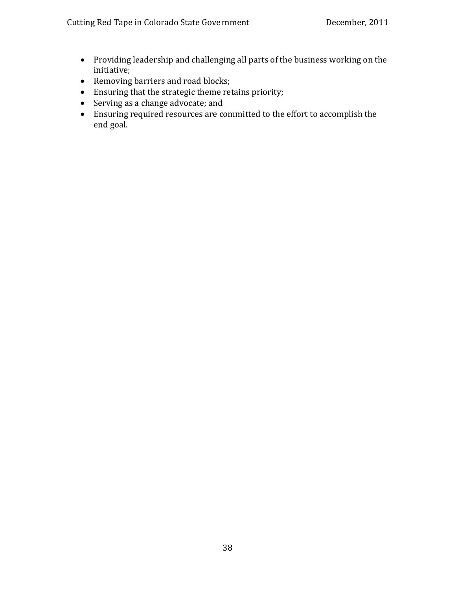- Providing leadership and challenging all parts of the business working on the initiative;
- Removing barriers and road blocks;
- Ensuring that the strategic theme retains priority;
- Serving as a change advocate; and
- Ensuring required resources are committed to the effort to accomplish the end goal.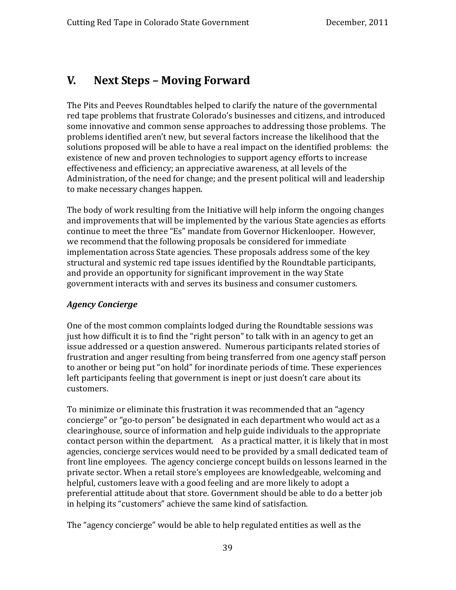### **V. Next Steps – Moving Forward**

The Pits and Peeves Roundtables helped to clarify the nature of the governmental red tape problems that frustrate Colorado's businesses and citizens, and introduced some innovative and common sense approaches to addressing those problems. The problems identified aren't new, but several factors increase the likelihood that the solutions proposed will be able to have a real impact on the identified problems: the existence of new and proven technologies to support agency efforts to increase effectiveness and efficiency; an appreciative awareness, at all levels of the Administration, of the need for change; and the present political will and leadership to make necessary changes happen.

The body of work resulting from the Initiative will help inform the ongoing changes and improvements that will be implemented by the various State agencies as efforts continue to meet the three "Es" mandate from Governor Hickenlooper. However, we recommend that the following proposals be considered for immediate implementation across State agencies. These proposals address some of the key structural and systemic red tape issues identified by the Roundtable participants, and provide an opportunity for significant improvement in the way State government interacts with and serves its business and consumer customers.

### *Agency Concierge*

One of the most common complaints lodged during the Roundtable sessions was just how difficult it is to find the "right person" to talk with in an agency to get an issue addressed or a question answered. Numerous participants related stories of frustration and anger resulting from being transferred from one agency staff person to another or being put "on hold" for inordinate periods of time. These experiences left participants feeling that government is inept or just doesn't care about its customers.

in helping its "customers" achieve the same kind of satisfaction. To minimize or eliminate this frustration it was recommended that an "agency concierge" or "go‐to person" be designated in each department who would act as a clearinghouse, source of information and help guide individuals to the appropriate contact person within the department. As a practical matter, it is likely that in most agencies, concierge services would need to be provided by a small dedicated team of front line employees. The agency concierge concept builds on lessons learned in the private sector. When a retail store's employees are knowledgeable, welcoming and helpful, customers leave with a good feeling and are more likely to adopt a preferential attitude about that store. Government should be able to do a better job

The "agency concierge" would be able to help regulated entities as well as the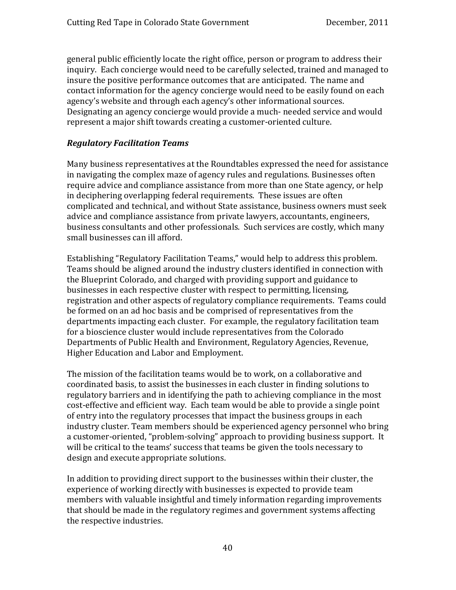general public efficiently locate the right office, person or program to address their inquiry. Each concierge would need to be carefully selected, trained and managed to insure the positive performance outcomes that are anticipated. The name and contact information for the agency concierge would need to be easily found on each agency's website and through each agency's other informational sources. Designating an agency concierge would provide a much- needed service and would represent a major shift towards creating a customer-oriented culture.

#### *Regulatory Facilitation Teams*

Many business representatives at the Roundtables expressed the need for assistance in navigating the complex maze of agency rules and regulations. Businesses often require advice and compliance assistance from more than one State agency, or help in deciphering overlapping federal requirements. These issues are often complicated and technical, and without State assistance, business owners must seek advice and compliance assistance from private lawyers, accountants, engineers, business consultants and other professionals. Such services are costly, which many small businesses can ill afford.

Establishing "Regulatory Facilitation Teams," would help to address this problem. Teams should be aligned around the industry clusters identified in connection with the Blueprint Colorado, and charged with providing support and guidance to businesses in each respective cluster with respect to permitting, licensing, registration and other aspects of regulatory compliance requirements. Teams could be formed on an ad hoc basis and be comprised of representatives from the departments impacting each cluster. For example, the regulatory facilitation team for a bioscience cluster would include representatives from the Colorado Departments of Public Health and Environment, Regulatory Agencies, Revenue, Higher Education and Labor and Employment.

The mission of the facilitation teams would be to work, on a collaborative and coordinated basis, to assist the businesses in each cluster in finding solutions to regulatory barriers and in identifying the path to achieving compliance in the most cost‐effective and efficient way. Each team would be able to provide a single point of entry into the regulatory processes that impact the business groups in each industry cluster. Team members should be experienced agency personnel who bring a customer‐oriented, "problem‐solving" approach to providing business support. It will be critical to the teams' success that teams be given the tools necessary to design and execute appropriate solutions.

In addition to providing direct support to the businesses within their cluster, the experience of working directly with businesses is expected to provide team members with valuable insightful and timely information regarding improvements hat should be made in the regulatory regimes and government systems affecting t the respective industries.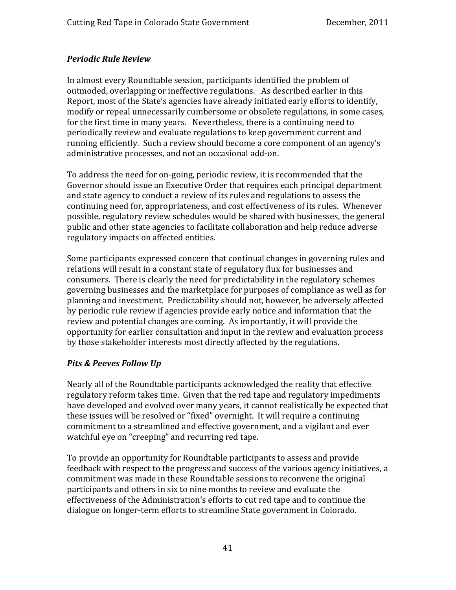### *Periodic Rule Review*

In almost every Roundtable session, participants identified the problem of outmoded, overlapping or ineffective regulations. As described earlier in this Report, most of the State's agencies have already initiated early efforts to identify, modify or repeal unnecessarily cumbersome or obsolete regulations, in some cases, for the first time in many years. Nevertheless, there is a continuing need to periodically review and evaluate regulations to keep government current and running efficiently. Such a review should become a core component of an agency's administrative processes, and not an occasional add‐on.

To address the need for on‐going, periodic review, it is recommended that the Governor should issue an Executive Order that requires each principal department and state agency to conduct a review of its rules and regulations to assess the continuing need for, appropriateness, and cost effectiveness of its rules. Whenever possible, regulatory review schedules would be shared with businesses, the general public and other state agencies to facilitate collaboration and help reduce adverse regulatory impacts on affected entities.

Some participants expressed concern that continual changes in governing rules and relations will result in a constant state of regulatory flux for businesses and consumers. There is clearly the need for predictability in the regulatory schemes governing businesses and the marketplace for purposes of compliance as well as for planning and investment. Predictability should not, however, be adversely affected by periodic rule review if agencies provide early notice and information that the review and potential changes are coming. As importantly, it will provide the pportunity for earlier consultation and input in the review and evaluation process o by those stakeholder interests most directly affected by the regulations.

### *Pits & Peeves Follow Up*

Nearly all of the Roundtable participants acknowledged the reality that effective regulatory reform takes time. Given that the red tape and regulatory impediments have developed and evolved over many years, it cannot realistically be expected that these issues will be resolved or "fixed" overnight. It will require a continuing commitment to a streamlined and effective government, and a vigilant and ever watchful eye on "creeping" and recurring red tape.

To provide an opportunity for Roundtable participants to assess and provide feedback with respect to the progress and success of the various agency initiatives, a commitment was made in these Roundtable sessions to reconvene the original participants and others in six to nine months to review and evaluate the effectiveness of the Administration's efforts to cut red tape and to continue the dialogue on longer‐term efforts to streamline State government in Colorado.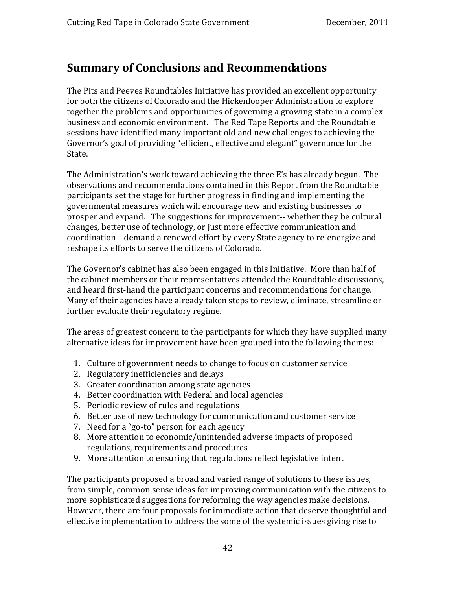### **Summary of Conclusions and Recommendations**

The Pits and Peeves Roundtables Initiative has provided an excellent opportunity for both the citizens of Colorado and the Hickenlooper Administration to explore together the problems and opportunities of governing a growing state in a complex business and economic environment. The Red Tape Reports and the Roundtable sessions have identified many important old and new challenges to achieving the Governor's goal of providing "efficient, effective and elegant" governance for the State.

The Administration's work toward achieving the three E's has already begun. The observations and recommendations contained in this Report from the Roundtable participants set the stage for further progress in finding and implementing the governmental measures which will encourage new and existing businesses to prosper and expand. The suggestions for improvement-- whether they be cultural changes, better use of technology, or just more effective communication and coordination‐‐ demand a renewed effort by every State agency to re‐energize and reshape its efforts to serve the citizens of Colorado.

The Governor's cabinet has also been engaged in this Initiative. More than half of the cabinet members or their representatives attended the Roundtable discussions, and heard first‐hand the participant concerns and recommendations for change. Many of their agencies have already taken steps to review, eliminate, streamline or further evaluate their regulatory regime.

The areas of greatest concern to the participants for which they have supplied many alternative ideas for improvement have been grouped into the following themes:

- 1. Culture of government needs to change to focus on customer service
- 2. Regulatory inefficiencies and delays
- 3. Greater coordination among state agencies
- 4. Better coordination with Federal and local agencies
- 5. Periodic review of rules and regulations
- 6. Better use of new technology for communication and customer service
- 7. Need for a "go-to" person for each agency
- 8. More attention to economic/unintended adverse impacts of proposed regulations, requirements and procedures
- 9. More attention to ensuring that regulations reflect legislative intent

The participants proposed a broad and varied range of solutions to these issues, from simple, common sense ideas for improving communication with the citizens to more sophisticated suggestions for reforming the way agencies make decisions. However, there are four proposals for immediate action that deserve thoughtful and effective implementation to address the some of the systemic issues giving rise to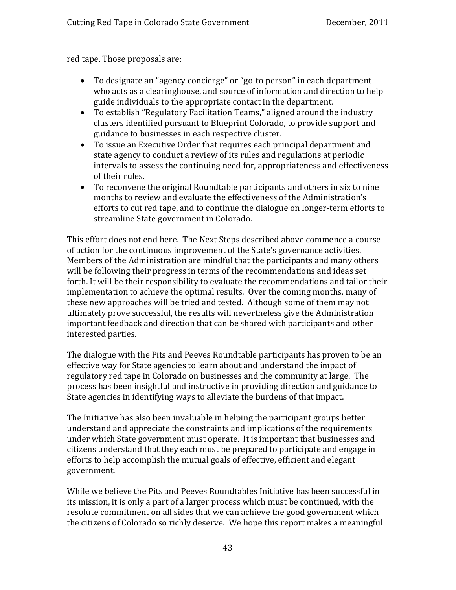red tape. Those proposals are:

- To designate an "agency concierge" or "go‐to person" in each department who acts as a clearinghouse, and source of information and direction to help guide individuals to the appropriate contact in the department.
- To establish "Regulatory Facilitation Teams," aligned around the industry clusters identified pursuant to Blueprint Colorado, to provide support and guidance to businesses in each respective cluster.
- To issue an Executive Order that requires each principal department and state agency to conduct a review of its rules and regulations at periodic intervals to assess the continuing need for, appropriateness and effectiveness of their rules.
- To reconvene the original Roundtable participants and others in six to nine months to review and evaluate the effectiveness of the Administration's efforts to cut red tape, and to continue the dialogue on longer‐term efforts to streamline State government in Colorado.

This effort does not end here. The Next Steps described above commence a course of action for the continuous improvement of the State's governance activities. Members of the Administration are mindful that the participants and many others will be following their progress in terms of the recommendations and ideas set forth. It will be their responsibility to evaluate the recommendations and tailor their implementation to achieve the optimal results. Over the coming months, many of these new approaches will be tried and tested. Although some of them may not ultimately prove successful, the results will nevertheless give the Administration important feedback and direction that can be shared with participants and other interested parties.

The dialogue with the Pits and Peeves Roundtable participants has proven to be an effective way for State agencies to learn about and understand the impact of regulatory red tape in Colorado on businesses and the community at large. The process has been insightful and instructive in providing direction and guidance to State agencies in identifying ways to alleviate the burdens of that impact.

government. The Initiative has also been invaluable in helping the participant groups better understand and appreciate the constraints and implications of the requirements under which State government must operate. It is important that businesses and citizens understand that they each must be prepared to participate and engage in efforts to help accomplish the mutual goals of effective, efficient and elegant

While we believe the Pits and Peeves Roundtables Initiative has been successful in its mission, it is only a part of a larger process which must be continued, with the resolute commitment on all sides that we can achieve the good government which the citizens of Colorado so richly deserve. We hope this report makes a meaningful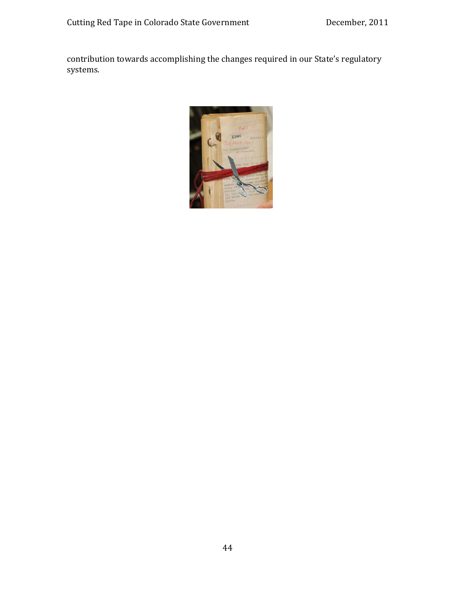contribution towards accomplishing the changes required in our State's regulatory systems.

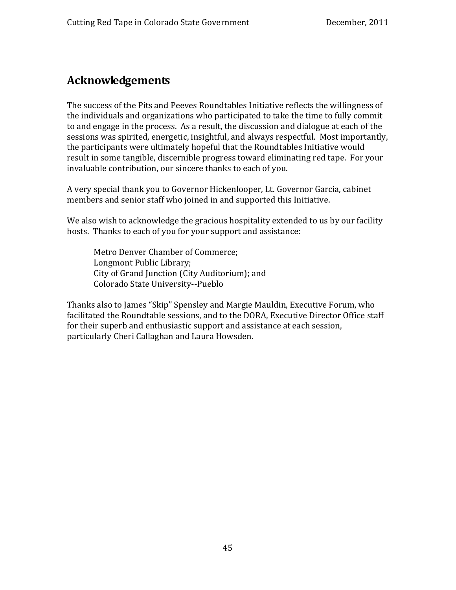## **Acknowledgements**

The success of the Pits and Peeves Roundtables Initiative reflects the willingness of the individuals and organizations who participated to take the time to fully commit to and engage in the process. As a result, the discussion and dialogue at each of the sessions was spirited, energetic, insightful, and always respectful. Most importantly, the participants were ultimately hopeful that the Roundtables Initiative would result in some tangible, discernible progress toward eliminating red tape. For your invaluable contribution, our sincere thanks to each of you.

A very special thank you to Governor Hickenlooper, Lt. Governor Garcia, cabinet members and senior staff who joined in and supported this Initiative.

We also wish to acknowledge the gracious hospitality extended to us by our facility hosts. Thanks to each of you for your support and assistance:

 Metro Denver Chamber of Commerce; City of Grand Junction (City Auditorium); and Longmont Public Library; Colorado State University‐‐Pueblo

Thanks also to James "Skip" Spensley and Margie Mauldin, Executive Forum, who facilitated the Roundtable sessions, and to the DORA, Executive Director Office staff for their superb and enthusiastic support and assistance at each session, particularly Cheri Callaghan and Laura Howsden.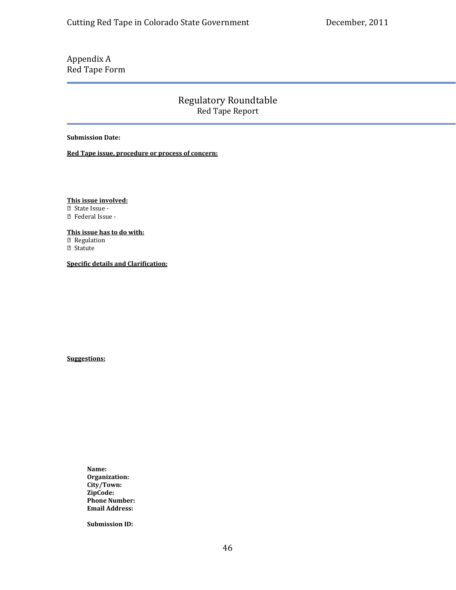### Appendix A Red Tape Form

Regulatory Roundtable Red Tape Report

**Submission Date:** 

**ed Tape issue, procedure or process of concern: R**

**This issue involved:**

State Issue ‐

Federal Issue ‐

**This issue has to do with:**

<sup>2</sup> Regulation

Statute

**Specific details and Clarification:**

**Suggestions:**

**Name: City/Town: Organization: Phone Number: ZipCode: Address: Email**

**Submission ID:**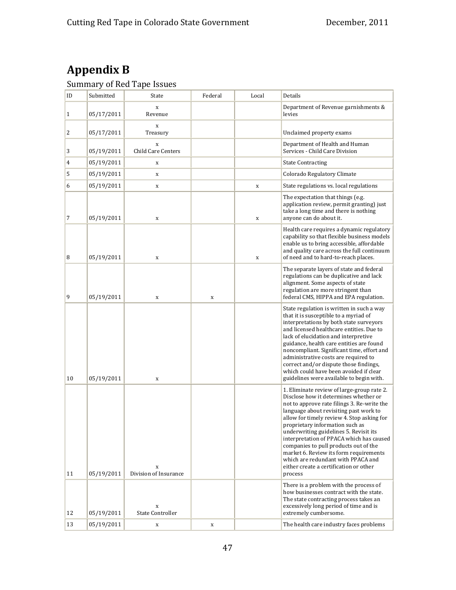# **Appendix B**

#### Summary of Red Tape Issues

| ID | Submitted  | State                             | Federal     | Local       | Details                                                                                                                                                                                                                                                                                                                                                                                                                                                                                                                           |
|----|------------|-----------------------------------|-------------|-------------|-----------------------------------------------------------------------------------------------------------------------------------------------------------------------------------------------------------------------------------------------------------------------------------------------------------------------------------------------------------------------------------------------------------------------------------------------------------------------------------------------------------------------------------|
| 1  | 05/17/2011 | X<br>Revenue                      |             |             | Department of Revenue garnishments &<br>levies                                                                                                                                                                                                                                                                                                                                                                                                                                                                                    |
| 2  | 05/17/2011 | $\mathbf X$<br>Treasury           |             |             | Unclaimed property exams                                                                                                                                                                                                                                                                                                                                                                                                                                                                                                          |
| 3  | 05/19/2011 | $\mathbf x$<br>Child Care Centers |             |             | Department of Health and Human<br>Services - Child Care Division                                                                                                                                                                                                                                                                                                                                                                                                                                                                  |
| 4  | 05/19/2011 | X                                 |             |             | <b>State Contracting</b>                                                                                                                                                                                                                                                                                                                                                                                                                                                                                                          |
| 5  | 05/19/2011 | X                                 |             |             | Colorado Regulatory Climate                                                                                                                                                                                                                                                                                                                                                                                                                                                                                                       |
| 6  | 05/19/2011 | X                                 |             | $\mathbf X$ | State regulations vs. local regulations                                                                                                                                                                                                                                                                                                                                                                                                                                                                                           |
| 7  | 05/19/2011 | $\mathbf X$                       |             | X           | The expectation that things (e.g.<br>application review, permit granting) just<br>take a long time and there is nothing<br>anyone can do about it.                                                                                                                                                                                                                                                                                                                                                                                |
| 8  | 05/19/2011 | $\mathbf x$                       |             | $\mathbf x$ | Health care requires a dynamic regulatory<br>capability so that flexible business models<br>enable us to bring accessible, affordable<br>and quality care across the full continuum<br>of need and to hard-to-reach places.                                                                                                                                                                                                                                                                                                       |
| 9  | 05/19/2011 | X                                 | X           |             | The separate layers of state and federal<br>regulations can be duplicative and lack<br>alignment. Some aspects of state<br>regulation are more stringent than<br>federal CMS, HIPPA and EPA regulation.                                                                                                                                                                                                                                                                                                                           |
| 10 | 05/19/2011 | $\mathbf X$                       |             |             | State regulation is written in such a way<br>that it is susceptible to a myriad of<br>interpretations by both state surveyors<br>and licensed healthcare entities. Due to<br>lack of elucidation and interpretive<br>guidance, health care entities are found<br>noncompliant. Significant time, effort and<br>administrative costs are required to<br>correct and/or dispute those findings,<br>which could have been avoided if clear<br>guidelines were available to begin with.                                               |
| 11 | 05/19/2011 | X<br>Division of Insurance        |             |             | 1. Eliminate review of large-group rate 2.<br>Disclose how it determines whether or<br>not to approve rate filings 3. Re-write the<br>language about revisiting past work to<br>allow for timely review 4. Stop asking for<br>proprietary information such as<br>underwriting guidelines 5. Revisit its<br>interpretation of PPACA which has caused<br>companies to pull products out of the<br>market 6. Review its form requirements<br>which are redundant with PPACA and<br>either create a certification or other<br>process |
| 12 | 05/19/2011 | $\mathbf X$<br>State Controller   |             |             | There is a problem with the process of<br>how businesses contract with the state.<br>The state contracting process takes an<br>excessively long period of time and is<br>extremely cumbersome.                                                                                                                                                                                                                                                                                                                                    |
| 13 | 05/19/2011 | $\mathbf X$                       | $\mathbf X$ |             | The health care industry faces problems                                                                                                                                                                                                                                                                                                                                                                                                                                                                                           |
|    |            |                                   |             |             |                                                                                                                                                                                                                                                                                                                                                                                                                                                                                                                                   |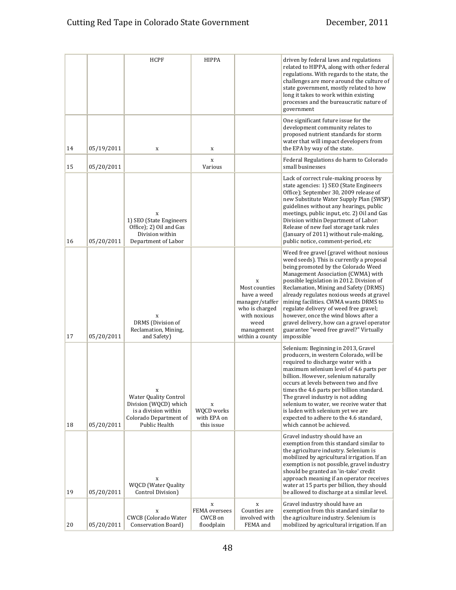|    |            | <b>HCPF</b>                                                                                                                             | HIPPA                                                 |                                                                                                                                 | driven by federal laws and regulations<br>related to HIPPA, along with other federal<br>regulations. With regards to the state, the                                                                                                                                                                                                                                                                                                                                                                                                     |
|----|------------|-----------------------------------------------------------------------------------------------------------------------------------------|-------------------------------------------------------|---------------------------------------------------------------------------------------------------------------------------------|-----------------------------------------------------------------------------------------------------------------------------------------------------------------------------------------------------------------------------------------------------------------------------------------------------------------------------------------------------------------------------------------------------------------------------------------------------------------------------------------------------------------------------------------|
|    |            |                                                                                                                                         |                                                       |                                                                                                                                 | challenges are more around the culture of<br>state government, mostly related to how<br>long it takes to work within existing<br>processes and the bureaucratic nature of<br>government                                                                                                                                                                                                                                                                                                                                                 |
| 14 | 05/19/2011 | $\mathbf x$                                                                                                                             | X                                                     |                                                                                                                                 | One significant future issue for the<br>development community relates to<br>proposed nutrient standards for storm<br>water that will impact developers from<br>the EPA by way of the state.                                                                                                                                                                                                                                                                                                                                             |
| 15 | 05/20/2011 |                                                                                                                                         | X<br>Various                                          |                                                                                                                                 | Federal Regulations do harm to Colorado<br>small businesses                                                                                                                                                                                                                                                                                                                                                                                                                                                                             |
| 16 | 05/20/2011 | X<br>1) SEO (State Engineers<br>Office); 2) Oil and Gas<br>Division within<br>Department of Labor                                       |                                                       |                                                                                                                                 | Lack of correct rule-making process by<br>state agencies: 1) SEO (State Engineers<br>Office); September 30, 2009 release of<br>new Substitute Water Supply Plan (SWSP)<br>guidelines without any hearings, public<br>meetings, public input, etc. 2) Oil and Gas<br>Division within Department of Labor:<br>Release of new fuel storage tank rules<br>(January of 2011) without rule-making,<br>public notice, comment-period, etc                                                                                                      |
| 17 | 05/20/2011 | $\mathbf x$<br>DRMS (Division of<br>Reclamation, Mining,<br>and Safety)                                                                 |                                                       | X<br>Most counties<br>have a weed<br>manager/staffer<br>who is charged<br>with noxious<br>weed<br>management<br>within a county | Weed free gravel (gravel without noxious<br>weed seeds). This is currently a proposal<br>being promoted by the Colorado Weed<br>Management Association (CWMA) with<br>possible legislation in 2012. Division of<br>Reclamation, Mining and Safety (DRMS)<br>already regulates noxious weeds at gravel<br>mining facilities. CWMA wants DRMS to<br>regulate delivery of weed free gravel;<br>however, once the wind blows after a<br>gravel delivery, how can a gravel operator<br>guarantee "weed free gravel?" Virtually<br>impossible |
| 18 | 05/20/2011 | $\mathbf x$<br><b>Water Quality Control</b><br>Division (WQCD) which<br>is a division within<br>Colorado Department of<br>Public Health | X<br><b>WOCD</b> works<br>with EPA on<br>this issue   |                                                                                                                                 | Selenium: Beginning in 2013, Gravel<br>producers, in western Colorado, will be<br>required to discharge water with a<br>maximum selenium level of 4.6 parts per<br>billion. However, selenium naturally<br>occurs at levels between two and five<br>times the 4.6 parts per billion standard.<br>The gravel industry is not adding<br>selenium to water, we receive water that<br>is laden with selenium yet we are<br>expected to adhere to the 4.6 standard,<br>which cannot be achieved.                                             |
| 19 | 05/20/2011 | X<br>WQCD (Water Quality<br>Control Division)                                                                                           |                                                       |                                                                                                                                 | Gravel industry should have an<br>exemption from this standard similar to<br>the agriculture industry. Selenium is<br>mobilized by agricultural irrigation. If an<br>exemption is not possible, gravel industry<br>should be granted an 'in-take' credit<br>approach meaning if an operator receives<br>water at 15 parts per billion, they should<br>be allowed to discharge at a similar level.                                                                                                                                       |
| 20 | 05/20/2011 | $\mathbf x$<br><b>CWCB</b> (Colorado Water<br>Conservation Board)                                                                       | $\mathbf x$<br>FEMA oversees<br>CWCB on<br>floodplain | X<br>Counties are<br>involved with<br>FEMA and                                                                                  | Gravel industry should have an<br>exemption from this standard similar to<br>the agriculture industry. Selenium is<br>mobilized by agricultural irrigation. If an                                                                                                                                                                                                                                                                                                                                                                       |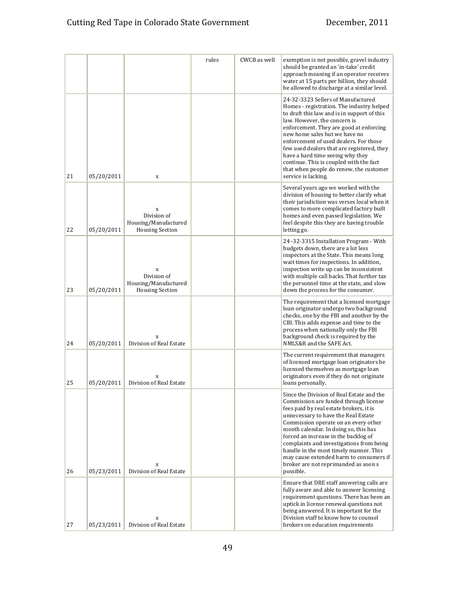|    |            |                                                                    | rules | CWCB as well | exemption is not possible, gravel industry<br>should be granted an 'in-take' credit<br>approach meaning if an operator receives<br>water at 15 parts per billion, they should<br>be allowed to discharge at a similar level.                                                                                                                                                                                                                                                        |
|----|------------|--------------------------------------------------------------------|-------|--------------|-------------------------------------------------------------------------------------------------------------------------------------------------------------------------------------------------------------------------------------------------------------------------------------------------------------------------------------------------------------------------------------------------------------------------------------------------------------------------------------|
| 21 | 05/20/2011 | X                                                                  |       |              | 24-32-3323 Sellers of Manufactured<br>Homes - registration. The industry helped<br>to draft this law and is in support of this<br>law. However, the concern is<br>enforcement. They are good at enforcing<br>new home sales but we have no<br>enforcement of used dealers. For those<br>few used dealers that are registered, they<br>have a hard time seeing why they<br>continue. This is coupled with the fact<br>that when people do renew, the customer<br>service is lacking. |
| 22 | 05/20/2011 | X<br>Division of<br>Housing/Manufactured<br><b>Housing Section</b> |       |              | Several years ago we worked with the<br>division of housing to better clarify what<br>their jurisdiction was verses local when it<br>comes to more complicated factory built<br>homes and even passed legislation. We<br>feel despite this they are having trouble<br>letting go.                                                                                                                                                                                                   |
| 23 | 05/20/2011 | X<br>Division of<br>Housing/Manufactured<br><b>Housing Section</b> |       |              | 24-32-3315 Installation Program - With<br>budgets down, there are a lot less<br>inspectors at the State. This means long<br>wait times for inspections. In addition,<br>inspection write up can be inconsistent<br>with multiple call backs. That further tax<br>the personnel time at the state, and slow<br>down the process for the consumer.                                                                                                                                    |
| 24 | 05/20/2011 | X<br>Division of Real Estate                                       |       |              | The requirement that a licensed mortgage<br>loan originator undergo two background<br>checks, one by the FBI and another by the<br>CBI. This adds expense and time to the<br>process when nationally only the FBI<br>background check is required by the<br>NMLS&R and the SAFE Act.                                                                                                                                                                                                |
| 25 | 05/20/2011 | X<br>Division of Real Estate                                       |       |              | The current requirement that managers<br>of licensed mortgage loan originators be<br>licensed themselves as mortgage loan<br>originators even if they do not originate<br>loans personally.                                                                                                                                                                                                                                                                                         |
| 26 | 05/23/2011 | $\mathbf x$<br>Division of Real Estate                             |       |              | Since the Division of Real Estate and the<br>Commission are funded through license<br>fees paid by real estate brokers, it is<br>unnecessary to have the Real Estate<br>Commission operate on an every other<br>month calendar. In doing so, this has<br>forced an increase in the backlog of<br>complaints and investigations from being<br>handle in the most timely manner. This<br>may cause extended harm to consumers if<br>broker are not reprimanded as soon s<br>possible. |
| 27 | 05/23/2011 | X<br>Division of Real Estate                                       |       |              | Ensure that DRE staff answering calls are<br>fully aware and able to answer licensing<br>requirement questions. There has been an<br>uptick in license renewal questions not<br>being answered. It is important for the<br>Division staff to know how to counsel<br>brokers on education requirements                                                                                                                                                                               |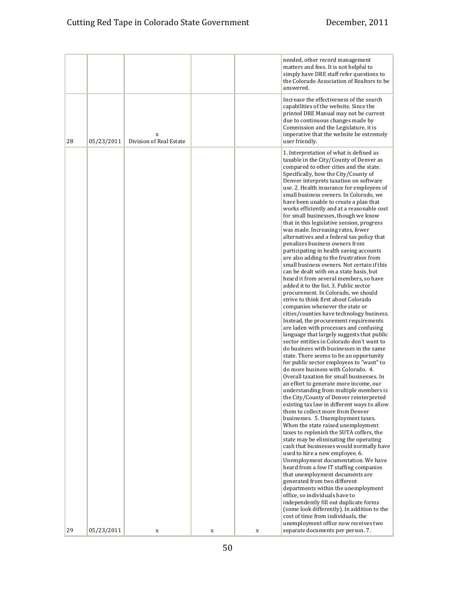|    |            |                              |   |   | needed, other record management<br>matters and fees. It is not helpful to<br>simply have DRE staff refer questions to<br>the Colorado Association of Realtors to be<br>answered.                                                                                                                                                                                                                                                                                                                                                                                                                                                                                                                                                                                                                                                                                                                                                                                                                                                                                                                                                                                                                                                                                                                                                                                                                                                                                                                                                                                                                                                                                                                                                                                                                                                                                                                                                                                                                                                                                                                                                                                                                                                        |
|----|------------|------------------------------|---|---|-----------------------------------------------------------------------------------------------------------------------------------------------------------------------------------------------------------------------------------------------------------------------------------------------------------------------------------------------------------------------------------------------------------------------------------------------------------------------------------------------------------------------------------------------------------------------------------------------------------------------------------------------------------------------------------------------------------------------------------------------------------------------------------------------------------------------------------------------------------------------------------------------------------------------------------------------------------------------------------------------------------------------------------------------------------------------------------------------------------------------------------------------------------------------------------------------------------------------------------------------------------------------------------------------------------------------------------------------------------------------------------------------------------------------------------------------------------------------------------------------------------------------------------------------------------------------------------------------------------------------------------------------------------------------------------------------------------------------------------------------------------------------------------------------------------------------------------------------------------------------------------------------------------------------------------------------------------------------------------------------------------------------------------------------------------------------------------------------------------------------------------------------------------------------------------------------------------------------------------------|
| 28 | 05/23/2011 | X<br>Division of Real Estate |   |   | Increase the effectiveness of the search<br>capabilities of the website. Since the<br>printed DRE Manual may not be current<br>due to continuous changes made by<br>Commission and the Legislature, it is<br>imperative that the website be extremely<br>user friendly.                                                                                                                                                                                                                                                                                                                                                                                                                                                                                                                                                                                                                                                                                                                                                                                                                                                                                                                                                                                                                                                                                                                                                                                                                                                                                                                                                                                                                                                                                                                                                                                                                                                                                                                                                                                                                                                                                                                                                                 |
|    |            |                              |   |   | 1. Interpretation of what is defined as<br>taxable in the City/County of Denver as<br>compared to other cities and the state.<br>Specifically, how the City/County of<br>Denver interprets taxation on software<br>use. 2. Health insurance for employees of<br>small business owners. In Colorado, we<br>have been unable to create a plan that<br>works efficiently and at a reasonable cost<br>for small businesses, though we know<br>that in this legislative session, progress<br>was made. Increasing rates, fewer<br>alternatives and a federal tax policy that<br>penalizes business owners from<br>participating in health saving accounts<br>are also adding to the frustration from<br>small business owners. Not certain if this<br>can be dealt with on a state basis, but<br>heard it from several members, so have<br>added it to the list. 3. Public sector<br>procurement. In Colorado, we should<br>strive to think first about Colorado<br>companies whenever the state or<br>cities/counties have technology business.<br>Instead, the procurement requirements<br>are laden with processes and confusing<br>language that largely suggests that public<br>sector entities in Colorado don't want to<br>do business with businesses in the same<br>state. There seems to be an opportunity<br>for public sector employees to "want" to<br>do more business with Colorado. 4.<br>Overall taxation for small businesses. In<br>an effort to generate more income, our<br>understanding from multiple members is<br>the City/County of Denver reinterpreted<br>existing tax law in different ways to allow<br>them to collect more from Denver<br>businesses. 5. Unemployment taxes.<br>When the state raised unemployment<br>taxes to replenish the SUTA coffers, the<br>state may be eliminating the operating<br>cash that businesses would normally have<br>used to hire a new employee. 6.<br>Unemployment documentation. We have<br>heard from a few IT staffing companies<br>that unemployment documents are<br>generated from two different<br>departments within the unemployment<br>office, so individuals have to<br>independently fill out duplicate forms<br>(some look differently). In addition to the |
| 29 | 05/23/2011 | X                            | X | X | cost of time from individuals, the<br>unemployment office now receives two<br>separate documents per person. 7.                                                                                                                                                                                                                                                                                                                                                                                                                                                                                                                                                                                                                                                                                                                                                                                                                                                                                                                                                                                                                                                                                                                                                                                                                                                                                                                                                                                                                                                                                                                                                                                                                                                                                                                                                                                                                                                                                                                                                                                                                                                                                                                         |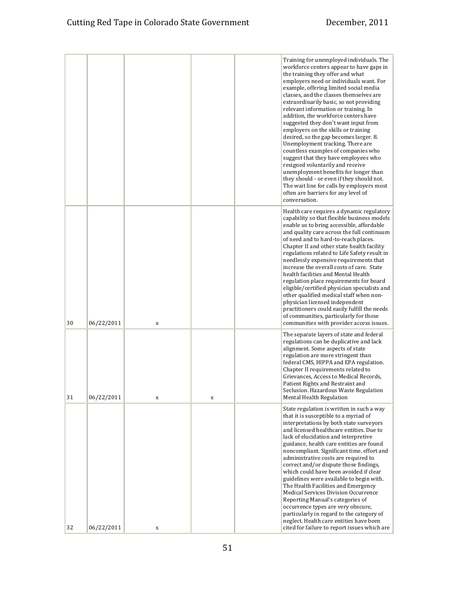|    |            |             |   | Training for unemployed individuals. The<br>workforce centers appear to have gaps in<br>the training they offer and what<br>employers need or individuals want. For<br>example, offering limited social media<br>classes, and the classes themselves are<br>extraordinarily basic, so not providing<br>relevant information or training. In<br>addition, the workforce centers have<br>suggested they don't want input from<br>employers on the skills or training<br>desired, so the gap becomes larger. 8.<br>Unemployment tracking. There are<br>countless examples of companies who<br>suggest that they have employees who<br>resigned voluntarily and receive<br>unemployment benefits for longer than<br>they should - or even if they should not.<br>The wait line for calls by employers most<br>often are barriers for any level of<br>conversation. |
|----|------------|-------------|---|----------------------------------------------------------------------------------------------------------------------------------------------------------------------------------------------------------------------------------------------------------------------------------------------------------------------------------------------------------------------------------------------------------------------------------------------------------------------------------------------------------------------------------------------------------------------------------------------------------------------------------------------------------------------------------------------------------------------------------------------------------------------------------------------------------------------------------------------------------------|
| 30 | 06/22/2011 | $\mathbf X$ |   | Health care requires a dynamic regulatory<br>capability so that flexible business models<br>enable us to bring accessible, affordable<br>and quality care across the full continuum<br>of need and to hard-to-reach places.<br>Chapter II and other state health facility<br>regulations related to Life Safety result in<br>needlessly expensive requirements that<br>increase the overall costs of care. State<br>health facilities and Mental Health<br>regulation place requirements for board<br>eligible/certified physician specialists and<br>other qualified medical staff when non-<br>physician licensed independent<br>practitioners could easily fulfill the needs<br>of communities, particularly for those<br>communities with provider access issues.                                                                                          |
| 31 | 06/22/2011 | X           | X | The separate layers of state and federal<br>regulations can be duplicative and lack<br>alignment. Some aspects of state<br>regulation are more stringent than<br>federal CMS, HIPPA and EPA regulation.<br>Chapter II requirements related to<br>Grievances, Access to Medical Records,<br>Patient Rights and Restraint and<br>Seclusion. Hazardous Waste Regulation<br><b>Mental Health Regulation</b>                                                                                                                                                                                                                                                                                                                                                                                                                                                        |
| 32 | 06/22/2011 | $\mathbf x$ |   | State regulation is written in such a way<br>that it is susceptible to a myriad of<br>interpretations by both state surveyors<br>and licensed healthcare entities. Due to<br>lack of elucidation and interpretive<br>guidance, health care entities are found<br>noncompliant. Significant time, effort and<br>administrative costs are required to<br>correct and/or dispute those findings,<br>which could have been avoided if clear<br>guidelines were available to begin with.<br>The Health Facilities and Emergency<br>Medical Services Division Occurrence<br>Reporting Manual's categories of<br>occurrence types are very obscure,<br>particularly in regard to the category of<br>neglect. Health care entities have been<br>cited for failure to report issues which are                                                                           |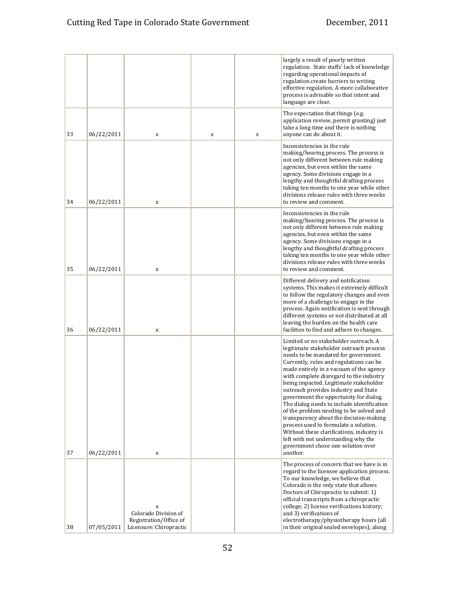|    |            |                                                                                |   |   | largely a result of poorly written<br>regulation. State staffs' lack of knowledge<br>regarding operational impacts of<br>regulation create barriers to writing<br>effective regulation. A more collaborative<br>process is advisable so that intent and<br>language are clear.                                                                                                                                                                                                                                                                                                                                                                                                                          |
|----|------------|--------------------------------------------------------------------------------|---|---|---------------------------------------------------------------------------------------------------------------------------------------------------------------------------------------------------------------------------------------------------------------------------------------------------------------------------------------------------------------------------------------------------------------------------------------------------------------------------------------------------------------------------------------------------------------------------------------------------------------------------------------------------------------------------------------------------------|
| 33 | 06/22/2011 | X                                                                              | X | X | The expectation that things (e.g.<br>application review, permit granting) just<br>take a long time and there is nothing<br>anyone can do about it.                                                                                                                                                                                                                                                                                                                                                                                                                                                                                                                                                      |
| 34 | 06/22/2011 | $\mathbf x$                                                                    |   |   | Inconsistencies in the rule<br>making/hearing process. The process is<br>not only different between rule making<br>agencies, but even within the same<br>agency. Some divisions engage in a<br>lengthy and thoughtful drafting process<br>taking ten months to one year while other<br>divisions release rules with three weeks<br>to review and comment.                                                                                                                                                                                                                                                                                                                                               |
| 35 | 06/22/2011 | X                                                                              |   |   | Inconsistencies in the rule<br>making/hearing process. The process is<br>not only different between rule making<br>agencies, but even within the same<br>agency. Some divisions engage in a<br>lengthy and thoughtful drafting process<br>taking ten months to one year while other<br>divisions release rules with three weeks<br>to review and comment.                                                                                                                                                                                                                                                                                                                                               |
| 36 | 06/22/2011 | X                                                                              |   |   | Different delivery and notification<br>systems. This makes it extremely difficult<br>to follow the regulatory changes and even<br>more of a challenge to engage in the<br>process. Again notification is sent through<br>different systems or not distributed at all<br>leaving the burden on the health care<br>facilities to find and adhere to changes.                                                                                                                                                                                                                                                                                                                                              |
| 37 | 06/22/2011 | X                                                                              |   |   | Limited or no stakeholder outreach. A<br>legitimate stakeholder outreach process<br>needs to be mandated for government.<br>Currently, rules and regulations can be<br>made entirely in a vacuum of the agency<br>with complete disregard to the industry<br>being impacted. Legitimate stakeholder<br>outreach provides industry and State<br>government the opportunity for dialog.<br>The dialog needs to include identification<br>of the problem needing to be solved and<br>transparency about the decision-making<br>process used to formulate a solution.<br>Without these clarifications, industry is<br>left with not understanding why the<br>government chose one solution over<br>another. |
| 38 | 07/05/2011 | X<br>Colorado Division of<br>Registration/Office of<br>Licensure: Chiropractic |   |   | The process of concern that we have is in<br>regard to the licensee application process.<br>To our knowledge, we believe that<br>Colorado is the only state that allows<br>Doctors of Chiropractic to submit: 1)<br>official transcripts from a chiropractic<br>college; 2) license verifications history;<br>and 3) verifications of<br>electrotherapy/physiotherapy hours (all<br>in their original sealed envelopes), along                                                                                                                                                                                                                                                                          |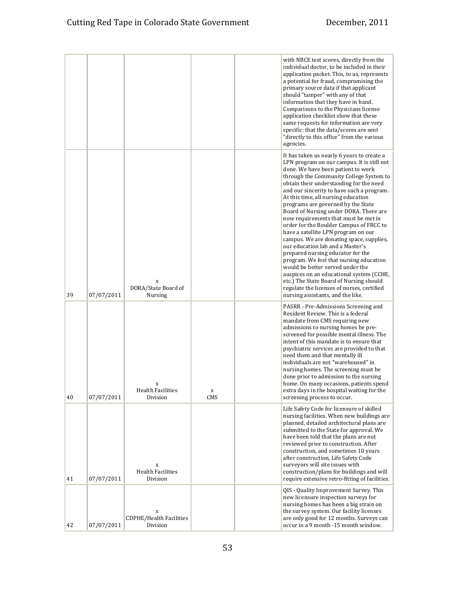|    |            |                                            |                    | with NBCE test scores, directly from the<br>individual doctor, to be included in their<br>application packet. This, to us, represents<br>a potential for fraud, compromising the<br>primary source data if that applicant<br>should "tamper" with any of that<br>information that they have in hand.<br>Comparisons to the Physicians license<br>application checklist show that these<br>same requests for information are very<br>specific: that the data/scores are sent<br>"directly to this office" from the various<br>agencies.                                                                                                                                                                                                                                                                                                                                                           |
|----|------------|--------------------------------------------|--------------------|--------------------------------------------------------------------------------------------------------------------------------------------------------------------------------------------------------------------------------------------------------------------------------------------------------------------------------------------------------------------------------------------------------------------------------------------------------------------------------------------------------------------------------------------------------------------------------------------------------------------------------------------------------------------------------------------------------------------------------------------------------------------------------------------------------------------------------------------------------------------------------------------------|
| 39 | 07/07/2011 | X<br>DORA/State Board of<br><b>Nursing</b> |                    | It has taken us nearly 6 years to create a<br>LPN program on our campus. It is still not<br>done. We have been patient to work<br>through the Community College System to<br>obtain their understanding for the need<br>and our sincerity to have such a program.<br>At this time, all nursing education<br>programs are governed by the State<br>Board of Nursing under DORA. There are<br>now requirements that must be met in<br>order for the Boulder Campus of FRCC to<br>have a satellite LPN program on our<br>campus. We are donating space, supplies,<br>our education lab and a Master's<br>prepared nursing educator for the<br>program. We feel that nursing education<br>would be better served under the<br>auspices on an educational system (CCHE,<br>etc.) The State Board of Nursing should<br>regulate the licenses of nurses, certified<br>nursing assistants, and the like. |
| 40 | 07/07/2011 | X<br><b>Health Facilities</b><br>Division  | $\mathbf X$<br>CMS | PASRR - Pre-Admissions Screening and<br>Resident Review. This is a federal<br>mandate from CMS requiring new<br>admissions to nursing homes be pre-<br>screened for possible mental illness. The<br>intent of this mandate is to ensure that<br>psychiatric services are provided to that<br>need them and that mentally ill<br>individuals are not "warehoused" in<br>nursing homes. The screening must be<br>done prior to admission to the nursing<br>home. On many occasions, patients spend<br>extra days in the hospital waiting for the<br>screening process to occur.                                                                                                                                                                                                                                                                                                                    |
| 41 | 07/07/2011 | x<br><b>Health Facilities</b><br>Division  |                    | Life Safety Code for licensure of skilled<br>nursing facilities. When new buildings are<br>planned, detailed architectural plans are<br>submitted to the State for approval. We<br>have been told that the plans are not<br>reviewed prior to construction. After<br>construction, and sometimes 10 years<br>after construction, Life Safety Code<br>surveyors will site issues with<br>construction/plans for buildings and will<br>require extensive retro-fitting of facilities.                                                                                                                                                                                                                                                                                                                                                                                                              |
| 42 | 07/07/2011 | X<br>CDPHE/Health Facilities<br>Division   |                    | QIS - Quality Improvement Survey. This<br>new licensure inspection surveys for<br>nursing homes has been a big strain on<br>the survey system. Our facility licenses<br>are only good for 12 months. Surveys can<br>occur in a 9 month -15 month window.                                                                                                                                                                                                                                                                                                                                                                                                                                                                                                                                                                                                                                         |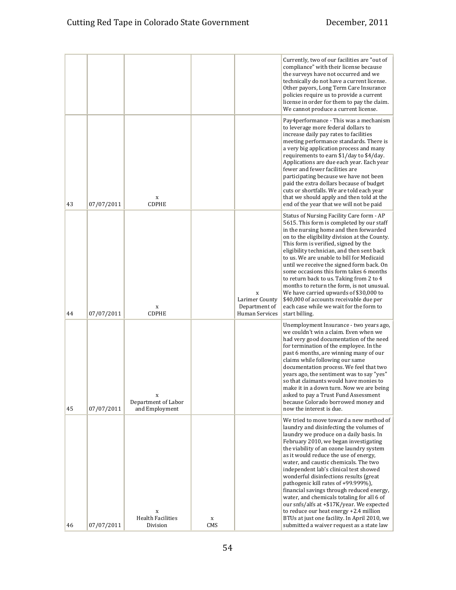|    |            |                                            |          |                                                        | Currently, two of our facilities are "out of<br>compliance" with their license because<br>the surveys have not occurred and we<br>technically do not have a current license.<br>Other payors, Long Term Care Insurance<br>policies require us to provide a current<br>license in order for them to pay the claim.<br>We cannot produce a current license.                                                                                                                                                                                                                                                                                                                                                      |
|----|------------|--------------------------------------------|----------|--------------------------------------------------------|----------------------------------------------------------------------------------------------------------------------------------------------------------------------------------------------------------------------------------------------------------------------------------------------------------------------------------------------------------------------------------------------------------------------------------------------------------------------------------------------------------------------------------------------------------------------------------------------------------------------------------------------------------------------------------------------------------------|
| 43 | 07/07/2011 | X<br>CDPHE                                 |          |                                                        | Pay4performance - This was a mechanism<br>to leverage more federal dollars to<br>increase daily pay rates to facilities<br>meeting performance standards. There is<br>a very big application process and many<br>requirements to earn \$1/day to \$4/day.<br>Applications are due each year. Each year<br>fewer and fewer facilities are<br>participating because we have not been<br>paid the extra dollars because of budget<br>cuts or shortfalls. We are told each year<br>that we should apply and then told at the<br>end of the year that we will not be paid                                                                                                                                           |
| 44 | 07/07/2011 | $\mathbf x$<br>CDPHE                       |          | X<br>Larimer County<br>Department of<br>Human Services | Status of Nursing Facility Care form - AP<br>5615. This form is completed by our staff<br>in the nursing home and then forwarded<br>on to the eligibility division at the County.<br>This form is verified, signed by the<br>eligibility technician, and then sent back<br>to us. We are unable to bill for Medicaid<br>until we receive the signed form back. On<br>some occasions this form takes 6 months<br>to return back to us. Taking from 2 to 4<br>months to return the form, is not unusual.<br>We have carried upwards of \$30,000 to<br>\$40,000 of accounts receivable due per<br>each case while we wait for the form to<br>start billing.                                                       |
| 45 | 07/07/2011 | X<br>Department of Labor<br>and Employment |          |                                                        | Unemployment Insurance - two years ago,<br>we couldn't win a claim. Even when we<br>had very good documentation of the need<br>for termination of the employee. In the<br>past 6 months, are winning many of our<br>claims while following our same<br>documentation process. We feel that two<br>years ago, the sentiment was to say "yes"<br>so that claimants would have monies to<br>make it in a down turn. Now we are being<br>asked to pay a Trust Fund Assessment<br>because Colorado borrowed money and<br>now the interest is due.                                                                                                                                                                   |
| 46 | 07/07/2011 | X<br><b>Health Facilities</b><br>Division  | X<br>CMS |                                                        | We tried to move toward a new method of<br>laundry and disinfecting the volumes of<br>laundry we produce on a daily basis. In<br>February 2010, we began investigating<br>the viability of an ozone laundry system<br>as it would reduce the use of energy,<br>water, and caustic chemicals. The two<br>independent lab's clinical test showed<br>wonderful disinfections results (great<br>pathogenic kill rates of +99.999%).<br>financial savings through reduced energy,<br>water, and chemicals totaling for all 6 of<br>our snfs/alfs at +\$17K/year. We expected<br>to reduce our heat energy +2.4 million<br>BTUs at just one facility. In April 2010, we<br>submitted a waiver request as a state law |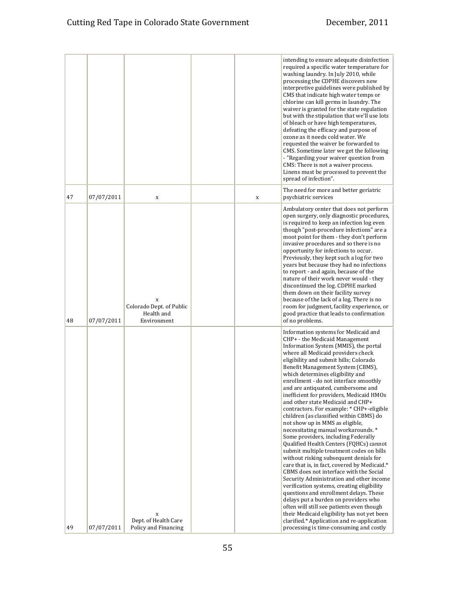|    |            |                                                             |   | intending to ensure adequate disinfection<br>required a specific water temperature for<br>washing laundry. In July 2010, while<br>processing the CDPHE discovers new<br>interpretive guidelines were published by<br>CMS that indicate high water temps or<br>chlorine can kill germs in laundry. The<br>waiver is granted for the state regulation<br>but with the stipulation that we'll use lots<br>of bleach or have high temperatures,<br>defeating the efficacy and purpose of<br>ozone as it needs cold water. We<br>requested the waiver be forwarded to<br>CMS. Sometime later we get the following<br>- "Regarding your waiver question from<br>CMS: There is not a waiver process.<br>Linens must be processed to prevent the<br>spread of infection".                                                                                                                                                                                                                                                                                                                                                                                                                                      |
|----|------------|-------------------------------------------------------------|---|--------------------------------------------------------------------------------------------------------------------------------------------------------------------------------------------------------------------------------------------------------------------------------------------------------------------------------------------------------------------------------------------------------------------------------------------------------------------------------------------------------------------------------------------------------------------------------------------------------------------------------------------------------------------------------------------------------------------------------------------------------------------------------------------------------------------------------------------------------------------------------------------------------------------------------------------------------------------------------------------------------------------------------------------------------------------------------------------------------------------------------------------------------------------------------------------------------|
| 47 | 07/07/2011 | $\mathbf X$                                                 | X | The need for more and better geriatric<br>psychiatric services                                                                                                                                                                                                                                                                                                                                                                                                                                                                                                                                                                                                                                                                                                                                                                                                                                                                                                                                                                                                                                                                                                                                         |
| 48 | 07/07/2011 | X<br>Colorado Dept. of Public<br>Health and<br>Environment  |   | Ambulatory center that does not perform<br>open surgery, only diagnostic procedures,<br>is required to keep an infection log even<br>though "post-procedure infections" are a<br>moot point for them - they don't perform<br>invasive procedures and so there is no<br>opportunity for infections to occur.<br>Previously, they kept such a log for two<br>years but because they had no infections<br>to report - and again, because of the<br>nature of their work never would - they<br>discontinued the log. CDPHE marked<br>them down on their facility survey<br>because of the lack of a log. There is no<br>room for judgment, facility experience, or<br>good practice that leads to confirmation<br>of no problems.                                                                                                                                                                                                                                                                                                                                                                                                                                                                          |
|    |            |                                                             |   | Information systems for Medicaid and                                                                                                                                                                                                                                                                                                                                                                                                                                                                                                                                                                                                                                                                                                                                                                                                                                                                                                                                                                                                                                                                                                                                                                   |
| 49 | 07/07/2011 | $\mathbf x$<br>Dept. of Health Care<br>Policy and Financing |   | CHP+ - the Medicaid Management<br>Information System (MMIS), the portal<br>where all Medicaid providers check<br>eligibility and submit bills; Colorado<br>Benefit Management System (CBMS),<br>which determines eligibility and<br>enrollment - do not interface smoothly<br>and are antiquated, cumbersome and<br>inefficient for providers, Medicaid HMOs<br>and other state Medicaid and CHP+<br>contractors. For example: * CHP+-eligible<br>children (as classified within CBMS) do<br>not show up in MMS as eligible.<br>necessitating manual workarounds.*<br>Some providers, including Federally<br>Qualified Health Centers (FQHCs) cannot<br>submit multiple treatment codes on bills<br>without risking subsequent denials for<br>care that is, in fact, covered by Medicaid.*<br>CBMS does not interface with the Social<br>Security Administration and other income<br>verification systems, creating eligibility<br>questions and enrollment delays. These<br>delays put a burden on providers who<br>often will still see patients even though<br>their Medicaid eligibility has not yet been<br>clarified.* Application and re-application<br>processing is time-consuming and costly |
|    |            |                                                             |   |                                                                                                                                                                                                                                                                                                                                                                                                                                                                                                                                                                                                                                                                                                                                                                                                                                                                                                                                                                                                                                                                                                                                                                                                        |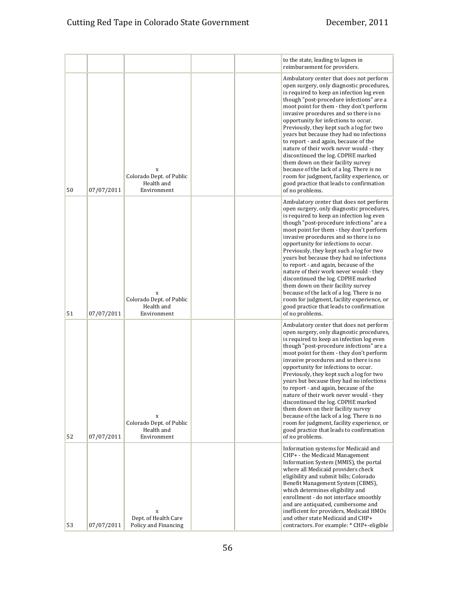|    |            |                                                            |  | to the state, leading to lapses in<br>reimbursement for providers.                                                                                                                                                                                                                                                                                                                                                                                                                                                                                                                                                                                                                                                            |
|----|------------|------------------------------------------------------------|--|-------------------------------------------------------------------------------------------------------------------------------------------------------------------------------------------------------------------------------------------------------------------------------------------------------------------------------------------------------------------------------------------------------------------------------------------------------------------------------------------------------------------------------------------------------------------------------------------------------------------------------------------------------------------------------------------------------------------------------|
| 50 | 07/07/2011 | X<br>Colorado Dept. of Public<br>Health and<br>Environment |  | Ambulatory center that does not perform<br>open surgery, only diagnostic procedures,<br>is required to keep an infection log even<br>though "post-procedure infections" are a<br>moot point for them - they don't perform<br>invasive procedures and so there is no<br>opportunity for infections to occur.<br>Previously, they kept such a log for two<br>years but because they had no infections<br>to report - and again, because of the<br>nature of their work never would - they<br>discontinued the log. CDPHE marked<br>them down on their facility survey<br>because of the lack of a log. There is no<br>room for judgment, facility experience, or<br>good practice that leads to confirmation<br>of no problems. |
| 51 | 07/07/2011 | x<br>Colorado Dept. of Public<br>Health and<br>Environment |  | Ambulatory center that does not perform<br>open surgery, only diagnostic procedures,<br>is required to keep an infection log even<br>though "post-procedure infections" are a<br>moot point for them - they don't perform<br>invasive procedures and so there is no<br>opportunity for infections to occur.<br>Previously, they kept such a log for two<br>years but because they had no infections<br>to report - and again, because of the<br>nature of their work never would - they<br>discontinued the log. CDPHE marked<br>them down on their facility survey<br>because of the lack of a log. There is no<br>room for judgment, facility experience, or<br>good practice that leads to confirmation<br>of no problems. |
| 52 | 07/07/2011 | X<br>Colorado Dept. of Public<br>Health and<br>Environment |  | Ambulatory center that does not perform<br>open surgery, only diagnostic procedures,<br>is required to keep an infection log even<br>though "post-procedure infections" are a<br>moot point for them - they don't perform<br>invasive procedures and so there is no<br>opportunity for infections to occur.<br>Previously, they kept such a log for two<br>years but because they had no infections<br>to report - and again, because of the<br>nature of their work never would - they<br>discontinued the log. CDPHE marked<br>them down on their facility survey<br>because of the lack of a log. There is no<br>room for judgment, facility experience, or<br>good practice that leads to confirmation<br>of no problems. |
| 53 | 07/07/2011 | X<br>Dept. of Health Care<br>Policy and Financing          |  | Information systems for Medicaid and<br>CHP+ - the Medicaid Management<br>Information System (MMIS), the portal<br>where all Medicaid providers check<br>eligibility and submit bills; Colorado<br>Benefit Management System (CBMS),<br>which determines eligibility and<br>enrollment - do not interface smoothly<br>and are antiquated, cumbersome and<br>inefficient for providers, Medicaid HMOs<br>and other state Medicaid and CHP+<br>contractors. For example: * CHP+-eligible                                                                                                                                                                                                                                        |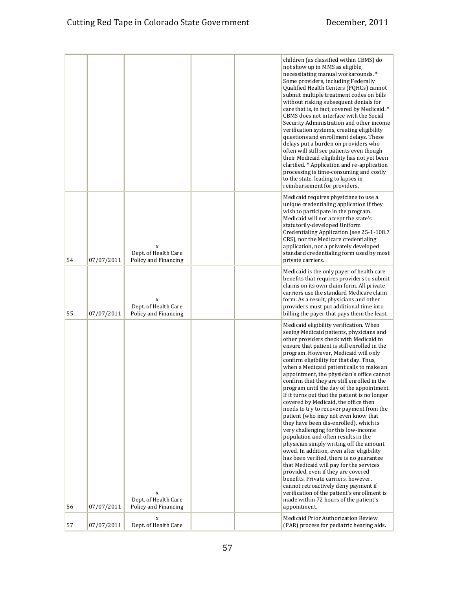|    |            |                                                             |  | children (as classified within CBMS) do<br>not show up in MMS as eligible,<br>necessitating manual workarounds.*<br>Some providers, including Federally<br>Qualified Health Centers (FQHCs) cannot<br>submit multiple treatment codes on bills<br>without risking subsequent denials for<br>care that is, in fact, covered by Medicaid.*<br>CBMS does not interface with the Social<br>Security Administration and other income<br>verification systems, creating eligibility<br>questions and enrollment delays. These<br>delays put a burden on providers who<br>often will still see patients even though<br>their Medicaid eligibility has not yet been<br>clarified. * Application and re-application<br>processing is time-consuming and costly<br>to the state, leading to lapses in<br>reimbursement for providers.                                                                                                                                                                                                                                                                                                                                              |
|----|------------|-------------------------------------------------------------|--|--------------------------------------------------------------------------------------------------------------------------------------------------------------------------------------------------------------------------------------------------------------------------------------------------------------------------------------------------------------------------------------------------------------------------------------------------------------------------------------------------------------------------------------------------------------------------------------------------------------------------------------------------------------------------------------------------------------------------------------------------------------------------------------------------------------------------------------------------------------------------------------------------------------------------------------------------------------------------------------------------------------------------------------------------------------------------------------------------------------------------------------------------------------------------|
| 54 | 07/07/2011 | X<br>Dept. of Health Care<br>Policy and Financing           |  | Medicaid requires physicians to use a<br>unique credentialing application if they<br>wish to participate in the program.<br>Medicaid will not accept the state's<br>statutorily-developed Uniform<br>Credentialing Application (see 25-1-108.7<br>CRS), nor the Medicare credentialing<br>application, nor a privately developed<br>standard credentialing form used by most<br>private carriers.                                                                                                                                                                                                                                                                                                                                                                                                                                                                                                                                                                                                                                                                                                                                                                        |
| 55 | 07/07/2011 | X<br>Dept. of Health Care<br>Policy and Financing           |  | Medicaid is the only payer of health care<br>benefits that requires providers to submit<br>claims on its own claim form. All private<br>carriers use the standard Medicare claim<br>form. As a result, physicians and other<br>providers must put additional time into<br>billing the payer that pays them the least.                                                                                                                                                                                                                                                                                                                                                                                                                                                                                                                                                                                                                                                                                                                                                                                                                                                    |
| 56 | 07/07/2011 | $\mathbf x$<br>Dept. of Health Care<br>Policy and Financing |  | Medicaid eligibility verification. When<br>seeing Medicaid patients, physicians and<br>other providers check with Medicaid to<br>ensure that patient is still enrolled in the<br>program. However, Medicaid will only<br>confirm eligibility for that day. Thus,<br>when a Medicaid patient calls to make an<br>appointment, the physician's office cannot<br>confirm that they are still enrolled in the<br>program until the day of the appointment.<br>If it turns out that the patient is no longer<br>covered by Medicaid, the office then<br>needs to try to recover payment from the<br>patient (who may not even know that<br>they have been dis-enrolled), which is<br>very challenging for this low-income<br>population and often results in the<br>physician simply writing off the amount<br>owed. In addition, even after eligibility<br>has been verified, there is no guarantee<br>that Medicaid will pay for the services<br>provided, even if they are covered<br>benefits. Private carriers, however,<br>cannot retroactively deny payment if<br>verification of the patient's enrollment is<br>made within 72 hours of the patient's<br>appointment. |
| 57 | 07/07/2011 | X<br>Dept. of Health Care                                   |  | Medicaid Prior Authorization Review<br>(PAR) process for pediatric hearing aids.                                                                                                                                                                                                                                                                                                                                                                                                                                                                                                                                                                                                                                                                                                                                                                                                                                                                                                                                                                                                                                                                                         |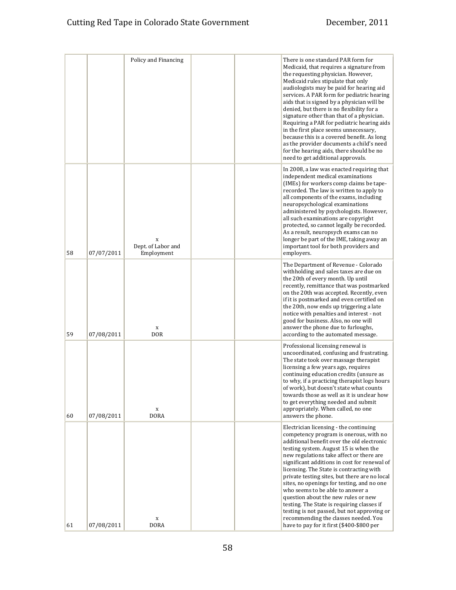|    |            | Policy and Financing                  |  | There is one standard PAR form for<br>Medicaid, that requires a signature from<br>the requesting physician. However,<br>Medicaid rules stipulate that only<br>audiologists may be paid for hearing aid<br>services. A PAR form for pediatric hearing<br>aids that is signed by a physician will be<br>denied, but there is no flexibility for a<br>signature other than that of a physician.<br>Requiring a PAR for pediatric hearing aids<br>in the first place seems unnecessary,<br>because this is a covered benefit. As long<br>as the provider documents a child's need<br>for the hearing aids, there should be no<br>need to get additional approvals.              |
|----|------------|---------------------------------------|--|-----------------------------------------------------------------------------------------------------------------------------------------------------------------------------------------------------------------------------------------------------------------------------------------------------------------------------------------------------------------------------------------------------------------------------------------------------------------------------------------------------------------------------------------------------------------------------------------------------------------------------------------------------------------------------|
| 58 | 07/07/2011 | X<br>Dept. of Labor and<br>Employment |  | In 2008, a law was enacted requiring that<br>independent medical examinations<br>(IMEs) for workers comp claims be tape-<br>recorded. The law is written to apply to<br>all components of the exams, including<br>neuropsychological examinations<br>administered by psychologists. However,<br>all such examinations are copyright<br>protected, so cannot legally be recorded.<br>As a result, neuropsych exams can no<br>longer be part of the IME, taking away an<br>important tool for both providers and<br>employers.                                                                                                                                                |
| 59 | 07/08/2011 | X<br><b>DOR</b>                       |  | The Department of Revenue - Colorado<br>withholding and sales taxes are due on<br>the 20th of every month. Up until<br>recently, remittance that was postmarked<br>on the 20th was accepted. Recently, even<br>if it is postmarked and even certified on<br>the 20th, now ends up triggering a late<br>notice with penalties and interest - not<br>good for business. Also, no one will<br>answer the phone due to furloughs,<br>according to the automated message.                                                                                                                                                                                                        |
| 60 | 07/08/2011 | X<br><b>DORA</b>                      |  | Professional licensing renewal is<br>uncoordinated, confusing and frustrating.<br>The state took over massage therapist<br>licensing a few years ago, requires<br>continuing education credits (unsure as<br>to why, if a practicing therapist logs hours<br>of work), but doesn't state what counts<br>towards those as well as it is unclear how<br>to get everything needed and submit<br>appropriately. When called, no one<br>answers the phone.                                                                                                                                                                                                                       |
| 61 | 07/08/2011 | X<br><b>DORA</b>                      |  | Electrician licensing - the continuing<br>competency program is onerous, with no<br>additional benefit over the old electronic<br>testing system. August 15 is when the<br>new regulations take affect or there are<br>significant additions in cost for renewal of<br>licensing. The State is contracting with<br>private testing sites, but there are no local<br>sites, no openings for testing, and no one<br>who seems to be able to answer a<br>question about the new rules or new<br>testing. The State is requiring classes if<br>testing is not passed, but not approving or<br>recommending the classes needed. You<br>have to pay for it first (\$400-\$800 per |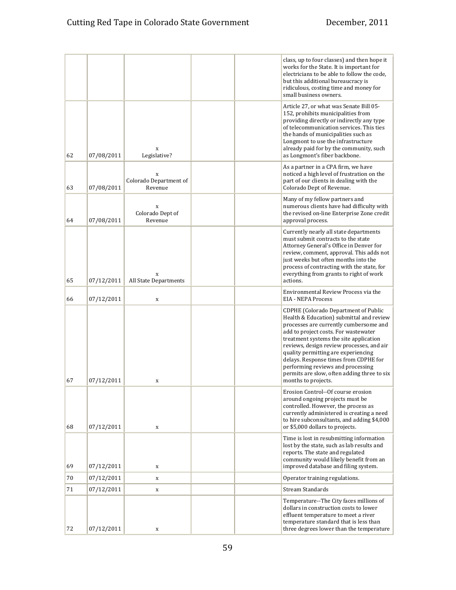|    |            |                                        |  | class, up to four classes) and then hope it<br>works for the State. It is important for<br>electricians to be able to follow the code,<br>but this additional bureaucracy is<br>ridiculous, costing time and money for<br>small business owners.                                                                                                                                                                                                     |
|----|------------|----------------------------------------|--|------------------------------------------------------------------------------------------------------------------------------------------------------------------------------------------------------------------------------------------------------------------------------------------------------------------------------------------------------------------------------------------------------------------------------------------------------|
| 62 | 07/08/2011 | X<br>Legislative?                      |  | Article 27, or what was Senate Bill 05-<br>152, prohibits municipalities from<br>providing directly or indirectly any type<br>of telecommunication services. This ties<br>the hands of municipalities such as<br>Longmont to use the infrastructure<br>already paid for by the community, such<br>as Longmont's fiber backbone.                                                                                                                      |
| 63 | 07/08/2011 | X<br>Colorado Department of<br>Revenue |  | As a partner in a CPA firm, we have<br>noticed a high level of frustration on the<br>part of our clients in dealing with the<br>Colorado Dept of Revenue.                                                                                                                                                                                                                                                                                            |
| 64 | 07/08/2011 | X<br>Colorado Dept of<br>Revenue       |  | Many of my fellow partners and<br>numerous clients have had difficulty with<br>the revised on-line Enterprise Zone credit<br>approval process.                                                                                                                                                                                                                                                                                                       |
| 65 | 07/12/2011 | X<br>All State Departments             |  | Currently nearly all state departments<br>must submit contracts to the state<br>Attorney General's Office in Denver for<br>review, comment, approval. This adds not<br>just weeks but often months into the<br>process of contracting with the state, for<br>everything from grants to right of work<br>actions.                                                                                                                                     |
| 66 | 07/12/2011 | $\mathbf x$                            |  | Environmental Review Process via the<br><b>EIA - NEPA Process</b>                                                                                                                                                                                                                                                                                                                                                                                    |
| 67 | 07/12/2011 | X                                      |  | CDPHE (Colorado Department of Public<br>Health & Education) submittal and review<br>processes are currently cumbersome and<br>add to project costs. For wastewater<br>treatment systems the site application<br>reviews, design review processes, and air<br>quality permitting are experiencing<br>delays. Response times from CDPHE for<br>performing reviews and processing<br>permits are slow, often adding three to six<br>months to projects. |
| 68 | 07/12/2011 | X                                      |  | Erosion Control--Of course erosion<br>around ongoing projects must be<br>controlled. However, the process as<br>currently administered is creating a need<br>to hire subconsultants, and adding \$4,000<br>or \$5,000 dollars to projects.                                                                                                                                                                                                           |
| 69 | 07/12/2011 | X                                      |  | Time is lost in resubmitting information<br>lost by the state, such as lab results and<br>reports. The state and regulated<br>community would likely benefit from an<br>improved database and filing system.                                                                                                                                                                                                                                         |
| 70 | 07/12/2011 | $\mathbf X$                            |  | Operator training regulations.                                                                                                                                                                                                                                                                                                                                                                                                                       |
| 71 | 07/12/2011 | $\mathbf X$                            |  | Stream Standards                                                                                                                                                                                                                                                                                                                                                                                                                                     |
| 72 | 07/12/2011 | X                                      |  | Temperature--The City faces millions of<br>dollars in construction costs to lower<br>effluent temperature to meet a river<br>temperature standard that is less than<br>three degrees lower than the temperature                                                                                                                                                                                                                                      |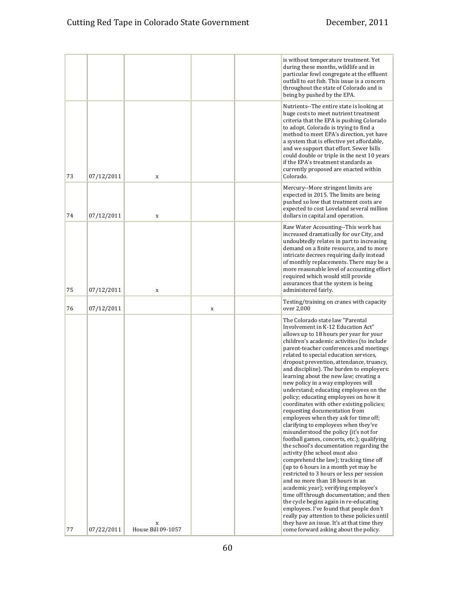|    |            |                         |   | is without temperature treatment. Yet<br>during these months, wildlife and in<br>particular fowl congregate at the effluent<br>outfall to eat fish. This issue is a concern<br>throughout the state of Colorado and is<br>being by pushed by the EPA.                                                                                                                                                                                                                                                                                                                                                                                                                                                                                                                                                                                                                                                                                                                                                                                                                                                                                                                                                                                             |
|----|------------|-------------------------|---|---------------------------------------------------------------------------------------------------------------------------------------------------------------------------------------------------------------------------------------------------------------------------------------------------------------------------------------------------------------------------------------------------------------------------------------------------------------------------------------------------------------------------------------------------------------------------------------------------------------------------------------------------------------------------------------------------------------------------------------------------------------------------------------------------------------------------------------------------------------------------------------------------------------------------------------------------------------------------------------------------------------------------------------------------------------------------------------------------------------------------------------------------------------------------------------------------------------------------------------------------|
| 73 | 07/12/2011 | X                       |   | Nutrients--The entire state is looking at<br>huge costs to meet nutrient treatment<br>criteria that the EPA is pushing Colorado<br>to adopt. Colorado is trying to find a<br>method to meet EPA's direction, yet have<br>a system that is effective yet affordable,<br>and we support that effort. Sewer bills<br>could double or triple in the next 10 years<br>if the EPA's treatment standards as<br>currently proposed are enacted within<br>Colorado.                                                                                                                                                                                                                                                                                                                                                                                                                                                                                                                                                                                                                                                                                                                                                                                        |
| 74 | 07/12/2011 | X                       |   | Mercury--More stringent limits are<br>expected in 2015. The limits are being<br>pushed so low that treatment costs are<br>expected to cost Loveland several million<br>dollars in capital and operation.                                                                                                                                                                                                                                                                                                                                                                                                                                                                                                                                                                                                                                                                                                                                                                                                                                                                                                                                                                                                                                          |
| 75 | 07/12/2011 | $\mathbf x$             |   | Raw Water Accounting--This work has<br>increased dramatically for our City, and<br>undoubtedly relates in part to increasing<br>demand on a finite resource, and to more<br>intricate decrees requiring daily instead<br>of monthly replacements. There may be a<br>more reasonable level of accounting effort<br>required which would still provide<br>assurances that the system is being<br>administered fairly.                                                                                                                                                                                                                                                                                                                                                                                                                                                                                                                                                                                                                                                                                                                                                                                                                               |
| 76 | 07/12/2011 |                         | X | Testing/training on cranes with capacity<br>over 2,000                                                                                                                                                                                                                                                                                                                                                                                                                                                                                                                                                                                                                                                                                                                                                                                                                                                                                                                                                                                                                                                                                                                                                                                            |
|    |            |                         |   | The Colorado state law "Parental<br>Involvement in K-12 Education Act"<br>allows up to 18 hours per year for your<br>children's academic activities (to include<br>parent-teacher conferences and meetings<br>related to special education services,<br>dropout prevention, attendance, truancy,<br>and discipline). The burden to employers:<br>learning about the new law; creating a<br>new policy in a way employees will<br>understand; educating employees on the<br>policy; educating employees on how it<br>coordinates with other existing policies;<br>requesting documentation from<br>employees when they ask for time off;<br>clarifying to employees when they've<br>misunderstood the policy (it's not for<br>football games, concerts, etc.); qualifying<br>the school's documentation regarding the<br>activity (the school must also<br>comprehend the law); tracking time off<br>(up to 6 hours in a month yet may be<br>restricted to 3 hours or less per session<br>and no more than 18 hours in an<br>academic year); verifying employee's<br>time off through documentation; and then<br>the cycle begins again in re-educating<br>employees. I've found that people don't<br>really pay attention to these policies until |
| 77 | 07/22/2011 | X<br>House Bill 09-1057 |   | they have an issue. It's at that time they<br>come forward asking about the policy.                                                                                                                                                                                                                                                                                                                                                                                                                                                                                                                                                                                                                                                                                                                                                                                                                                                                                                                                                                                                                                                                                                                                                               |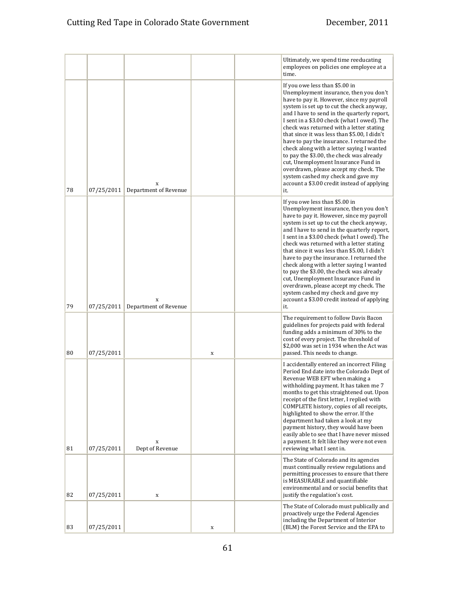|    |            |                                |   | Ultimately, we spend time reeducating<br>employees on policies one employee at a<br>time.                                                                                                                                                                                                                                                                                                                                                                                                                                                                                                                                                                                       |
|----|------------|--------------------------------|---|---------------------------------------------------------------------------------------------------------------------------------------------------------------------------------------------------------------------------------------------------------------------------------------------------------------------------------------------------------------------------------------------------------------------------------------------------------------------------------------------------------------------------------------------------------------------------------------------------------------------------------------------------------------------------------|
| 78 | 07/25/2011 | X<br>Department of Revenue     |   | If you owe less than \$5.00 in<br>Unemployment insurance, then you don't<br>have to pay it. However, since my payroll<br>system is set up to cut the check anyway,<br>and I have to send in the quarterly report,<br>I sent in a \$3.00 check (what I owed). The<br>check was returned with a letter stating<br>that since it was less than \$5.00, I didn't<br>have to pay the insurance. I returned the<br>check along with a letter saying I wanted<br>to pay the \$3.00, the check was already<br>cut, Unemployment Insurance Fund in<br>overdrawn, please accept my check. The<br>system cashed my check and gave my<br>account a \$3.00 credit instead of applying<br>it. |
| 79 | 07/25/2011 | X<br>Department of Revenue     |   | If you owe less than \$5.00 in<br>Unemployment insurance, then you don't<br>have to pay it. However, since my payroll<br>system is set up to cut the check anyway,<br>and I have to send in the quarterly report,<br>I sent in a \$3.00 check (what I owed). The<br>check was returned with a letter stating<br>that since it was less than \$5.00, I didn't<br>have to pay the insurance. I returned the<br>check along with a letter saying I wanted<br>to pay the \$3.00, the check was already<br>cut, Unemployment Insurance Fund in<br>overdrawn, please accept my check. The<br>system cashed my check and gave my<br>account a \$3.00 credit instead of applying<br>it. |
| 80 | 07/25/2011 |                                | X | The requirement to follow Davis Bacon<br>guidelines for projects paid with federal<br>funding adds a minimum of 30% to the<br>cost of every project. The threshold of<br>\$2,000 was set in 1934 when the Act was<br>passed. This needs to change.                                                                                                                                                                                                                                                                                                                                                                                                                              |
| 81 | 07/25/2011 | $\mathbf x$<br>Dept of Revenue |   | I accidentally entered an incorrect Filing<br>Period End date into the Colorado Dept of<br>Revenue WEB EFT when making a<br>withholding payment. It has taken me 7<br>months to get this straightened out. Upon<br>receipt of the first letter, I replied with<br>COMPLETE history, copies of all receipts,<br>highlighted to show the error. If the<br>department had taken a look at my<br>payment history, they would have been<br>easily able to see that I have never missed<br>a payment. It felt like they were not even<br>reviewing what I sent in.                                                                                                                    |
| 82 | 07/25/2011 | X                              |   | The State of Colorado and its agencies<br>must continually review regulations and<br>permitting processes to ensure that there<br>is MEASURABLE and quantifiable<br>environmental and or social benefits that<br>justify the regulation's cost.                                                                                                                                                                                                                                                                                                                                                                                                                                 |
| 83 | 07/25/2011 |                                | X | The State of Colorado must publically and<br>proactively urge the Federal Agencies<br>including the Department of Interior<br>(BLM) the Forest Service and the EPA to                                                                                                                                                                                                                                                                                                                                                                                                                                                                                                           |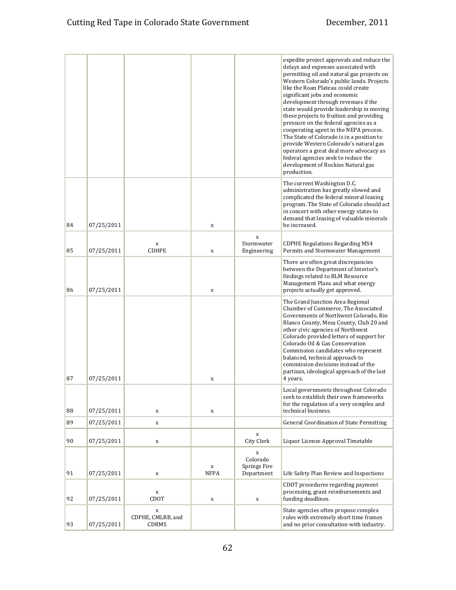|    |            |                                           |                     |                                                       | expedite project approvals and reduce the<br>delays and expenses associated with<br>permitting oil and natural gas projects on<br>Western Colorado's public lands. Projects<br>like the Roan Plateau could create<br>significant jobs and economic<br>development through revenues if the<br>state would provide leadership in moving<br>these projects to fruition and providing<br>pressure on the federal agencies as a<br>cooperating agent in the NEPA process.<br>The State of Colorado is in a position to<br>provide Western Colorado's natural gas<br>operators a great deal more advocacy as<br>federal agencies seek to reduce the<br>development of Rockies Natural gas<br>production. |
|----|------------|-------------------------------------------|---------------------|-------------------------------------------------------|----------------------------------------------------------------------------------------------------------------------------------------------------------------------------------------------------------------------------------------------------------------------------------------------------------------------------------------------------------------------------------------------------------------------------------------------------------------------------------------------------------------------------------------------------------------------------------------------------------------------------------------------------------------------------------------------------|
| 84 | 07/25/2011 |                                           | X                   |                                                       | The current Washington D.C.<br>administration has greatly slowed and<br>complicated the federal mineral leasing<br>program. The State of Colorado should act<br>in concert with other energy states to<br>demand that leasing of valuable minerals<br>be increased.                                                                                                                                                                                                                                                                                                                                                                                                                                |
| 85 | 07/25/2011 | $\mathbf x$<br><b>CDHPE</b>               | X                   | X<br>Stormwater<br>Engineering                        | <b>CDPHE Regulations Regarding MS4</b><br>Permits and Stormwater Management                                                                                                                                                                                                                                                                                                                                                                                                                                                                                                                                                                                                                        |
| 86 | 07/25/2011 |                                           | X                   |                                                       | There are often great discrepancies<br>between the Department of Interior's<br>findings related to BLM Resource<br>Management Plans and what energy<br>projects actually get approved.                                                                                                                                                                                                                                                                                                                                                                                                                                                                                                             |
| 87 | 07/25/2011 |                                           | X                   |                                                       | The Grand Junction Area Regional<br>Chamber of Commerce, The Associated<br>Governments of Northwest Colorado, Rio<br>Blanco County, Mesa County, Club 20 and<br>other civic agencies of Northwest<br>Colorado provided letters of support for<br>Colorado Oil & Gas Conservation<br>Commission candidates who represent<br>balanced, technical approach to<br>commission decisions instead of the<br>partisan, ideological approach of the last<br>4 years.                                                                                                                                                                                                                                        |
|    |            |                                           |                     |                                                       | Local governments throughout Colorado<br>seek to establish their own frameworks<br>for the regulation of a very complex and                                                                                                                                                                                                                                                                                                                                                                                                                                                                                                                                                                        |
| 88 | 07/25/2011 | $\mathbf x$                               | $\mathbf X$         |                                                       | technical business.                                                                                                                                                                                                                                                                                                                                                                                                                                                                                                                                                                                                                                                                                |
| 89 | 07/25/2011 | $\mathbf x$                               |                     |                                                       | <b>General Coordination of State Permitting</b>                                                                                                                                                                                                                                                                                                                                                                                                                                                                                                                                                                                                                                                    |
| 90 | 07/25/2011 | X                                         |                     | X<br>City Clerk                                       | Liquor License Approval Timetable                                                                                                                                                                                                                                                                                                                                                                                                                                                                                                                                                                                                                                                                  |
| 91 | 07/25/2011 | $\mathbf x$                               | $\mathbf X$<br>NFPA | $\mathbf x$<br>Colorado<br>Springs Fire<br>Department | Life Safety Plan Review and Inspections                                                                                                                                                                                                                                                                                                                                                                                                                                                                                                                                                                                                                                                            |
| 92 | 07/25/2011 | $\mathbf x$<br>CDOT                       | $\mathbf X$         | $\mathbf x$                                           | CDOT procedures regarding payment<br>processing, grant reimbursements and<br>funding deadlines.                                                                                                                                                                                                                                                                                                                                                                                                                                                                                                                                                                                                    |
| 93 | 07/25/2011 | $\mathbf x$<br>CDPHE, CMLRB, and<br>CDRMS |                     |                                                       | State agencies often propose complex<br>rules with extremely short time frames<br>and no prior consultation with industry.                                                                                                                                                                                                                                                                                                                                                                                                                                                                                                                                                                         |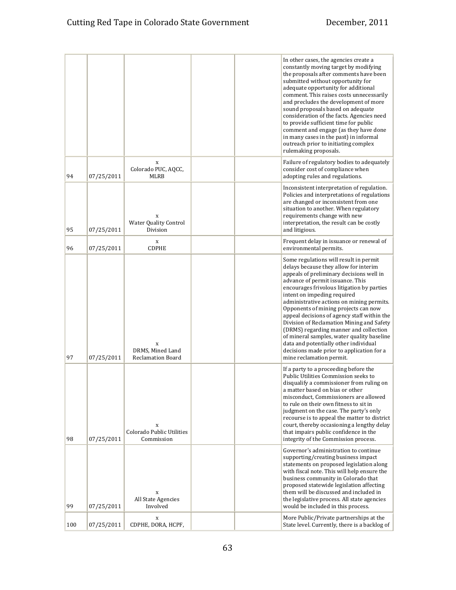|     |            |                                                   |  | In other cases, the agencies create a<br>constantly moving target by modifying<br>the proposals after comments have been<br>submitted without opportunity for<br>adequate opportunity for additional<br>comment. This raises costs unnecessarily<br>and precludes the development of more<br>sound proposals based on adequate<br>consideration of the facts. Agencies need<br>to provide sufficient time for public<br>comment and engage (as they have done<br>in many cases in the past) in informal<br>outreach prior to initiating complex<br>rulemaking proposals.                                                                |
|-----|------------|---------------------------------------------------|--|-----------------------------------------------------------------------------------------------------------------------------------------------------------------------------------------------------------------------------------------------------------------------------------------------------------------------------------------------------------------------------------------------------------------------------------------------------------------------------------------------------------------------------------------------------------------------------------------------------------------------------------------|
| 94  | 07/25/2011 | X<br>Colorado PUC, AQCC,<br>MLRB                  |  | Failure of regulatory bodies to adequately<br>consider cost of compliance when<br>adopting rules and regulations.                                                                                                                                                                                                                                                                                                                                                                                                                                                                                                                       |
| 95  | 07/25/2011 | X<br><b>Water Quality Control</b><br>Division     |  | Inconsistent interpretation of regulation.<br>Policies and interpretations of regulations<br>are changed or inconsistent from one<br>situation to another. When regulatory<br>requirements change with new<br>interpretation, the result can be costly<br>and litigious.                                                                                                                                                                                                                                                                                                                                                                |
| 96  | 07/25/2011 | X<br><b>CDPHE</b>                                 |  | Frequent delay in issuance or renewal of<br>environmental permits.                                                                                                                                                                                                                                                                                                                                                                                                                                                                                                                                                                      |
| 97  | 07/25/2011 | X<br>DRMS. Mined Land<br><b>Reclamation Board</b> |  | Some regulations will result in permit<br>delays because they allow for interim<br>appeals of preliminary decisions well in<br>advance of permit issuance. This<br>encourages frivolous litigation by parties<br>intent on impeding required<br>administrative actions on mining permits.<br>Opponents of mining projects can now<br>appeal decisions of agency staff within the<br>Division of Reclamation Mining and Safety<br>(DRMS) regarding manner and collection<br>of mineral samples, water quality baseline<br>data and potentially other individual<br>decisions made prior to application for a<br>mine reclamation permit. |
| 98  | 07/25/2011 | X<br>Colorado Public Utilities<br>Commission      |  | If a party to a proceeding before the<br>Public Utilities Commission seeks to<br>disqualify a commissioner from ruling on<br>a matter based on bias or other<br>misconduct, Commissioners are allowed<br>to rule on their own fitness to sit in<br>judgment on the case. The party's only<br>recourse is to appeal the matter to district<br>court, thereby occasioning a lengthy delay<br>that impairs public confidence in the<br>integrity of the Commission process.                                                                                                                                                                |
| 99  | 07/25/2011 | $\mathbf x$<br>All State Agencies<br>Involved     |  | Governor's administration to continue<br>supporting/creating business impact<br>statements on proposed legislation along<br>with fiscal note. This will help ensure the<br>business community in Colorado that<br>proposed statewide legislation affecting<br>them will be discussed and included in<br>the legislative process. All state agencies<br>would be included in this process.                                                                                                                                                                                                                                               |
| 100 | 07/25/2011 | X<br>CDPHE, DORA, HCPF,                           |  | More Public/Private partnerships at the<br>State level. Currently, there is a backlog of                                                                                                                                                                                                                                                                                                                                                                                                                                                                                                                                                |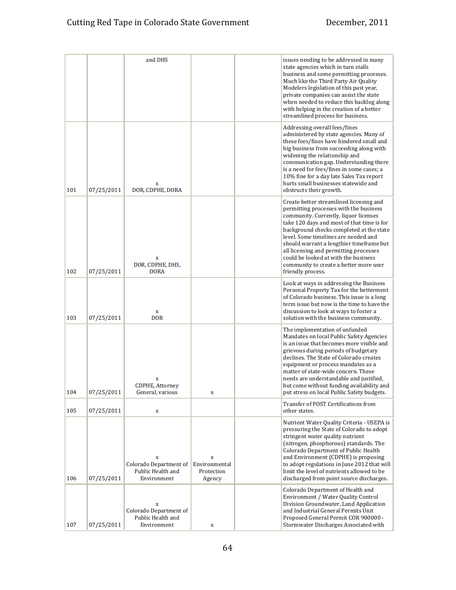|     |            | and DHS                                                         |                                            | issues needing to be addressed in many<br>state agencies which in turn stalls<br>business and some permitting processes.<br>Much like the Third Party Air Quality<br>Modelers legislation of this past year,<br>private companies can assist the state<br>when needed to reduce this backlog along<br>with helping in the creation of a better<br>streamlined process for business.                                                                       |
|-----|------------|-----------------------------------------------------------------|--------------------------------------------|-----------------------------------------------------------------------------------------------------------------------------------------------------------------------------------------------------------------------------------------------------------------------------------------------------------------------------------------------------------------------------------------------------------------------------------------------------------|
| 101 | 07/25/2011 | X<br>DOR, CDPHE, DORA                                           |                                            | Addressing overall fees/fines<br>administered by state agencies. Many of<br>these fees/fines have hindered small and<br>big business from succeeding along with<br>widening the relationship and<br>communication gap. Understanding there<br>is a need for fees/fines in some cases; a<br>10% fine for a day late Sales Tax report<br>hurts small businesses statewide and<br>obstructs their growth.                                                    |
| 102 | 07/25/2011 | X<br>DOR, CDPHE, DHS,<br><b>DORA</b>                            |                                            | Create better streamlined licensing and<br>permitting processes with the business<br>community. Currently, liquor licenses<br>take 120 days and most of that time is for<br>background checks completed at the state<br>level. Some timelines are needed and<br>should warrant a lengthier timeframe but<br>all licensing and permitting processes<br>could be looked at with the business<br>community to create a better more user<br>friendly process. |
| 103 | 07/25/2011 | $\mathbf X$<br><b>DOR</b>                                       |                                            | Look at ways in addressing the Business<br>Personal Property Tax for the betterment<br>of Colorado business. This issue is a long<br>term issue but now is the time to have the<br>discussion to look at ways to foster a<br>solution with the business community.                                                                                                                                                                                        |
| 104 | 07/25/2011 | X<br>CDPHE, Attorney<br>General, various                        | X                                          | The implementation of unfunded<br>Mandates on local Public Safety Agencies<br>is an issue that becomes more visible and<br>grievous during periods of budgetary<br>declines. The State of Colorado creates<br>equipment or process mandates as a<br>matter of state-wide concern. These<br>needs are understandable and justified,<br>but come without funding availability and<br>put stress on local Public Safety budgets.                             |
| 105 | 07/25/2011 | X                                                               |                                            | Transfer of POST Certifications from<br>other states.                                                                                                                                                                                                                                                                                                                                                                                                     |
| 106 | 07/25/2011 | X<br>Colorado Department of<br>Public Health and<br>Environment | X<br>Environmental<br>Protection<br>Agency | Nutrient Water Quality Criteria - USEPA is<br>pressuring the State of Colorado to adopt<br>stringent water quality nutrient<br>(nitrogen, phosphorous) standards. The<br>Colorado Department of Public Health<br>and Environment (CDPHE) is proposing<br>to adopt regulations in June 2012 that will<br>limit the level of nutrients allowed to be<br>discharged from point source discharges.                                                            |
| 107 | 07/25/2011 | X<br>Colorado Department of<br>Public Health and<br>Environment | X                                          | Colorado Department of Health and<br>Environment / Water Quality Control<br>Division Groundwater, Land Application<br>and Industrial General Permits Unit<br>Proposed General Permit COR 900000 -<br>Stormwater Discharges Associated with                                                                                                                                                                                                                |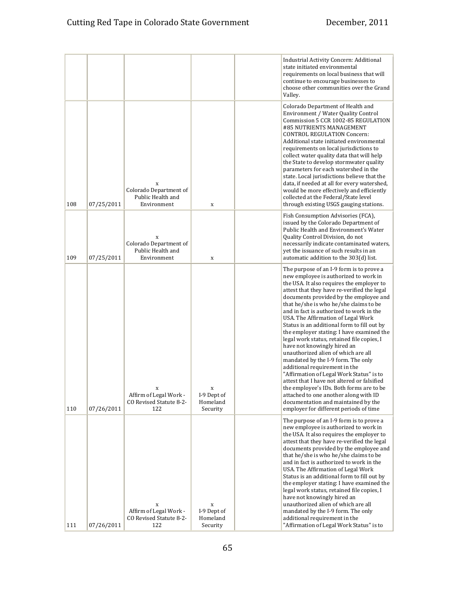|     |            |                                                                 |                                          | Industrial Activity Concern: Additional<br>state initiated environmental<br>requirements on local business that will<br>continue to encourage businesses to<br>choose other communities over the Grand<br>Valley.                                                                                                                                                                                                                                                                                                                                                                                                                                                                                                                                                                                                                                                                                           |
|-----|------------|-----------------------------------------------------------------|------------------------------------------|-------------------------------------------------------------------------------------------------------------------------------------------------------------------------------------------------------------------------------------------------------------------------------------------------------------------------------------------------------------------------------------------------------------------------------------------------------------------------------------------------------------------------------------------------------------------------------------------------------------------------------------------------------------------------------------------------------------------------------------------------------------------------------------------------------------------------------------------------------------------------------------------------------------|
| 108 | 07/25/2011 | X<br>Colorado Department of<br>Public Health and<br>Environment | X                                        | Colorado Department of Health and<br>Environment / Water Quality Control<br>Commission 5 CCR 1002-85 REGULATION<br>#85 NUTRIENTS MANAGEMENT<br><b>CONTROL REGULATION Concern:</b><br>Additional state initiated environmental<br>requirements on local jurisdictions to<br>collect water quality data that will help<br>the State to develop stormwater quality<br>parameters for each watershed in the<br>state. Local jurisdictions believe that the<br>data, if needed at all for every watershed,<br>would be more effectively and efficiently<br>collected at the Federal/State level<br>through existing USGS gauging stations.                                                                                                                                                                                                                                                                       |
| 109 | 07/25/2011 | X<br>Colorado Department of<br>Public Health and<br>Environment | $\mathbf X$                              | Fish Consumption Advisories (FCA),<br>issued by the Colorado Department of<br>Public Health and Environment's Water<br>Quality Control Division, do not<br>necessarily indicate contaminated waters,<br>yet the issuance of such results in an<br>automatic addition to the 303(d) list.                                                                                                                                                                                                                                                                                                                                                                                                                                                                                                                                                                                                                    |
| 110 | 07/26/2011 | Affirm of Legal Work -<br>CO Revised Statute 8-2-<br>122        | X<br>I-9 Dept of<br>Homeland<br>Security | The purpose of an I-9 form is to prove a<br>new employee is authorized to work in<br>the USA. It also requires the employer to<br>attest that they have re-verified the legal<br>documents provided by the employee and<br>that he/she is who he/she claims to be<br>and in fact is authorized to work in the<br>USA. The Affirmation of Legal Work<br>Status is an additional form to fill out by<br>the employer stating: I have examined the<br>legal work status, retained file copies, I<br>have not knowingly hired an<br>unauthorized alien of which are all<br>mandated by the I-9 form. The only<br>additional requirement in the<br>"Affirmation of Legal Work Status" is to<br>attest that I have not altered or falsified<br>the employee's IDs. Both forms are to be<br>attached to one another along with ID<br>documentation and maintained by the<br>employer for different periods of time |
| 111 | 07/26/2011 | X<br>Affirm of Legal Work -<br>CO Revised Statute 8-2-<br>122   | X<br>I-9 Dept of<br>Homeland<br>Security | The purpose of an I-9 form is to prove a<br>new employee is authorized to work in<br>the USA. It also requires the employer to<br>attest that they have re-verified the legal<br>documents provided by the employee and<br>that he/she is who he/she claims to be<br>and in fact is authorized to work in the<br>USA. The Affirmation of Legal Work<br>Status is an additional form to fill out by<br>the employer stating: I have examined the<br>legal work status, retained file copies, I<br>have not knowingly hired an<br>unauthorized alien of which are all<br>mandated by the I-9 form. The only<br>additional requirement in the<br>"Affirmation of Legal Work Status" is to                                                                                                                                                                                                                      |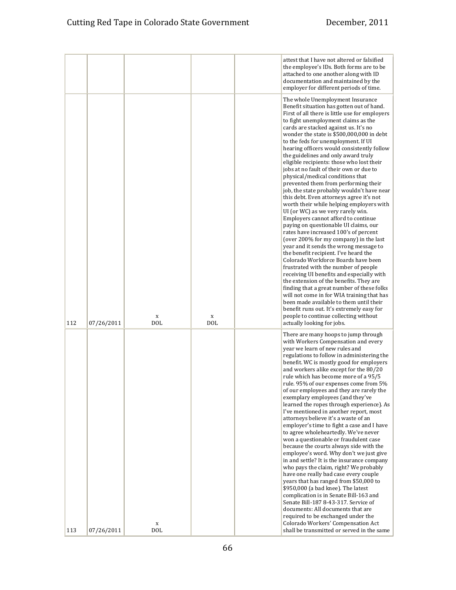|     |            |                 |                 | attest that I have not altered or falsified<br>the employee's IDs. Both forms are to be<br>attached to one another along with ID<br>documentation and maintained by the<br>employer for different periods of time.                                                                                                                                                                                                                                                                                                                                                                                                                                                                                                                                                                                                                                                                                                                                                                                                                                                                                                                                                                                                                                                                                                                                                                                                              |
|-----|------------|-----------------|-----------------|---------------------------------------------------------------------------------------------------------------------------------------------------------------------------------------------------------------------------------------------------------------------------------------------------------------------------------------------------------------------------------------------------------------------------------------------------------------------------------------------------------------------------------------------------------------------------------------------------------------------------------------------------------------------------------------------------------------------------------------------------------------------------------------------------------------------------------------------------------------------------------------------------------------------------------------------------------------------------------------------------------------------------------------------------------------------------------------------------------------------------------------------------------------------------------------------------------------------------------------------------------------------------------------------------------------------------------------------------------------------------------------------------------------------------------|
| 112 | 07/26/2011 | X<br><b>DOL</b> | X<br><b>DOL</b> | The whole Unemployment Insurance<br>Benefit situation has gotten out of hand.<br>First of all there is little use for employers<br>to fight unemployment claims as the<br>cards are stacked against us. It's no<br>wonder the state is \$500,000,000 in debt<br>to the feds for unemployment. If UI<br>hearing officers would consistently follow<br>the guidelines and only award truly<br>eligible recipients: those who lost their<br>jobs at no fault of their own or due to<br>physical/medical conditions that<br>prevented them from performing their<br>job, the state probably wouldn't have near<br>this debt. Even attorneys agree it's not<br>worth their while helping employers with<br>UI (or WC) as we very rarely win.<br>Employers cannot afford to continue<br>paying on questionable UI claims, our<br>rates have increased 100's of percent<br>(over 200% for my company) in the last<br>year and it sends the wrong message to<br>the benefit recipient. I've heard the<br>Colorado Workforce Boards have been<br>frustrated with the number of people<br>receiving UI benefits and especially with<br>the extension of the benefits. They are<br>finding that a great number of these folks<br>will not come in for WIA training that has<br>been made available to them until their<br>benefit runs out. It's extremely easy for<br>people to continue collecting without<br>actually looking for jobs. |
| 113 | 07/26/2011 | X<br><b>DOL</b> |                 | There are many hoops to jump through<br>with Workers Compensation and every<br>year we learn of new rules and<br>regulations to follow in administering the<br>benefit. WC is mostly good for employers<br>and workers alike except for the 80/20<br>rule which has become more of a 95/5<br>rule. 95% of our expenses come from 5%<br>of our employees and they are rarely the<br>exemplary employees (and they've<br>learned the ropes through experience). As<br>I've mentioned in another report, most<br>attorneys believe it's a waste of an<br>employer's time to fight a case and I have<br>to agree wholeheartedly. We've never<br>won a questionable or fraudulent case<br>because the courts always side with the<br>employee's word. Why don't we just give<br>in and settle? It is the insurance company<br>who pays the claim, right? We probably<br>have one really bad case every couple<br>years that has ranged from \$50,000 to<br>\$950,000 (a bad knee). The latest<br>complication is in Senate Bill-163 and<br>Senate Bill-187 8-43-317. Service of<br>documents: All documents that are<br>required to be exchanged under the<br>Colorado Workers' Compensation Act<br>shall be transmitted or served in the same                                                                                                                                                                                       |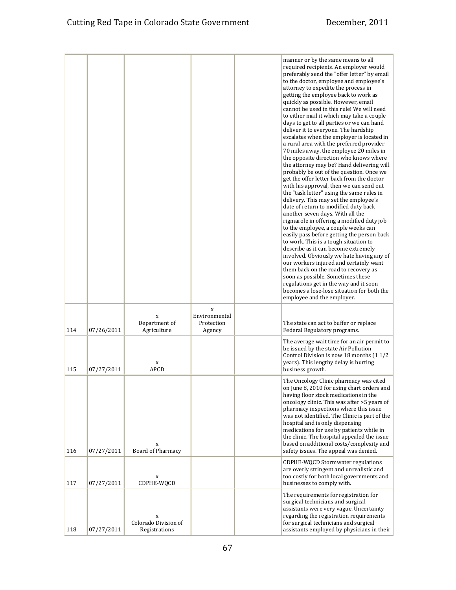|     |            |                                            |                                            | manner or by the same means to all<br>required recipients. An employer would<br>preferably send the "offer letter" by email<br>to the doctor, employee and employee's<br>attorney to expedite the process in<br>getting the employee back to work as<br>quickly as possible. However, email<br>cannot be used in this rule! We will need<br>to either mail it which may take a couple<br>days to get to all parties or we can hand<br>deliver it to everyone. The hardship<br>escalates when the employer is located in<br>a rural area with the preferred provider<br>70 miles away, the employee 20 miles in<br>the opposite direction who knows where<br>the attorney may be? Hand delivering will<br>probably be out of the question. Once we<br>get the offer letter back from the doctor<br>with his approval, then we can send out<br>the "task letter" using the same rules in<br>delivery. This may set the employee's<br>date of return to modified duty back<br>another seven days. With all the<br>rigmarole in offering a modified duty job<br>to the employee, a couple weeks can<br>easily pass before getting the person back<br>to work. This is a tough situation to<br>describe as it can become extremely<br>involved. Obviously we hate having any of<br>our workers injured and certainly want<br>them back on the road to recovery as<br>soon as possible. Sometimes these<br>regulations get in the way and it soon<br>becomes a lose-lose situation for both the<br>employee and the employer. |
|-----|------------|--------------------------------------------|--------------------------------------------|-------------------------------------------------------------------------------------------------------------------------------------------------------------------------------------------------------------------------------------------------------------------------------------------------------------------------------------------------------------------------------------------------------------------------------------------------------------------------------------------------------------------------------------------------------------------------------------------------------------------------------------------------------------------------------------------------------------------------------------------------------------------------------------------------------------------------------------------------------------------------------------------------------------------------------------------------------------------------------------------------------------------------------------------------------------------------------------------------------------------------------------------------------------------------------------------------------------------------------------------------------------------------------------------------------------------------------------------------------------------------------------------------------------------------------------------------------------------------------------------------------------------------|
| 114 | 07/26/2011 | X<br>Department of<br>Agriculture          | X<br>Environmental<br>Protection<br>Agency | The state can act to buffer or replace<br>Federal Regulatory programs.                                                                                                                                                                                                                                                                                                                                                                                                                                                                                                                                                                                                                                                                                                                                                                                                                                                                                                                                                                                                                                                                                                                                                                                                                                                                                                                                                                                                                                                  |
| 115 | 07/27/2011 | X<br><b>APCD</b>                           |                                            | The average wait time for an air permit to<br>be issued by the state Air Pollution<br>Control Division is now 18 months (1 1/2)<br>years). This lengthy delay is hurting<br>business growth.                                                                                                                                                                                                                                                                                                                                                                                                                                                                                                                                                                                                                                                                                                                                                                                                                                                                                                                                                                                                                                                                                                                                                                                                                                                                                                                            |
| 116 | 07/27/2011 | X<br>Board of Pharmacy                     |                                            | The Oncology Clinic pharmacy was cited<br>on June 8, 2010 for using chart orders and<br>having floor stock medications in the<br>oncology clinic. This was after >5 years of<br>pharmacy inspections where this issue<br>was not identified. The Clinic is part of the<br>hospital and is only dispensing<br>medications for use by patients while in<br>the clinic. The hospital appealed the issue<br>based on additional costs/complexity and<br>safety issues. The appeal was denied.                                                                                                                                                                                                                                                                                                                                                                                                                                                                                                                                                                                                                                                                                                                                                                                                                                                                                                                                                                                                                               |
| 117 | 07/27/2011 | X<br>CDPHE-WQCD                            |                                            | CDPHE-WQCD Stormwater regulations<br>are overly stringent and unrealistic and<br>too costly for both local governments and<br>businesses to comply with.                                                                                                                                                                                                                                                                                                                                                                                                                                                                                                                                                                                                                                                                                                                                                                                                                                                                                                                                                                                                                                                                                                                                                                                                                                                                                                                                                                |
| 118 | 07/27/2011 | X<br>Colorado Division of<br>Registrations |                                            | The requirements for registration for<br>surgical technicians and surgical<br>assistants were very vague. Uncertainty<br>regarding the registration requirements<br>for surgical technicians and surgical<br>assistants employed by physicians in their                                                                                                                                                                                                                                                                                                                                                                                                                                                                                                                                                                                                                                                                                                                                                                                                                                                                                                                                                                                                                                                                                                                                                                                                                                                                 |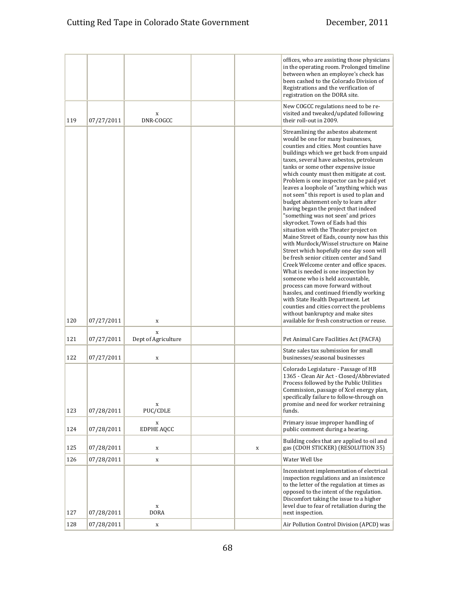|     |            |                                    |   | offices, who are assisting those physicians<br>in the operating room. Prolonged timeline<br>between when an employee's check has<br>been cashed to the Colorado Division of<br>Registrations and the verification of<br>registration on the DORA site.                                                                                                                                                                                                                                                                                                                                                                                                                                                                                                                                                                                                                                                                                                                                                                                                                                                                                                                                       |
|-----|------------|------------------------------------|---|----------------------------------------------------------------------------------------------------------------------------------------------------------------------------------------------------------------------------------------------------------------------------------------------------------------------------------------------------------------------------------------------------------------------------------------------------------------------------------------------------------------------------------------------------------------------------------------------------------------------------------------------------------------------------------------------------------------------------------------------------------------------------------------------------------------------------------------------------------------------------------------------------------------------------------------------------------------------------------------------------------------------------------------------------------------------------------------------------------------------------------------------------------------------------------------------|
| 119 | 07/27/2011 | X<br>DNR-COGCC                     |   | New COGCC regulations need to be re-<br>visited and tweaked/updated following<br>their roll-out in 2009.                                                                                                                                                                                                                                                                                                                                                                                                                                                                                                                                                                                                                                                                                                                                                                                                                                                                                                                                                                                                                                                                                     |
| 120 | 07/27/2011 | X                                  |   | Streamlining the asbestos abatement<br>would be one for many businesses,<br>counties and cities. Most counties have<br>buildings which we get back from unpaid<br>taxes, several have asbestos, petroleum<br>tanks or some other expensive issue<br>which county must then mitigate at cost.<br>Problem is one inspector can be paid yet<br>leaves a loophole of "anything which was<br>not seen" this report is used to plan and<br>budget abatement only to learn after<br>having began the project that indeed<br>"something was not seen' and prices<br>skyrocket. Town of Eads had this<br>situation with the Theater project on<br>Maine Street of Eads, county now has this<br>with Murdock/Wissel structure on Maine<br>Street which hopefully one day soon will<br>be fresh senior citizen center and Sand<br>Creek Welcome center and office spaces.<br>What is needed is one inspection by<br>someone who is held accountable,<br>process can move forward without<br>hassles, and continued friendly working<br>with State Health Department. Let<br>counties and cities correct the problems<br>without bankruptcy and make sites<br>available for fresh construction or reuse. |
| 121 | 07/27/2011 | $\mathbf X$<br>Dept of Agriculture |   | Pet Animal Care Facilities Act (PACFA)                                                                                                                                                                                                                                                                                                                                                                                                                                                                                                                                                                                                                                                                                                                                                                                                                                                                                                                                                                                                                                                                                                                                                       |
| 122 | 07/27/2011 | $\mathbf x$                        |   | State sales tax submission for small<br>businesses/seasonal businesses                                                                                                                                                                                                                                                                                                                                                                                                                                                                                                                                                                                                                                                                                                                                                                                                                                                                                                                                                                                                                                                                                                                       |
| 123 | 07/28/2011 | X<br>PUC/CDLE                      |   | Colorado Legislature - Passage of HB<br>1365 - Clean Air Act - Closed/Abbreviated<br>Process followed by the Public Utilities<br>Commission, passage of Xcel energy plan,<br>specifically failure to follow-through on<br>promise and need for worker retraining<br>funds.                                                                                                                                                                                                                                                                                                                                                                                                                                                                                                                                                                                                                                                                                                                                                                                                                                                                                                                   |
| 124 | 07/28/2011 | X<br><b>EDPHE AQCC</b>             |   | Primary issue improper handling of<br>public comment during a hearing.                                                                                                                                                                                                                                                                                                                                                                                                                                                                                                                                                                                                                                                                                                                                                                                                                                                                                                                                                                                                                                                                                                                       |
| 125 | 07/28/2011 | X                                  | X | Building codes that are applied to oil and<br>gas (CDOH STICKER) (RESOLUTION 35)                                                                                                                                                                                                                                                                                                                                                                                                                                                                                                                                                                                                                                                                                                                                                                                                                                                                                                                                                                                                                                                                                                             |
| 126 | 07/28/2011 | $\mathbf X$                        |   | Water Well Use                                                                                                                                                                                                                                                                                                                                                                                                                                                                                                                                                                                                                                                                                                                                                                                                                                                                                                                                                                                                                                                                                                                                                                               |
| 127 | 07/28/2011 | $\mathbf x$<br><b>DORA</b>         |   | Inconsistent implementation of electrical<br>inspection regulations and an insistence<br>to the letter of the regulation at times as<br>opposed to the intent of the regulation.<br>Discomfort taking the issue to a higher<br>level due to fear of retaliation during the<br>next inspection.                                                                                                                                                                                                                                                                                                                                                                                                                                                                                                                                                                                                                                                                                                                                                                                                                                                                                               |
| 128 | 07/28/2011 | $\mathbf x$                        |   | Air Pollution Control Division (APCD) was                                                                                                                                                                                                                                                                                                                                                                                                                                                                                                                                                                                                                                                                                                                                                                                                                                                                                                                                                                                                                                                                                                                                                    |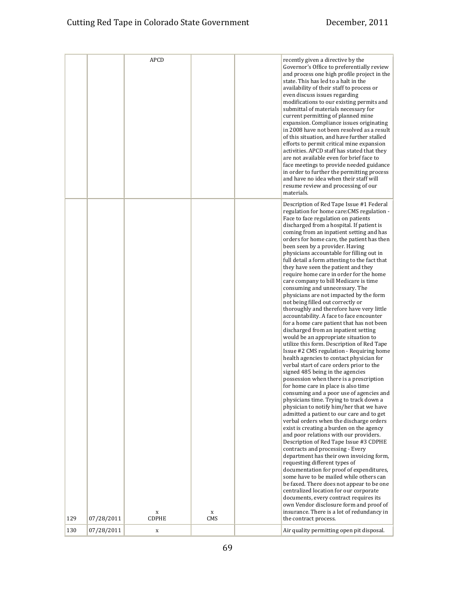|     |            | <b>APCD</b>          |                    | recently given a directive by the                                                                                                                                                                                                                                                                                                                                                                                                                                                                                                                                                                                                                                                                                                                                                                                                                                                                                                                                                                                                                                                                                                                                                                                                                                                                                                                                                                                                                                                                                                                                                                                                                                                                                                                                                                                                                                                                                                                                                                      |
|-----|------------|----------------------|--------------------|--------------------------------------------------------------------------------------------------------------------------------------------------------------------------------------------------------------------------------------------------------------------------------------------------------------------------------------------------------------------------------------------------------------------------------------------------------------------------------------------------------------------------------------------------------------------------------------------------------------------------------------------------------------------------------------------------------------------------------------------------------------------------------------------------------------------------------------------------------------------------------------------------------------------------------------------------------------------------------------------------------------------------------------------------------------------------------------------------------------------------------------------------------------------------------------------------------------------------------------------------------------------------------------------------------------------------------------------------------------------------------------------------------------------------------------------------------------------------------------------------------------------------------------------------------------------------------------------------------------------------------------------------------------------------------------------------------------------------------------------------------------------------------------------------------------------------------------------------------------------------------------------------------------------------------------------------------------------------------------------------------|
|     |            |                      |                    | Governor's Office to preferentially review<br>and process one high profile project in the<br>state. This has led to a halt in the<br>availability of their staff to process or<br>even discuss issues regarding<br>modifications to our existing permits and<br>submittal of materials necessary for<br>current permitting of planned mine<br>expansion. Compliance issues originating<br>in 2008 have not been resolved as a result<br>of this situation, and have further stalled<br>efforts to permit critical mine expansion<br>activities. APCD staff has stated that they<br>are not available even for brief face to<br>face meetings to provide needed guidance<br>in order to further the permitting process<br>and have no idea when their staff will<br>resume review and processing of our<br>materials.                                                                                                                                                                                                                                                                                                                                                                                                                                                                                                                                                                                                                                                                                                                                                                                                                                                                                                                                                                                                                                                                                                                                                                                   |
| 129 | 07/28/2011 | $\mathbf x$<br>CDPHE | $\mathbf x$<br>CMS | Description of Red Tape Issue #1 Federal<br>regulation for home care: CMS regulation -<br>Face to face regulation on patients<br>discharged from a hospital. If patient is<br>coming from an inpatient setting and has<br>orders for home care, the patient has then<br>been seen by a provider. Having<br>physicians accountable for filling out in<br>full detail a form attesting to the fact that<br>they have seen the patient and they<br>require home care in order for the home<br>care company to bill Medicare is time<br>consuming and unnecessary. The<br>physicians are not impacted by the form<br>not being filled out correctly or<br>thoroughly and therefore have very little<br>accountability. A face to face encounter<br>for a home care patient that has not been<br>discharged from an inpatient setting<br>would be an appropriate situation to<br>utilize this form. Description of Red Tape<br>Issue #2 CMS regulation - Requiring home<br>health agencies to contact physician for<br>verbal start of care orders prior to the<br>signed 485 being in the agencies<br>possession when there is a prescription<br>for home care in place is also time<br>consuming and a poor use of agencies and<br>physicians time. Trying to track down a<br>physician to notify him/her that we have<br>admitted a patient to our care and to get<br>verbal orders when the discharge orders<br>exist is creating a burden on the agency<br>and poor relations with our providers.<br>Description of Red Tape Issue #3 CDPHE<br>contracts and processing - Every<br>department has their own invoicing form,<br>requesting different types of<br>documentation for proof of expenditures,<br>some have to be mailed while others can<br>be faxed. There does not appear to be one<br>centralized location for our corporate<br>documents, every contract requires its<br>own Vendor disclosure form and proof of<br>insurance. There is a lot of redundancy in<br>the contract process. |
| 130 | 07/28/2011 | X                    |                    | Air quality permitting open pit disposal.                                                                                                                                                                                                                                                                                                                                                                                                                                                                                                                                                                                                                                                                                                                                                                                                                                                                                                                                                                                                                                                                                                                                                                                                                                                                                                                                                                                                                                                                                                                                                                                                                                                                                                                                                                                                                                                                                                                                                              |
|     |            |                      |                    |                                                                                                                                                                                                                                                                                                                                                                                                                                                                                                                                                                                                                                                                                                                                                                                                                                                                                                                                                                                                                                                                                                                                                                                                                                                                                                                                                                                                                                                                                                                                                                                                                                                                                                                                                                                                                                                                                                                                                                                                        |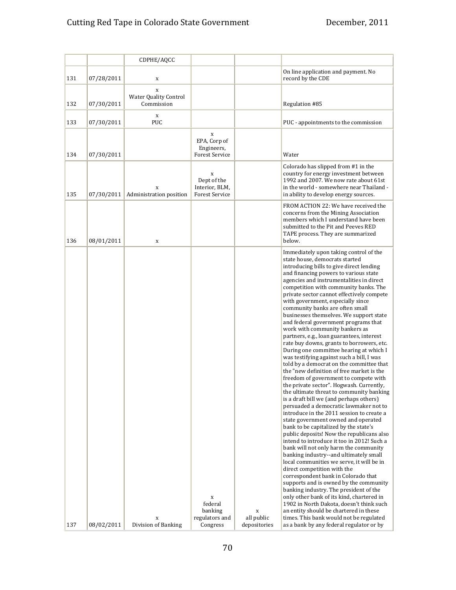|     |            | CDPHE/AQCC                               |                                                             |                                 |                                                                                                                                                                                                                                                                                                                                                                                                                                                                                                                                                                                                                                                                                                                                                                                                                                                                                                                                                                                                                                                                                                                                                                                                                                                                                                                                                                                                                                                                                                                                                                                                                                                                                                                                           |
|-----|------------|------------------------------------------|-------------------------------------------------------------|---------------------------------|-------------------------------------------------------------------------------------------------------------------------------------------------------------------------------------------------------------------------------------------------------------------------------------------------------------------------------------------------------------------------------------------------------------------------------------------------------------------------------------------------------------------------------------------------------------------------------------------------------------------------------------------------------------------------------------------------------------------------------------------------------------------------------------------------------------------------------------------------------------------------------------------------------------------------------------------------------------------------------------------------------------------------------------------------------------------------------------------------------------------------------------------------------------------------------------------------------------------------------------------------------------------------------------------------------------------------------------------------------------------------------------------------------------------------------------------------------------------------------------------------------------------------------------------------------------------------------------------------------------------------------------------------------------------------------------------------------------------------------------------|
| 131 | 07/28/2011 | X                                        |                                                             |                                 | On line application and payment. No<br>record by the CDE                                                                                                                                                                                                                                                                                                                                                                                                                                                                                                                                                                                                                                                                                                                                                                                                                                                                                                                                                                                                                                                                                                                                                                                                                                                                                                                                                                                                                                                                                                                                                                                                                                                                                  |
| 132 | 07/30/2011 | X<br>Water Quality Control<br>Commission |                                                             |                                 | Regulation #85                                                                                                                                                                                                                                                                                                                                                                                                                                                                                                                                                                                                                                                                                                                                                                                                                                                                                                                                                                                                                                                                                                                                                                                                                                                                                                                                                                                                                                                                                                                                                                                                                                                                                                                            |
| 133 | 07/30/2011 | X<br>PUC                                 |                                                             |                                 | PUC - appointments to the commission                                                                                                                                                                                                                                                                                                                                                                                                                                                                                                                                                                                                                                                                                                                                                                                                                                                                                                                                                                                                                                                                                                                                                                                                                                                                                                                                                                                                                                                                                                                                                                                                                                                                                                      |
| 134 | 07/30/2011 |                                          | X<br>EPA, Corp of<br>Engineers,<br><b>Forest Service</b>    |                                 | Water                                                                                                                                                                                                                                                                                                                                                                                                                                                                                                                                                                                                                                                                                                                                                                                                                                                                                                                                                                                                                                                                                                                                                                                                                                                                                                                                                                                                                                                                                                                                                                                                                                                                                                                                     |
| 135 | 07/30/2011 | X<br>Administration position             | X<br>Dept of the<br>Interior, BLM,<br><b>Forest Service</b> |                                 | Colorado has slipped from #1 in the<br>country for energy investment between<br>1992 and 2007. We now rate about 61st<br>in the world - somewhere near Thailand -<br>in ability to develop energy sources.                                                                                                                                                                                                                                                                                                                                                                                                                                                                                                                                                                                                                                                                                                                                                                                                                                                                                                                                                                                                                                                                                                                                                                                                                                                                                                                                                                                                                                                                                                                                |
| 136 | 08/01/2011 | X                                        |                                                             |                                 | FROM ACTION 22: We have received the<br>concerns from the Mining Association<br>members which I understand have been<br>submitted to the Pit and Peeves RED<br>TAPE process. They are summarized<br>below.                                                                                                                                                                                                                                                                                                                                                                                                                                                                                                                                                                                                                                                                                                                                                                                                                                                                                                                                                                                                                                                                                                                                                                                                                                                                                                                                                                                                                                                                                                                                |
| 137 | 08/02/2011 | X<br>Division of Banking                 | X<br>federal<br>banking<br>regulators and<br>Congress       | X<br>all public<br>depositories | Immediately upon taking control of the<br>state house, democrats started<br>introducing bills to give direct lending<br>and financing powers to various state<br>agencies and instrumentalities in direct<br>competition with community banks. The<br>private sector cannot effectively compete<br>with government, especially since<br>community banks are often small<br>businesses themselves. We support state<br>and federal government programs that<br>work with community bankers as<br>partners, e.g., loan guarantees, interest<br>rate buy downs, grants to borrowers, etc.<br>During one committee hearing at which I<br>was testifying against such a bill, I was<br>told by a democrat on the committee that<br>the "new definition of free market is the<br>freedom of government to compete with<br>the private sector". Hogwash. Currently,<br>the ultimate threat to community banking<br>is a draft bill we (and perhaps others)<br>persuaded a democratic lawmaker not to<br>introduce in the 2011 session to create a<br>state government owned and operated<br>bank to be capitalized by the state's<br>public deposits! Now the republicans also<br>intend to introduce it too in 2012! Such a<br>bank will not only harm the community<br>banking industry--and ultimately small<br>local communities we serve, it will be in<br>direct competition with the<br>correspondent bank in Colorado that<br>supports and is owned by the community<br>banking industry. The president of the<br>only other bank of its kind, chartered in<br>1902 in North Dakota, doesn't think such<br>an entity should be chartered in these<br>times. This bank would not be regulated<br>as a bank by any federal regulator or by |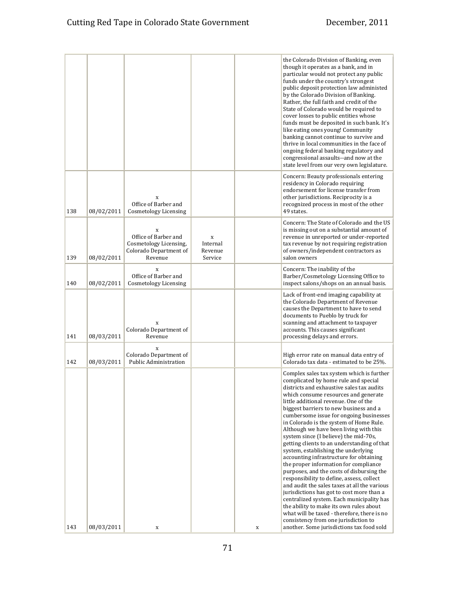|     |            |                                                                                                    |                                     |   | the Colorado Division of Banking, even<br>though it operates as a bank, and in<br>particular would not protect any public<br>funds under the country's strongest<br>public deposit protection law administed<br>by the Colorado Division of Banking.<br>Rather, the full faith and credit of the<br>State of Colorado would be required to<br>cover losses to public entities whose<br>funds must be deposited in such bank. It's<br>like eating ones young! Community<br>banking cannot continue to survive and<br>thrive in local communities in the face of<br>ongoing federal banking regulatory and<br>congressional assaults--and now at the<br>state level from our very own legislature.                                                                                                                                                                                                                                                                                                                                |
|-----|------------|----------------------------------------------------------------------------------------------------|-------------------------------------|---|---------------------------------------------------------------------------------------------------------------------------------------------------------------------------------------------------------------------------------------------------------------------------------------------------------------------------------------------------------------------------------------------------------------------------------------------------------------------------------------------------------------------------------------------------------------------------------------------------------------------------------------------------------------------------------------------------------------------------------------------------------------------------------------------------------------------------------------------------------------------------------------------------------------------------------------------------------------------------------------------------------------------------------|
| 138 | 08/02/2011 | X<br>Office of Barber and<br>Cosmetology Licensing                                                 |                                     |   | Concern: Beauty professionals entering<br>residency in Colorado requiring<br>endorsement for license transfer from<br>other jurisdictions. Reciprocity is a<br>recognized process in most of the other<br>49 states.                                                                                                                                                                                                                                                                                                                                                                                                                                                                                                                                                                                                                                                                                                                                                                                                            |
| 139 | 08/02/2011 | $\mathbf x$<br>Office of Barber and<br>Cosmetology Licensing,<br>Colorado Department of<br>Revenue | X<br>Internal<br>Revenue<br>Service |   | Concern: The State of Colorado and the US<br>is missing out on a substantial amount of<br>revenue in unreported or under-reported<br>tax revenue by not requiring registration<br>of owners/independent contractors as<br>salon owners                                                                                                                                                                                                                                                                                                                                                                                                                                                                                                                                                                                                                                                                                                                                                                                          |
| 140 | 08/02/2011 | $\mathbf x$<br>Office of Barber and<br>Cosmetology Licensing                                       |                                     |   | Concern: The inability of the<br>Barber/Cosmetology Licensing Office to<br>inspect salons/shops on an annual basis.                                                                                                                                                                                                                                                                                                                                                                                                                                                                                                                                                                                                                                                                                                                                                                                                                                                                                                             |
| 141 | 08/03/2011 | X<br>Colorado Department of<br>Revenue                                                             |                                     |   | Lack of front-end imaging capability at<br>the Colorado Department of Revenue<br>causes the Department to have to send<br>documents to Pueblo by truck for<br>scanning and attachment to taxpayer<br>accounts. This causes significant<br>processing delays and errors.                                                                                                                                                                                                                                                                                                                                                                                                                                                                                                                                                                                                                                                                                                                                                         |
| 142 | 08/03/2011 | X<br>Colorado Department of<br>Public Administration                                               |                                     |   | High error rate on manual data entry of<br>Colorado tax data - estimated to be 25%.                                                                                                                                                                                                                                                                                                                                                                                                                                                                                                                                                                                                                                                                                                                                                                                                                                                                                                                                             |
| 143 | 08/03/2011 | $\mathbf x$                                                                                        |                                     | X | Complex sales tax system which is further<br>complicated by home rule and special<br>districts and exhaustive sales tax audits<br>which consume resources and generate<br>little additional revenue. One of the<br>biggest barriers to new business and a<br>cumbersome issue for ongoing businesses<br>in Colorado is the system of Home Rule.<br>Although we have been living with this<br>system since (I believe) the mid-70s,<br>getting clients to an understanding of that<br>system, establishing the underlying<br>accounting infrastructure for obtaining<br>the proper information for compliance<br>purposes, and the costs of disbursing the<br>responsibility to define, assess, collect<br>and audit the sales taxes at all the various<br>jurisdictions has got to cost more than a<br>centralized system. Each municipality has<br>the ability to make its own rules about<br>what will be taxed - therefore, there is no<br>consistency from one jurisdiction to<br>another. Some jurisdictions tax food sold |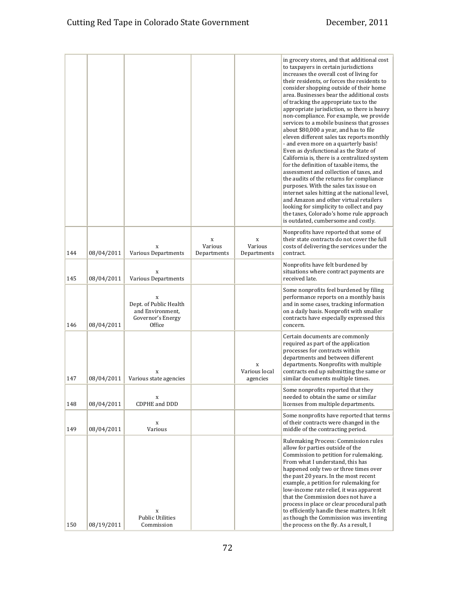|     |            |                                                                                |                             |                                | in grocery stores, and that additional cost<br>to taxpayers in certain jurisdictions<br>increases the overall cost of living for<br>their residents, or forces the residents to<br>consider shopping outside of their home<br>area. Businesses bear the additional costs<br>of tracking the appropriate tax to the<br>appropriate jurisdiction, so there is heavy<br>non-compliance. For example, we provide<br>services to a mobile business that grosses<br>about \$80,000 a year, and has to file<br>eleven different sales tax reports monthly<br>- and even more on a quarterly basis!<br>Even as dysfunctional as the State of<br>California is, there is a centralized system<br>for the definition of taxable items, the<br>assessment and collection of taxes, and<br>the audits of the returns for compliance<br>purposes. With the sales tax issue on<br>internet sales hitting at the national level,<br>and Amazon and other virtual retailers<br>looking for simplicity to collect and pay<br>the taxes, Colorado's home rule approach<br>is outdated, cumbersome and costly. |
|-----|------------|--------------------------------------------------------------------------------|-----------------------------|--------------------------------|---------------------------------------------------------------------------------------------------------------------------------------------------------------------------------------------------------------------------------------------------------------------------------------------------------------------------------------------------------------------------------------------------------------------------------------------------------------------------------------------------------------------------------------------------------------------------------------------------------------------------------------------------------------------------------------------------------------------------------------------------------------------------------------------------------------------------------------------------------------------------------------------------------------------------------------------------------------------------------------------------------------------------------------------------------------------------------------------|
| 144 | 08/04/2011 | X<br><b>Various Departments</b>                                                | X<br>Various<br>Departments | X<br>Various<br>Departments    | Nonprofits have reported that some of<br>their state contracts do not cover the full<br>costs of delivering the services under the<br>contract.                                                                                                                                                                                                                                                                                                                                                                                                                                                                                                                                                                                                                                                                                                                                                                                                                                                                                                                                             |
| 145 | 08/04/2011 | X<br>Various Departments                                                       |                             |                                | Nonprofits have felt burdened by<br>situations where contract payments are<br>received late.                                                                                                                                                                                                                                                                                                                                                                                                                                                                                                                                                                                                                                                                                                                                                                                                                                                                                                                                                                                                |
| 146 | 08/04/2011 | X<br>Dept. of Public Health<br>and Environment,<br>Governor's Energy<br>Office |                             |                                | Some nonprofits feel burdened by filing<br>performance reports on a monthly basis<br>and in some cases, tracking information<br>on a daily basis. Nonprofit with smaller<br>contracts have especially expressed this<br>concern.                                                                                                                                                                                                                                                                                                                                                                                                                                                                                                                                                                                                                                                                                                                                                                                                                                                            |
| 147 | 08/04/2011 | X<br>Various state agencies                                                    |                             | X<br>Various local<br>agencies | Certain documents are commonly<br>required as part of the application<br>processes for contracts within<br>departments and between different<br>departments. Nonprofits with multiple<br>contracts end up submitting the same or<br>similar documents multiple times.                                                                                                                                                                                                                                                                                                                                                                                                                                                                                                                                                                                                                                                                                                                                                                                                                       |
| 148 | 08/04/2011 | X<br>CDPHE and DDD                                                             |                             |                                | Some nonprofits reported that they<br>needed to obtain the same or similar<br>licenses from multiple departments.                                                                                                                                                                                                                                                                                                                                                                                                                                                                                                                                                                                                                                                                                                                                                                                                                                                                                                                                                                           |
| 149 | 08/04/2011 | X<br>Various                                                                   |                             |                                | Some nonprofits have reported that terms<br>of their contracts were changed in the<br>middle of the contracting period.                                                                                                                                                                                                                                                                                                                                                                                                                                                                                                                                                                                                                                                                                                                                                                                                                                                                                                                                                                     |
| 150 | 08/19/2011 | X<br><b>Public Utilities</b><br>Commission                                     |                             |                                | Rulemaking Process: Commission rules<br>allow for parties outside of the<br>Commission to petition for rulemaking.<br>From what I understand, this has<br>happened only two or three times over<br>the past 20 years. In the most recent<br>example, a petition for rulemaking for<br>low-income rate relief, it was apparent<br>that the Commission does not have a<br>process in place or clear procedural path<br>to efficiently handle these matters. It felt<br>as though the Commission was inventing<br>the process on the fly. As a result, I                                                                                                                                                                                                                                                                                                                                                                                                                                                                                                                                       |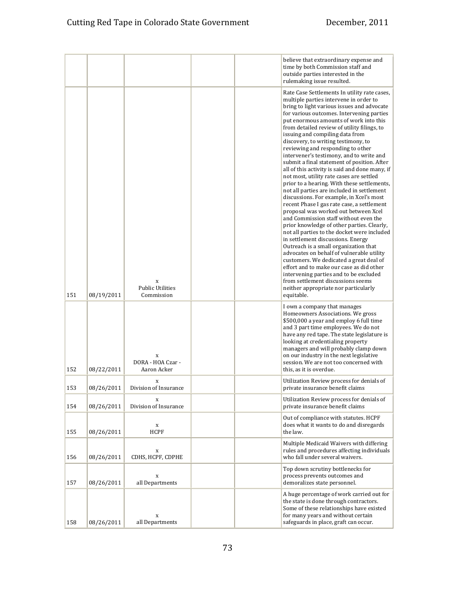|     |            |                                            |  | believe that extraordinary expense and<br>time by both Commission staff and<br>outside parties interested in the<br>rulemaking issue resulted.                                                                                                                                                                                                                                                                                                                                                                                                                                                                                                                                                                                                                                                                                                                                                                                                                                                                                                                                                                                                                                                                                                                                                                 |
|-----|------------|--------------------------------------------|--|----------------------------------------------------------------------------------------------------------------------------------------------------------------------------------------------------------------------------------------------------------------------------------------------------------------------------------------------------------------------------------------------------------------------------------------------------------------------------------------------------------------------------------------------------------------------------------------------------------------------------------------------------------------------------------------------------------------------------------------------------------------------------------------------------------------------------------------------------------------------------------------------------------------------------------------------------------------------------------------------------------------------------------------------------------------------------------------------------------------------------------------------------------------------------------------------------------------------------------------------------------------------------------------------------------------|
| 151 | 08/19/2011 | X<br><b>Public Utilities</b><br>Commission |  | Rate Case Settlements In utility rate cases,<br>multiple parties intervene in order to<br>bring to light various issues and advocate<br>for various outcomes. Intervening parties<br>put enormous amounts of work into this<br>from detailed review of utility filings, to<br>issuing and compiling data from<br>discovery, to writing testimony, to<br>reviewing and responding to other<br>intervener's testimony, and to write and<br>submit a final statement of position. After<br>all of this activity is said and done many, if<br>not most, utility rate cases are settled<br>prior to a hearing. With these settlements,<br>not all parties are included in settlement<br>discussions. For example, in Xcel's most<br>recent Phase I gas rate case, a settlement<br>proposal was worked out between Xcel<br>and Commission staff without even the<br>prior knowledge of other parties. Clearly,<br>not all parties to the docket were included<br>in settlement discussions. Energy<br>Outreach is a small organization that<br>advocates on behalf of vulnerable utility<br>customers. We dedicated a great deal of<br>effort and to make our case as did other<br>intervening parties and to be excluded<br>from settlement discussions seems<br>neither appropriate nor particularly<br>equitable. |
| 152 | 08/22/2011 | X<br>DORA - HOA Czar -<br>Aaron Acker      |  | I own a company that manages<br>Homeowners Associations. We gross<br>\$500,000 a year and employ 6 full time<br>and 3 part time employees. We do not<br>have any red tape. The state legislature is<br>looking at credentialing property<br>managers and will probably clamp down<br>on our industry in the next legislative<br>session. We are not too concerned with<br>this, as it is overdue.                                                                                                                                                                                                                                                                                                                                                                                                                                                                                                                                                                                                                                                                                                                                                                                                                                                                                                              |
| 153 | 08/26/2011 | X<br>Division of Insurance                 |  | Utilization Review process for denials of<br>private insurance benefit claims                                                                                                                                                                                                                                                                                                                                                                                                                                                                                                                                                                                                                                                                                                                                                                                                                                                                                                                                                                                                                                                                                                                                                                                                                                  |
| 154 | 08/26/2011 | X<br>Division of Insurance                 |  | Utilization Review process for denials of<br>private insurance benefit claims                                                                                                                                                                                                                                                                                                                                                                                                                                                                                                                                                                                                                                                                                                                                                                                                                                                                                                                                                                                                                                                                                                                                                                                                                                  |
| 155 | 08/26/2011 | X<br><b>HCPF</b>                           |  | Out of compliance with statutes. HCPF<br>does what it wants to do and disregards<br>the law.                                                                                                                                                                                                                                                                                                                                                                                                                                                                                                                                                                                                                                                                                                                                                                                                                                                                                                                                                                                                                                                                                                                                                                                                                   |
| 156 | 08/26/2011 | X<br>CDHS, HCPF, CDPHE                     |  | Multiple Medicaid Waivers with differing<br>rules and procedures affecting individuals<br>who fall under several waivers.                                                                                                                                                                                                                                                                                                                                                                                                                                                                                                                                                                                                                                                                                                                                                                                                                                                                                                                                                                                                                                                                                                                                                                                      |
| 157 | 08/26/2011 | X<br>all Departments                       |  | Top down scrutiny bottlenecks for<br>process prevents outcomes and<br>demoralizes state personnel.                                                                                                                                                                                                                                                                                                                                                                                                                                                                                                                                                                                                                                                                                                                                                                                                                                                                                                                                                                                                                                                                                                                                                                                                             |
| 158 | 08/26/2011 | X<br>all Departments                       |  | A huge percentage of work carried out for<br>the state is done through contractors.<br>Some of these relationships have existed<br>for many years and without certain<br>safeguards in place, graft can occur.                                                                                                                                                                                                                                                                                                                                                                                                                                                                                                                                                                                                                                                                                                                                                                                                                                                                                                                                                                                                                                                                                                 |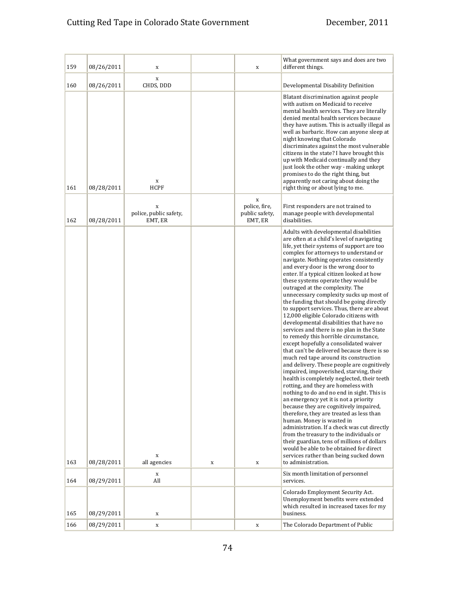## Cutting Red Tape in Colorado State Government December, 2011

| 159        | 08/26/2011               | X                                      |             | X                                               | What government says and does are two<br>different things.                                                                                                                                                                                                                                                                                                                                                                                                                                                                                                                                                                                                                                                                                                                                                                                                                                                                                                                                                                                                                                                                                                                                                                                                                                                                                                                                                                                                       |
|------------|--------------------------|----------------------------------------|-------------|-------------------------------------------------|------------------------------------------------------------------------------------------------------------------------------------------------------------------------------------------------------------------------------------------------------------------------------------------------------------------------------------------------------------------------------------------------------------------------------------------------------------------------------------------------------------------------------------------------------------------------------------------------------------------------------------------------------------------------------------------------------------------------------------------------------------------------------------------------------------------------------------------------------------------------------------------------------------------------------------------------------------------------------------------------------------------------------------------------------------------------------------------------------------------------------------------------------------------------------------------------------------------------------------------------------------------------------------------------------------------------------------------------------------------------------------------------------------------------------------------------------------------|
| 160        | 08/26/2011               | X<br>CHDS, DDD                         |             |                                                 | Developmental Disability Definition                                                                                                                                                                                                                                                                                                                                                                                                                                                                                                                                                                                                                                                                                                                                                                                                                                                                                                                                                                                                                                                                                                                                                                                                                                                                                                                                                                                                                              |
| 161        | 08/28/2011               | X<br><b>HCPF</b>                       |             |                                                 | Blatant discrimination against people<br>with autism on Medicaid to receive<br>mental health services. They are literally<br>denied mental health services because<br>they have autism. This is actually illegal as<br>well as barbaric. How can anyone sleep at<br>night knowing that Colorado<br>discriminates against the most vulnerable<br>citizens in the state? I have brought this<br>up with Medicaid continually and they<br>just look the other way - making unkept<br>promises to do the right thing, but<br>apparently not caring about doing the<br>right thing or about lying to me.                                                                                                                                                                                                                                                                                                                                                                                                                                                                                                                                                                                                                                                                                                                                                                                                                                                              |
| 162        | 08/28/2011               | X<br>police, public safety,<br>EMT, ER |             | X<br>police, fire,<br>public safety,<br>EMT, ER | First responders are not trained to<br>manage people with developmental<br>disabilities.                                                                                                                                                                                                                                                                                                                                                                                                                                                                                                                                                                                                                                                                                                                                                                                                                                                                                                                                                                                                                                                                                                                                                                                                                                                                                                                                                                         |
|            |                          | $\mathbf x$                            |             |                                                 | Adults with developmental disabilities<br>are often at a child's level of navigating<br>life, yet their systems of support are too<br>complex for attorneys to understand or<br>navigate. Nothing operates consistently<br>and every door is the wrong door to<br>enter. If a typical citizen looked at how<br>these systems operate they would be<br>outraged at the complexity. The<br>unnecessary complexity sucks up most of<br>the funding that should be going directly<br>to support services. Thus, there are about<br>12,000 eligible Colorado citizens with<br>developmental disabilities that have no<br>services and there is no plan in the State<br>to remedy this horrible circumstance,<br>except hopefully a consolidated waiver<br>that can't be delivered because there is so<br>much red tape around its construction<br>and delivery. These people are cognitively<br>impaired, impoverished, starving, their<br>health is completely neglected, their teeth<br>rotting, and they are homeless with<br>nothing to do and no end in sight. This is<br>an emergency yet it is not a priority<br>because they are cognitively impaired,<br>therefore, they are treated as less than<br>human. Money is wasted in<br>administration. If a check was cut directly<br>from the treasury to the individuals or<br>their guardian, tens of millions of dollars<br>would be able to be obtained for direct<br>services rather than being sucked down |
| 163<br>164 | 08/28/2011<br>08/29/2011 | all agencies<br>X<br>All               | $\mathbf X$ | X                                               | to administration.<br>Six month limitation of personnel<br>services.                                                                                                                                                                                                                                                                                                                                                                                                                                                                                                                                                                                                                                                                                                                                                                                                                                                                                                                                                                                                                                                                                                                                                                                                                                                                                                                                                                                             |
| 165        | 08/29/2011               | X                                      |             |                                                 | Colorado Employment Security Act.<br>Unemployment benefits were extended<br>which resulted in increased taxes for my<br>business.                                                                                                                                                                                                                                                                                                                                                                                                                                                                                                                                                                                                                                                                                                                                                                                                                                                                                                                                                                                                                                                                                                                                                                                                                                                                                                                                |
| 166        | 08/29/2011               | X                                      |             | X                                               | The Colorado Department of Public                                                                                                                                                                                                                                                                                                                                                                                                                                                                                                                                                                                                                                                                                                                                                                                                                                                                                                                                                                                                                                                                                                                                                                                                                                                                                                                                                                                                                                |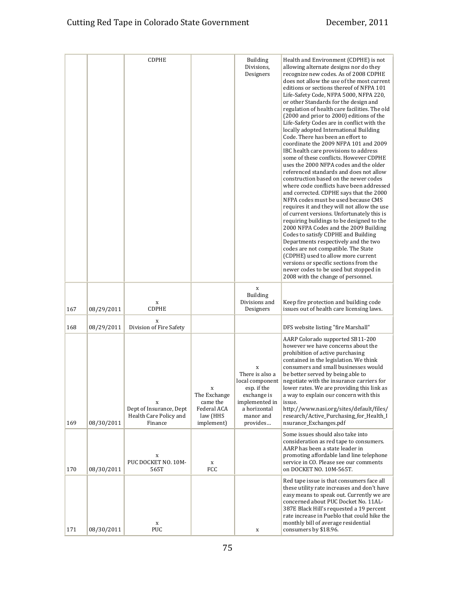|     |            | <b>CDPHE</b>                                                      |                                                                   | <b>Building</b><br>Divisions,<br>Designers                                                                                       | Health and Environment (CDPHE) is not<br>allowing alternate designs nor do they<br>recognize new codes. As of 2008 CDPHE<br>does not allow the use of the most current<br>editions or sections thereof of NFPA 101<br>Life-Safety Code, NFPA 5000, NFPA 220,<br>or other Standards for the design and<br>regulation of health care facilities. The old<br>(2000 and prior to 2000) editions of the<br>Life-Safety Codes are in conflict with the<br>locally adopted International Building<br>Code. There has been an effort to<br>coordinate the 2009 NFPA 101 and 2009<br>IBC health care provisions to address<br>some of these conflicts. However CDPHE<br>uses the 2000 NFPA codes and the older<br>referenced standards and does not allow<br>construction based on the newer codes<br>where code conflicts have been addressed<br>and corrected. CDPHE says that the 2000<br>NFPA codes must be used because CMS<br>requires it and they will not allow the use<br>of current versions. Unfortunately this is<br>requiring buildings to be designed to the<br>2000 NFPA Codes and the 2009 Building<br>Codes to satisfy CDPHE and Building<br>Departments respectively and the two<br>codes are not compatible. The State<br>(CDPHE) used to allow more current<br>versions or specific sections from the<br>newer codes to be used but stopped in<br>2008 with the change of personnel. |
|-----|------------|-------------------------------------------------------------------|-------------------------------------------------------------------|----------------------------------------------------------------------------------------------------------------------------------|-------------------------------------------------------------------------------------------------------------------------------------------------------------------------------------------------------------------------------------------------------------------------------------------------------------------------------------------------------------------------------------------------------------------------------------------------------------------------------------------------------------------------------------------------------------------------------------------------------------------------------------------------------------------------------------------------------------------------------------------------------------------------------------------------------------------------------------------------------------------------------------------------------------------------------------------------------------------------------------------------------------------------------------------------------------------------------------------------------------------------------------------------------------------------------------------------------------------------------------------------------------------------------------------------------------------------------------------------------------------------------------------------|
| 167 | 08/29/2011 | X<br><b>CDPHE</b>                                                 |                                                                   | $\mathbf X$<br><b>Building</b><br>Divisions and<br>Designers                                                                     | Keep fire protection and building code<br>issues out of health care licensing laws.                                                                                                                                                                                                                                                                                                                                                                                                                                                                                                                                                                                                                                                                                                                                                                                                                                                                                                                                                                                                                                                                                                                                                                                                                                                                                                             |
| 168 | 08/29/2011 | $\mathbf x$<br>Division of Fire Safety                            |                                                                   |                                                                                                                                  | DFS website listing "fire Marshall"                                                                                                                                                                                                                                                                                                                                                                                                                                                                                                                                                                                                                                                                                                                                                                                                                                                                                                                                                                                                                                                                                                                                                                                                                                                                                                                                                             |
| 169 | 08/30/2011 | X<br>Dept of Insurance, Dept<br>Health Care Policy and<br>Finance | The Exchange<br>came the<br>Federal ACA<br>law (HHS<br>implement) | X<br>There is also a<br>local component<br>esp. if the<br>exchange is<br>implemented in<br>a horizontal<br>manor and<br>provides | AARP Colorado supported SB11-200<br>however we have concerns about the<br>prohibition of active purchasing<br>contained in the legislation. We think<br>consumers and small businesses would<br>be better served by being able to<br>negotiate with the insurance carriers for<br>lower rates. We are providing this link as<br>a way to explain our concern with this<br>issue.<br>http://www.nasi.org/sites/default/files/<br>research/Active Purchasing for Health I<br>nsurance_Exchanges.pdf                                                                                                                                                                                                                                                                                                                                                                                                                                                                                                                                                                                                                                                                                                                                                                                                                                                                                               |
| 170 | 08/30/2011 | X<br>PUC DOCKET NO. 10M-<br>565T                                  | X<br>FCC                                                          |                                                                                                                                  | Some issues should also take into<br>consideration as red tape to consumers.<br>AARP has been a state leader in<br>promoting affordable land line telephone<br>service in CO. Please see our comments<br>on DOCKET NO. 10M-565T.                                                                                                                                                                                                                                                                                                                                                                                                                                                                                                                                                                                                                                                                                                                                                                                                                                                                                                                                                                                                                                                                                                                                                                |
| 171 | 08/30/2011 | X<br><b>PUC</b>                                                   |                                                                   | X                                                                                                                                | Red tape issue is that consumers face all<br>these utility rate increases and don't have<br>easy means to speak out. Currently we are<br>concerned about PUC Docket No. 11AL-<br>387E Black Hill's requested a 19 percent<br>rate increase in Pueblo that could hike the<br>monthly bill of average residential<br>consumers by \$18.96.                                                                                                                                                                                                                                                                                                                                                                                                                                                                                                                                                                                                                                                                                                                                                                                                                                                                                                                                                                                                                                                        |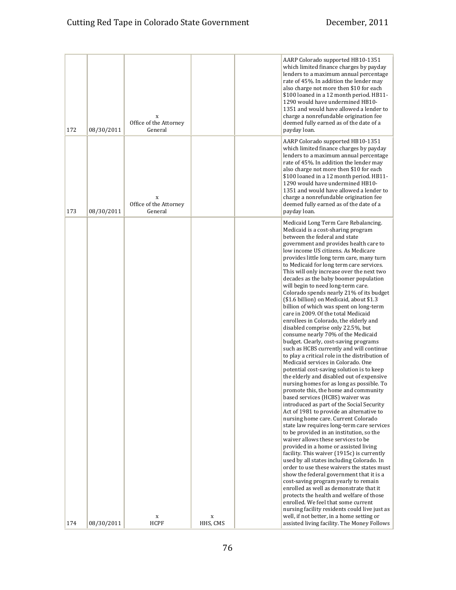| 172 | 08/30/2011 | X<br>Office of the Attorney<br>General |             | AARP Colorado supported HB10-1351<br>which limited finance charges by payday<br>lenders to a maximum annual percentage<br>rate of 45%. In addition the lender may<br>also charge not more then \$10 for each<br>\$100 loaned in a 12 month period. HB11-<br>1290 would have undermined HB10-<br>1351 and would have allowed a lender to<br>charge a nonrefundable origination fee<br>deemed fully earned as of the date of a<br>payday loan.                                                                                                                                                                                                                                                                                                                                                                                                                                                                                                                                                                                                                                                                                                                                                                                                                                                                                                                                                                                                                                                                                                                                                                                                                                                                                                                                                                                                                                       |
|-----|------------|----------------------------------------|-------------|------------------------------------------------------------------------------------------------------------------------------------------------------------------------------------------------------------------------------------------------------------------------------------------------------------------------------------------------------------------------------------------------------------------------------------------------------------------------------------------------------------------------------------------------------------------------------------------------------------------------------------------------------------------------------------------------------------------------------------------------------------------------------------------------------------------------------------------------------------------------------------------------------------------------------------------------------------------------------------------------------------------------------------------------------------------------------------------------------------------------------------------------------------------------------------------------------------------------------------------------------------------------------------------------------------------------------------------------------------------------------------------------------------------------------------------------------------------------------------------------------------------------------------------------------------------------------------------------------------------------------------------------------------------------------------------------------------------------------------------------------------------------------------------------------------------------------------------------------------------------------------|
| 173 | 08/30/2011 | X<br>Office of the Attorney<br>General |             | AARP Colorado supported HB10-1351<br>which limited finance charges by payday<br>lenders to a maximum annual percentage<br>rate of 45%. In addition the lender may<br>also charge not more then \$10 for each<br>\$100 loaned in a 12 month period. HB11-<br>1290 would have undermined HB10-<br>1351 and would have allowed a lender to<br>charge a nonrefundable origination fee<br>deemed fully earned as of the date of a<br>payday loan.                                                                                                                                                                                                                                                                                                                                                                                                                                                                                                                                                                                                                                                                                                                                                                                                                                                                                                                                                                                                                                                                                                                                                                                                                                                                                                                                                                                                                                       |
|     |            | $\mathbf x$                            | $\mathbf x$ | Medicaid Long Term Care Rebalancing.<br>Medicaid is a cost-sharing program<br>between the federal and state<br>government and provides health care to<br>low income US citizens. As Medicare<br>provides little long term care, many turn<br>to Medicaid for long term care services.<br>This will only increase over the next two<br>decades as the baby boomer population<br>will begin to need long-term care.<br>Colorado spends nearly 21% of its budget<br>(\$1.6 billion) on Medicaid, about \$1.3<br>billion of which was spent on long-term<br>care in 2009. Of the total Medicaid<br>enrollees in Colorado, the elderly and<br>disabled comprise only 22.5%, but<br>consume nearly 70% of the Medicaid<br>budget. Clearly, cost-saving programs<br>such as HCBS currently and will continue<br>to play a critical role in the distribution of<br>Medicaid services in Colorado. One<br>potential cost-saving solution is to keep<br>the elderly and disabled out of expensive<br>nursing homes for as long as possible. To<br>promote this, the home and community<br>based services (HCBS) waiver was<br>introduced as part of the Social Security<br>Act of 1981 to provide an alternative to<br>nursing home care. Current Colorado<br>state law requires long-term care services<br>to be provided in an institution, so the<br>waiver allows these services to be<br>provided in a home or assisted living<br>facility. This waiver (1915c) is currently<br>used by all states including Colorado. In<br>order to use these waivers the states must<br>show the federal government that it is a<br>cost-saving program yearly to remain<br>enrolled as well as demonstrate that it<br>protects the health and welfare of those<br>enrolled. We feel that some current<br>nursing facility residents could live just as<br>well, if not better, in a home setting or |
| 174 | 08/30/2011 | HCPF                                   | HHS, CMS    | assisted living facility. The Money Follows                                                                                                                                                                                                                                                                                                                                                                                                                                                                                                                                                                                                                                                                                                                                                                                                                                                                                                                                                                                                                                                                                                                                                                                                                                                                                                                                                                                                                                                                                                                                                                                                                                                                                                                                                                                                                                        |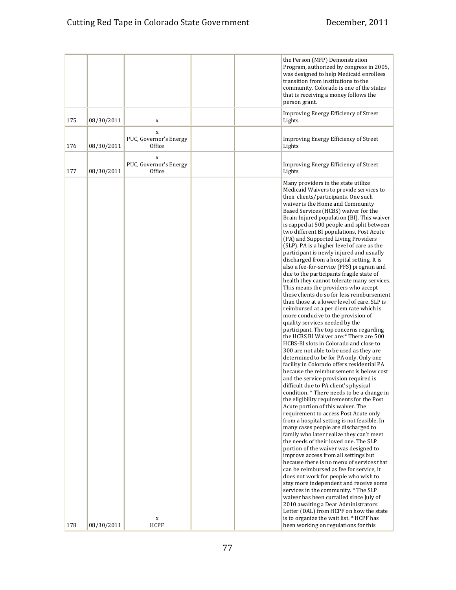|     |            |                                       |  | the Person (MFP) Demonstration<br>Program, authorized by congress in 2005,<br>was designed to help Medicaid enrollees<br>transition from institutions to the<br>community. Colorado is one of the states<br>that is receiving a money follows the<br>person grant.                                                                                                                                                                                                                                                                                                                                                                                                                                                                                                                                                                                                                                                                                                                                                                                                                                                                                                                                                                                                                                                                                                                                                                                                                                                                                                                                                                                                                                                                                                                                                                                                                                                                                                                                                                                                                                                                                  |
|-----|------------|---------------------------------------|--|-----------------------------------------------------------------------------------------------------------------------------------------------------------------------------------------------------------------------------------------------------------------------------------------------------------------------------------------------------------------------------------------------------------------------------------------------------------------------------------------------------------------------------------------------------------------------------------------------------------------------------------------------------------------------------------------------------------------------------------------------------------------------------------------------------------------------------------------------------------------------------------------------------------------------------------------------------------------------------------------------------------------------------------------------------------------------------------------------------------------------------------------------------------------------------------------------------------------------------------------------------------------------------------------------------------------------------------------------------------------------------------------------------------------------------------------------------------------------------------------------------------------------------------------------------------------------------------------------------------------------------------------------------------------------------------------------------------------------------------------------------------------------------------------------------------------------------------------------------------------------------------------------------------------------------------------------------------------------------------------------------------------------------------------------------------------------------------------------------------------------------------------------------|
| 175 | 08/30/2011 | X                                     |  | Improving Energy Efficiency of Street<br>Lights                                                                                                                                                                                                                                                                                                                                                                                                                                                                                                                                                                                                                                                                                                                                                                                                                                                                                                                                                                                                                                                                                                                                                                                                                                                                                                                                                                                                                                                                                                                                                                                                                                                                                                                                                                                                                                                                                                                                                                                                                                                                                                     |
| 176 | 08/30/2011 | X<br>PUC, Governor's Energy<br>Office |  | Improving Energy Efficiency of Street<br>Lights                                                                                                                                                                                                                                                                                                                                                                                                                                                                                                                                                                                                                                                                                                                                                                                                                                                                                                                                                                                                                                                                                                                                                                                                                                                                                                                                                                                                                                                                                                                                                                                                                                                                                                                                                                                                                                                                                                                                                                                                                                                                                                     |
| 177 | 08/30/2011 | X<br>PUC, Governor's Energy<br>Office |  | Improving Energy Efficiency of Street<br>Lights                                                                                                                                                                                                                                                                                                                                                                                                                                                                                                                                                                                                                                                                                                                                                                                                                                                                                                                                                                                                                                                                                                                                                                                                                                                                                                                                                                                                                                                                                                                                                                                                                                                                                                                                                                                                                                                                                                                                                                                                                                                                                                     |
|     |            | X                                     |  | Many providers in the state utilize<br>Medicaid Waivers to provide services to<br>their clients/participants. One such<br>waiver is the Home and Community<br>Based Services (HCBS) waiver for the<br>Brain Injured population (BI). This waiver<br>is capped at 500 people and split between<br>two different BI populations, Post Acute<br>(PA) and Supported Living Providers<br>(SLP). PA is a higher level of care as the<br>participant is newly injured and usually<br>discharged from a hospital setting. It is<br>also a fee-for-service (FFS) program and<br>due to the participants fragile state of<br>health they cannot tolerate many services.<br>This means the providers who accept<br>these clients do so for less reimbursement<br>than those at a lower level of care. SLP is<br>reimbursed at a per diem rate which is<br>more conducive to the provision of<br>quality services needed by the<br>participant. The top concerns regarding<br>the HCBS BI Waiver are:* There are 500<br>HCBS-BI slots in Colorado and close to<br>300 are not able to be used as they are<br>determined to be for PA only. Only one<br>facility in Colorado offers residential PA<br>because the reimbursement is below cost<br>and the service provision required is<br>difficult due to PA client's physical<br>condition. * There needs to be a change in<br>the eligibility requirements for the Post<br>Acute portion of this waiver. The<br>requirement to access Post Acute only<br>from a hospital setting is not feasible. In<br>many cases people are discharged to<br>family who later realize they can't meet<br>the needs of their loved one. The SLP<br>portion of the waiver was designed to<br>improve access from all settings but<br>because there is no menu of services that<br>can be reimbursed as fee for service, it<br>does not work for people who wish to<br>stay more independent and receive some<br>services in the community. * The SLP<br>waiver has been curtailed since July of<br>2010 awaiting a Dear Administrators<br>Letter (DAL) from HCPF on how the state<br>is to organize the wait list. * HCPF has |
| 178 | 08/30/2011 | <b>HCPF</b>                           |  | been working on regulations for this                                                                                                                                                                                                                                                                                                                                                                                                                                                                                                                                                                                                                                                                                                                                                                                                                                                                                                                                                                                                                                                                                                                                                                                                                                                                                                                                                                                                                                                                                                                                                                                                                                                                                                                                                                                                                                                                                                                                                                                                                                                                                                                |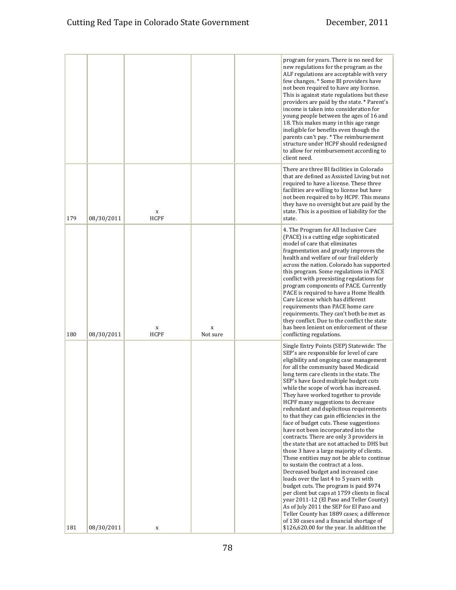|     |            |                  |               | program for years. There is no need for<br>new regulations for the program as the<br>ALF regulations are acceptable with very<br>few changes. * Some BI providers have<br>not been required to have any license.<br>This is against state regulations but these<br>providers are paid by the state. * Parent's<br>income is taken into consideration for<br>young people between the ages of 16 and<br>18. This makes many in this age range<br>ineligible for benefits even though the<br>parents can't pay. * The reimbursement<br>structure under HCPF should redesigned<br>to allow for reimbursement according to<br>client need.                                                                                                                                                                                                                                                                                                                                                                                                                                                                                                                                                          |
|-----|------------|------------------|---------------|-------------------------------------------------------------------------------------------------------------------------------------------------------------------------------------------------------------------------------------------------------------------------------------------------------------------------------------------------------------------------------------------------------------------------------------------------------------------------------------------------------------------------------------------------------------------------------------------------------------------------------------------------------------------------------------------------------------------------------------------------------------------------------------------------------------------------------------------------------------------------------------------------------------------------------------------------------------------------------------------------------------------------------------------------------------------------------------------------------------------------------------------------------------------------------------------------|
| 179 | 08/30/2011 | X<br><b>HCPF</b> |               | There are three BI facilities in Colorado<br>that are defined as Assisted Living but not<br>required to have a license. These three<br>facilities are willing to license but have<br>not been required to by HCPF. This means<br>they have no oversight but are paid by the<br>state. This is a position of liability for the<br>state.                                                                                                                                                                                                                                                                                                                                                                                                                                                                                                                                                                                                                                                                                                                                                                                                                                                         |
| 180 | 08/30/2011 | X<br><b>HCPF</b> | X<br>Not sure | 4. The Program for All Inclusive Care<br>(PACE) is a cutting edge sophisticated<br>model of care that eliminates<br>fragmentation and greatly improves the<br>health and welfare of our frail elderly<br>across the nation. Colorado has supported<br>this program. Some regulations in PACE<br>conflict with preexisting regulations for<br>program components of PACE. Currently<br>PACE is required to have a Home Health<br>Care License which has different<br>requirements than PACE home care<br>requirements. They can't both be met as<br>they conflict. Due to the conflict the state<br>has been lenient on enforcement of these<br>conflicting regulations.                                                                                                                                                                                                                                                                                                                                                                                                                                                                                                                         |
| 181 | 08/30/2011 | X                |               | Single Entry Points (SEP) Statewide: The<br>SEP's are responsible for level of care<br>eligibility and ongoing case management<br>for all the community based Medicaid<br>long term care clients in the state. The<br>SEP's have faced multiple budget cuts<br>while the scope of work has increased.<br>They have worked together to provide<br>HCPF many suggestions to decrease<br>redundant and duplicitous requirements<br>to that they can gain efficiencies in the<br>face of budget cuts. These suggestions<br>have not been incorporated into the<br>contracts. There are only 3 providers in<br>the state that are not attached to DHS but<br>those 3 have a large majority of clients.<br>These entities may not be able to continue<br>to sustain the contract at a loss.<br>Decreased budget and increased case<br>loads over the last 4 to 5 years with<br>budget cuts. The program is paid \$974<br>per client but caps at 1759 clients in fiscal<br>year 2011-12 (El Paso and Teller County)<br>As of July 2011 the SEP for El Paso and<br>Teller County has 1889 cases; a difference<br>of 130 cases and a financial shortage of<br>\$126,620.00 for the year. In addition the |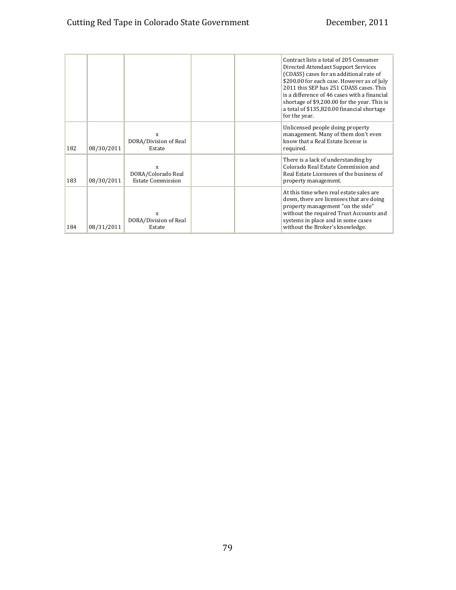|     |            |                                                     | Contract lists a total of 205 Consumer<br>Directed Attendant Support Services<br>(CDASS) cases for an additional rate of<br>\$200.00 for each case. However as of July<br>2011 this SEP has 251 CDASS cases. This<br>is a difference of 46 cases with a financial<br>shortage of \$9,200.00 for the year. This is<br>a total of \$135,820.00 financial shortage<br>for the year. |
|-----|------------|-----------------------------------------------------|----------------------------------------------------------------------------------------------------------------------------------------------------------------------------------------------------------------------------------------------------------------------------------------------------------------------------------------------------------------------------------|
| 182 | 08/30/2011 | X<br>DORA/Division of Real<br>Estate                | Unlicensed people doing property<br>management. Many of them don't even<br>know that a Real Estate license is<br>required.                                                                                                                                                                                                                                                       |
| 183 | 08/30/2011 | X<br>DORA/Colorado Real<br><b>Estate Commission</b> | There is a lack of understanding by<br>Colorado Real Estate Commission and<br>Real Estate Licensees of the business of<br>property management.                                                                                                                                                                                                                                   |
| 184 | 08/31/2011 | X<br>DORA/Division of Real<br>Estate                | At this time when real estate sales are<br>down, there are licensees that are doing<br>property management "on the side"<br>without the required Trust Accounts and<br>systems in place and in some cases<br>without the Broker's knowledge.                                                                                                                                     |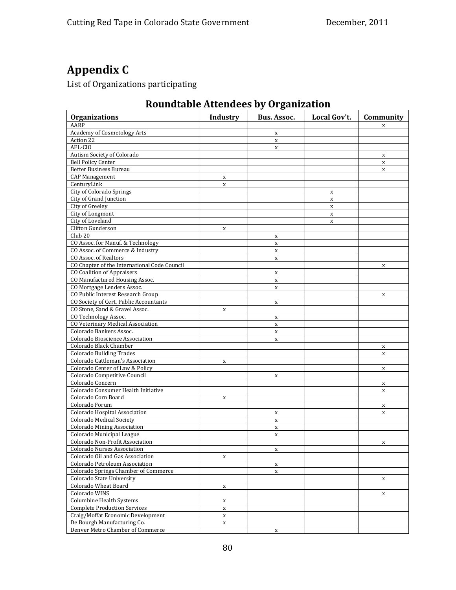# **Appendix C**

List of Organizations participating

## **Roundtable Attendees by Organization**

| <b>Organizations</b>                                            | Industry    | <b>Bus. Assoc.</b>         | Local Gov't. | Community        |
|-----------------------------------------------------------------|-------------|----------------------------|--------------|------------------|
| AARP                                                            |             |                            |              | X                |
| <b>Academy of Cosmetology Arts</b>                              |             | $\mathbf X$                |              |                  |
| Action 22                                                       |             | $\mathbf X$                |              |                  |
| AFL-CIO                                                         |             | $\mathbf X$                |              |                  |
| Autism Society of Colorado                                      |             |                            |              | X                |
| <b>Bell Policy Center</b>                                       |             |                            |              | $\mathbf x$      |
| <b>Better Business Bureau</b>                                   |             |                            |              | $\mathbf x$      |
| <b>CAP Management</b>                                           | $\mathbf x$ |                            |              |                  |
| CenturyLink                                                     | $\mathbf x$ |                            |              |                  |
| City of Colorado Springs                                        |             |                            | X            |                  |
| City of Grand Junction                                          |             |                            | $\mathbf X$  |                  |
| City of Greeley                                                 |             |                            | $\mathbf X$  |                  |
| City of Longmont                                                |             |                            | $\mathbf X$  |                  |
| City of Loveland                                                |             |                            | $\mathbf X$  |                  |
| Clifton Gunderson                                               | $\mathbf x$ |                            |              |                  |
| Club <sub>20</sub>                                              |             | X                          |              |                  |
| CO Assoc. for Manuf. & Technology                               |             | $\mathbf X$                |              |                  |
| CO Assoc. of Commerce & Industry                                |             | $\mathbf X$                |              |                  |
| CO Assoc. of Realtors                                           |             | $\mathbf X$                |              |                  |
| CO Chapter of the International Code Council                    |             |                            |              | X                |
| <b>CO Coalition of Appraisers</b>                               |             | X                          |              |                  |
| CO Manufactured Housing Assoc.                                  |             | $\mathbf X$                |              |                  |
| CO Mortgage Lenders Assoc.                                      |             | $\mathbf X$                |              |                  |
| CO Public Interest Research Group                               |             |                            |              | X                |
| CO Society of Cert. Public Accountants                          |             | $\mathbf X$                |              |                  |
| CO Stone, Sand & Gravel Assoc.                                  | $\mathbf x$ |                            |              |                  |
| CO Technology Assoc.                                            |             | X                          |              |                  |
| CO Veterinary Medical Association                               |             | $\mathbf X$                |              |                  |
| Colorado Bankers Assoc.                                         |             | $\mathbf X$                |              |                  |
| Colorado Bioscience Association                                 |             | $\mathbf X$                |              |                  |
| Colorado Black Chamber                                          |             |                            |              |                  |
| <b>Colorado Building Trades</b>                                 |             |                            |              | X<br>$\mathbf x$ |
| Colorado Cattleman's Association                                |             |                            |              |                  |
| Colorado Center of Law & Policy                                 | X           |                            |              |                  |
| Colorado Competitive Council                                    |             | X                          |              | X                |
| Colorado Concern                                                |             |                            |              |                  |
| Colorado Consumer Health Initiative                             |             |                            |              | $\mathbf x$      |
| Colorado Corn Board                                             | X           |                            |              | X                |
| Colorado Forum                                                  |             |                            |              |                  |
| Colorado Hospital Association                                   |             |                            |              | X                |
| Colorado Medical Society                                        |             | X                          |              | X                |
| <b>Colorado Mining Association</b>                              |             | $\mathbf X$<br>$\mathbf X$ |              |                  |
| Colorado Municipal League                                       |             |                            |              |                  |
| Colorado Non-Profit Association                                 |             | $\mathbf X$                |              |                  |
|                                                                 |             |                            |              | X                |
| Colorado Nurses Association<br>Colorado Oil and Gas Association |             | X                          |              |                  |
| Colorado Petroleum Association                                  | $\mathbf x$ |                            |              |                  |
|                                                                 |             | $\mathbf X$                |              |                  |
| Colorado Springs Chamber of Commerce                            |             | X                          |              |                  |
| Colorado State University                                       |             |                            |              | X                |
| Colorado Wheat Board                                            | x           |                            |              |                  |
| Colorado WINS                                                   |             |                            |              | X                |
| Columbine Health Systems                                        | X           |                            |              |                  |
| <b>Complete Production Services</b>                             | $\mathbf x$ |                            |              |                  |
| Craig/Moffat Economic Development                               | X           |                            |              |                  |
| De Bourgh Manufacturing Co.                                     | X           |                            |              |                  |
| Denver Metro Chamber of Commerce                                |             | $\mathbf X$                |              |                  |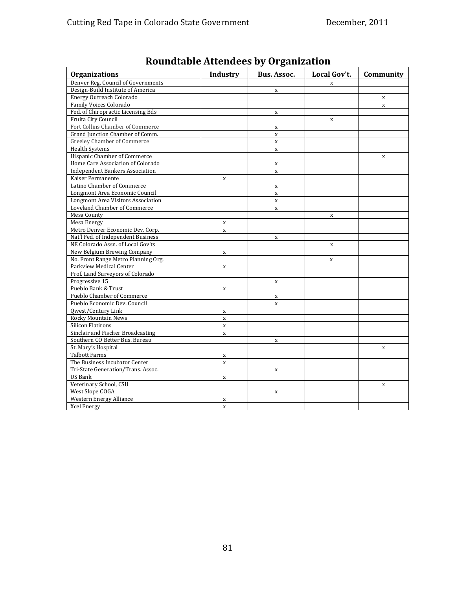| <b>Organizations</b><br>Local Gov't.<br><b>Industry</b><br>Bus. Assoc.<br>Community<br>Denver Reg. Council of Governments<br>$\mathbf x$<br>Design-Build Institute of America<br>$\mathbf x$<br><b>Energy Outreach Colorado</b><br>$\mathbf x$<br>Family Voices Colorado<br>$\mathbf x$<br>Fed. of Chiropractic Licensing Bds<br>$\mathbf X$<br>Fruita City Council<br>$\mathbf X$<br>Fort Collins Chamber of Commerce<br>$\mathbf X$<br>Grand Junction Chamber of Comm.<br>$\mathbf x$ |
|-----------------------------------------------------------------------------------------------------------------------------------------------------------------------------------------------------------------------------------------------------------------------------------------------------------------------------------------------------------------------------------------------------------------------------------------------------------------------------------------|
|                                                                                                                                                                                                                                                                                                                                                                                                                                                                                         |
|                                                                                                                                                                                                                                                                                                                                                                                                                                                                                         |
|                                                                                                                                                                                                                                                                                                                                                                                                                                                                                         |
|                                                                                                                                                                                                                                                                                                                                                                                                                                                                                         |
|                                                                                                                                                                                                                                                                                                                                                                                                                                                                                         |
|                                                                                                                                                                                                                                                                                                                                                                                                                                                                                         |
|                                                                                                                                                                                                                                                                                                                                                                                                                                                                                         |
|                                                                                                                                                                                                                                                                                                                                                                                                                                                                                         |
|                                                                                                                                                                                                                                                                                                                                                                                                                                                                                         |
| Greeley Chamber of Commerce<br>$\mathbf X$                                                                                                                                                                                                                                                                                                                                                                                                                                              |
| <b>Health Systems</b><br>$\mathbf x$                                                                                                                                                                                                                                                                                                                                                                                                                                                    |
| Hispanic Chamber of Commerce<br>$\mathbf x$                                                                                                                                                                                                                                                                                                                                                                                                                                             |
| Home Care Association of Colorado<br>$\mathbf X$                                                                                                                                                                                                                                                                                                                                                                                                                                        |
| <b>Independent Bankers Association</b><br>$\mathbf x$                                                                                                                                                                                                                                                                                                                                                                                                                                   |
| Kaiser Permanente<br>$\mathbf X$                                                                                                                                                                                                                                                                                                                                                                                                                                                        |
| Latino Chamber of Commerce<br>$\mathbf X$                                                                                                                                                                                                                                                                                                                                                                                                                                               |
| Longmont Area Economic Council<br>$\mathbf X$                                                                                                                                                                                                                                                                                                                                                                                                                                           |
| <b>Longmont Area Visitors Association</b><br>$\mathbf X$                                                                                                                                                                                                                                                                                                                                                                                                                                |
| Loveland Chamber of Commerce<br>$\mathbf X$                                                                                                                                                                                                                                                                                                                                                                                                                                             |
| Mesa County<br>$\mathbf x$                                                                                                                                                                                                                                                                                                                                                                                                                                                              |
| Mesa Energy<br>$\mathbf X$                                                                                                                                                                                                                                                                                                                                                                                                                                                              |
| Metro Denver Economic Dev. Corp.<br>$\mathbf X$                                                                                                                                                                                                                                                                                                                                                                                                                                         |
| Nat'l Fed. of Independent Business<br>$\mathbf x$                                                                                                                                                                                                                                                                                                                                                                                                                                       |
| NE Colorado Assn. of Local Gov'ts<br>$\mathbf X$                                                                                                                                                                                                                                                                                                                                                                                                                                        |
| New Belgium Brewing Company<br>$\mathbf X$                                                                                                                                                                                                                                                                                                                                                                                                                                              |
| No. Front Range Metro Planning Org.<br>$\mathbf x$                                                                                                                                                                                                                                                                                                                                                                                                                                      |
| Parkview Medical Center<br>$\mathbf x$                                                                                                                                                                                                                                                                                                                                                                                                                                                  |
| Prof. Land Surveyors of Colorado                                                                                                                                                                                                                                                                                                                                                                                                                                                        |
| Progressive 15<br>$\mathbf X$                                                                                                                                                                                                                                                                                                                                                                                                                                                           |
| Pueblo Bank & Trust<br>$\mathbf X$                                                                                                                                                                                                                                                                                                                                                                                                                                                      |
| Pueblo Chamber of Commerce<br>$\mathbf X$                                                                                                                                                                                                                                                                                                                                                                                                                                               |
| Pueblo Economic Dev. Council<br>$\mathbf X$                                                                                                                                                                                                                                                                                                                                                                                                                                             |
| Qwest/Century Link<br>$\mathbf X$                                                                                                                                                                                                                                                                                                                                                                                                                                                       |
| Rocky Mountain News<br>$\mathbf X$                                                                                                                                                                                                                                                                                                                                                                                                                                                      |
| <b>Silicon Flatirons</b><br>$\mathbf X$                                                                                                                                                                                                                                                                                                                                                                                                                                                 |
| Sinclair and Fischer Broadcasting<br>$\mathbf x$                                                                                                                                                                                                                                                                                                                                                                                                                                        |
| Southern CO Better Bus. Bureau<br>$\mathbf X$                                                                                                                                                                                                                                                                                                                                                                                                                                           |
| St. Mary's Hospital<br>X                                                                                                                                                                                                                                                                                                                                                                                                                                                                |
| <b>Talbott Farms</b><br>$\mathbf X$                                                                                                                                                                                                                                                                                                                                                                                                                                                     |
| The Business Incubator Center<br>$\mathbf X$                                                                                                                                                                                                                                                                                                                                                                                                                                            |
| Tri-State Generation/Trans. Assoc.<br>$\mathbf x$                                                                                                                                                                                                                                                                                                                                                                                                                                       |
| <b>US Bank</b><br>$\mathbf x$                                                                                                                                                                                                                                                                                                                                                                                                                                                           |
| Veterinary School, CSU<br>$\mathbf X$                                                                                                                                                                                                                                                                                                                                                                                                                                                   |
| West Slope COGA<br>X                                                                                                                                                                                                                                                                                                                                                                                                                                                                    |
| <b>Western Energy Alliance</b><br>X                                                                                                                                                                                                                                                                                                                                                                                                                                                     |
| <b>Xcel Energy</b><br>$\mathbf X$                                                                                                                                                                                                                                                                                                                                                                                                                                                       |

## **Roundtable Attendees by Organization**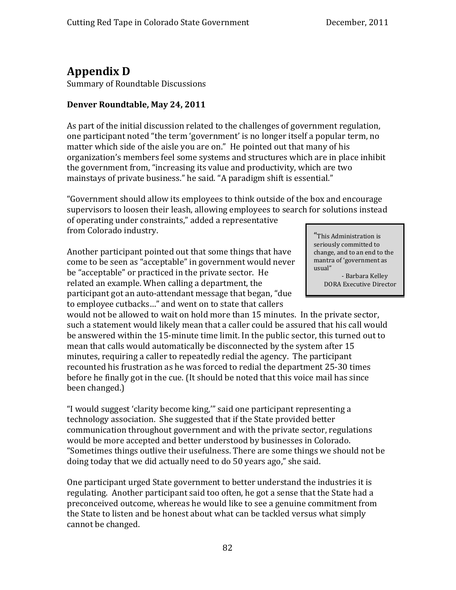## **Appendix D**

Summary of Roundtable Discussions

#### **Denver Roundtable, May 24, 2011**

As part of the initial discussion related to the challenges of government regulation, one participant noted "the term 'government' is no longer itself a popular term, no matter which side of the aisle you are on." He pointed out that many of his organization's members feel some systems and structures which are in place inhibit the government from, "increasing its value and productivity, which are two mainstays of private business." he said. "A paradigm shift is essential."

"Government should allow its employees to think outside of the box and encourage supervisors to loosen their leash, allowing employees to search for solutions instead

of operating under constraints," added a representative from Colorado industry.

Another participant pointed out that some things that have come to be seen as "acceptable" in government would never be "acceptable" or practiced in the private sector. He related an example. When calling a department, the participant got an auto‐attendant message that began, "due to employee cutbacks…" and went on to state that callers

would not be allowed to wait on hold more than 15 minutes. In the private sector, such a statement would likely mean that a caller could be assured that his call would be answered within the 15‐minute time limit. In the public sector, this turned out to mean that calls would automatically be disconnected by the system after 15 minutes, requiring a caller to repeatedly redial the agency. The participant recounted his frustration as he was forced to redial the department 25‐30 times before he finally got in the cue. (It should be noted that this voice mail has since been changed.)

"I would suggest 'clarity become king,'" said one participant representing a technology association. She suggested that if the State provided better communication throughout government and with the private sector, regulations would be more accepted and better understood by businesses in Colorado. "Sometimes things outlive their usefulness. There are some things we should not be doing today that we did actually need to do 50 years ago," she said.

One participant urged State government to better understand the industries it is regulating. Another participant said too often, he got a sense that the State had a preconceived outcome, whereas he would like to see a genuine commitment from the State to listen and be honest about what can be tackled versus what simply cannot be changed.

"This Administration is seriously committed to change, and to an end to the mantra of 'government as usual"

 ‐ Barbara Kelley DORA Executive Director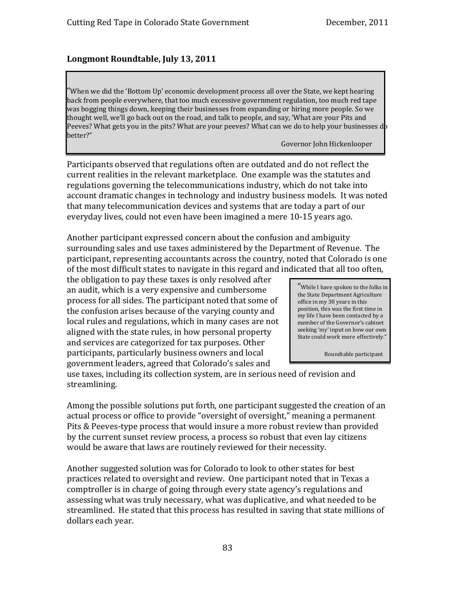#### **Longmont Roundtable, July 13, 2011**

"When we did the 'Bottom Up' economic development process all over the State, we kept hearing back from people everywhere, that too much excessive government regulation, too much red tape was bogging things down, keeping their businesses from expanding or hiring more people. So we thought well, we'll go back out on the road, and talk to people, and say, 'What are your Pits and Peeves? What gets you in the pits? What are your peeves? What can we do to help your businesses  $\mathbf{d}$  b better?"

Governor John Hickenlooper

Participants observed that regulations often are outdated and do not reflect the current realities in the relevant marketplace. One example was the statutes and regulations governing the telecommunications industry, which do not take into account dramatic changes in technology and industry business models. It was noted hat many telecommunication devices and systems that are today a part of our t everyday lives, could not even have been imagined a mere 10‐15 years ago.

Another participant expressed concern about the confusion and ambiguity surrounding sales and use taxes administered by the Department of Revenue. The participant, representing accountants across the country, noted that Colorado is one of the most difficult states to navigate in this regard and indicated that all too often,

the obligation to pay these taxes is only resolved after an audit, which is a very expensive and cumbersome process for all sides. The participant noted that some of the confusion arises because of the varying county and local rules and regulations, which in many cases are not aligned with the state rules, in how personal property and services are categorized for tax purposes. Other participants, particularly business owners and local government leaders, agreed that Colorado's sales and

"While I have spoken to the folks in the State Department Agriculture office in my 30 years in this position, this was the first time in my life I have been contacted by a member of the Governor's cabinet seeking 'my' input on how our own State could work more effectively."

Roundtable participant

use taxes, including its collection system, are in serious need of revision and streamlining.

Among the possible solutions put forth, one participant suggested the creation of an actual process or office to provide "oversight of oversight," meaning a permanent Pits & Peeves‐type process that would insure a more robust review than provided by the current sunset review process, a process so robust that even lay citizens would be aware that laws are routinely reviewed for their necessity.

Another suggested solution was for Colorado to look to other states for best practices related to oversight and review. One participant noted that in Texas a comptroller is in charge of going through every state agency's regulations and assessing what was truly necessary, what was duplicative, and what needed to be streamlined. He stated that this process has resulted in saving that state millions of dollars each year.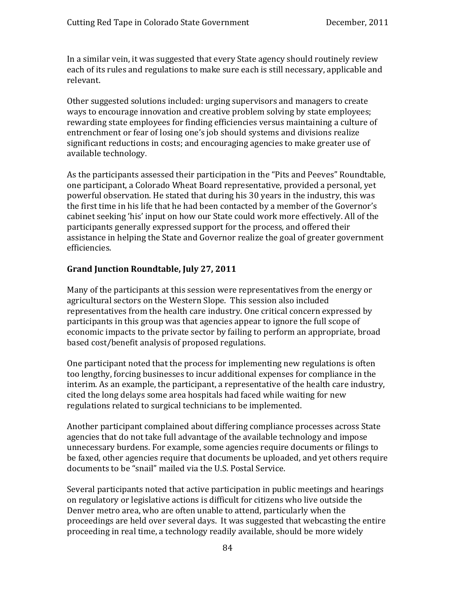In a similar vein, it was suggested that every State agency should routinely review each of its rules and regulations to make sure each is still necessary, applicable and relevant.

Other suggested solutions included: urging supervisors and managers to create ways to encourage innovation and creative problem solving by state employees; rewarding state employees for finding efficiencies versus maintaining a culture of entrenchment or fear of losing one's job should systems and divisions realize significant reductions in costs; and encouraging agencies to make greater use of available technology.

As the participants assessed their participation in the "Pits and Peeves" Roundtable, one participant, a Colorado Wheat Board representative, provided a personal, yet powerful observation. He stated that during his 30 years in the industry, this was the first time in his life that he had been contacted by a member of the Governor's cabinet seeking 'his' input on how our State could work more effectively. All of the participants generally expressed support for the process, and offered their assistance in helping the State and Governor realize the goal of greater government efficiencies.

#### **Grand Junction Roundtable, July 27, 2011**

Many of the participants at this session were representatives from the energy or agricultural sectors on the Western Slope. This session also included representatives from the health care industry. One critical concern expressed by participants in this group was that agencies appear to ignore the full scope of economic impacts to the private sector by failing to perform an appropriate, broad based cost/benefit analysis of proposed regulations.

One participant noted that the process for implementing new regulations is often too lengthy, forcing businesses to incur additional expenses for compliance in the interim. As an example, the participant, a representative of the health care industry, cited the long delays some area hospitals had faced while waiting for new regulations related to surgical technicians to be implemented.

documents to be "snail" mailed via the U.S. Postal Service. Another participant complained about differing compliance processes across State agencies that do not take full advantage of the available technology and impose unnecessary burdens. For example, some agencies require documents or filings to be faxed, other agencies require that documents be uploaded, and yet others require

Several participants noted that active participation in public meetings and hearings on regulatory or legislative actions is difficult for citizens who live outside the Denver metro area, who are often unable to attend, particularly when the proceedings are held over several days. It was suggested that webcasting the entire proceeding in real time, a technology readily available, should be more widely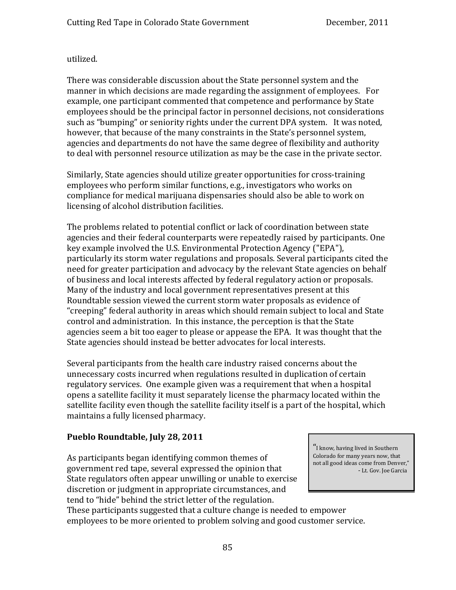#### utilized.

There was considerable discussion about the State personnel system and the manner in which decisions are made regarding the assignment of employees. For example, one participant commented that competence and performance by State employees should be the principal factor in personnel decisions, not considerations such as "bumping" or seniority rights under the current DPA system. It was noted, however, that because of the many constraints in the State's personnel system, gencies and departments do not have the same degree of flexibility and authority a to deal with personnel resource utilization as may be the case in the private sector.

Similarly, State agencies should utilize greater opportunities for cross‐training employees who perform similar functions, e.g., investigators who works on compliance for medical marijuana dispensaries should also be able to work on licensing of alcohol distribution facilities.

The problems related to potential conflict or lack of coordination between state agencies and their federal counterparts were repeatedly raised by participants. One key example involved the U.S. Environmental Protection Agency ("EPA"), particularly its storm water regulations and proposals. Several participants cited the need for greater participation and advocacy by the relevant State agencies on behalf of business and local interests affected by federal regulatory action or proposals. Many of the industry and local government representatives present at this Roundtable session viewed the current storm water proposals as evidence of "creeping" federal authority in areas which should remain subject to local and State control and administration. In this instance, the perception is that the State agencies seem a bit too eager to please or appease the EPA. It was thought that the State agencies should instead be better advocates for local interests.

Several participants from the health care industry raised concerns about the unnecessary costs incurred when regulations resulted in duplication of certain regulatory services. One example given was a requirement that when a hospital opens a satellite facility it must separately license the pharmacy located within the satellite facility even though the satellite facility itself is a part of the hospital, which maintains a fully licensed pharmacy.

#### **Pueblo Roundtable, July 28, 2011**

As participants began identifying common themes of government red tape, several expressed the opinion that State regulators often appear unwilling or unable to exercise discretion or judgment in appropriate circumstances, and tend to "hide" behind the strict letter of the regulation.

"I know, having li ved in Southern Colorado for many years now, that not all good ideas come from Denver," ‐ Lt. Gov. Joe Garcia

hese participants suggested that a culture change is needed to empower T employees to be more oriented to problem solving and good customer service.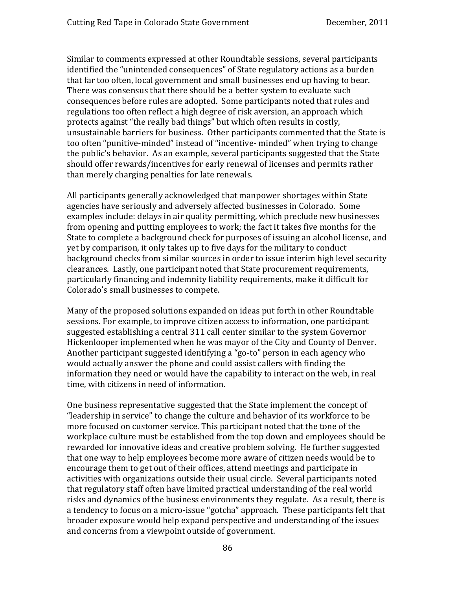Similar to comments expressed at other Roundtable sessions, several participants identified the "unintended consequences" of State regulatory actions as a burden that far too often, local government and small businesses end up having to bear. There was consensus that there should be a better system to evaluate such consequences before rules are adopted. Some participants noted that rules and regulations too often reflect a high degree of risk aversion, an approach which protects against "the really bad things" but which often results in costly, unsustainable barriers for business. Other participants commented that the State is too often "punitive‐minded" instead of "incentive‐ minded" when trying to change the public's behavior. As an example, several participants suggested that the State should offer rewards/incentives for early renewal of licenses and permits rather than merely charging penalties for late renewals.

All participants generally acknowledged that manpower shortages within State agencies have seriously and adversely affected businesses in Colorado. Some examples include: delays in air quality permitting, which preclude new businesses from opening and putting employees to work; the fact it takes five months for the State to complete a background check for purposes of issuing an alcohol license, and yet by comparison, it only takes up to five days for the military to conduct background checks from similar sources in order to issue interim high level security clearances. Lastly, one participant noted that State procurement requirements, particularly financing and indemnity liability requirements, make it difficult for Colorado's small businesses to compete.

time, with citizens in need of information. Many of the proposed solutions expanded on ideas put forth in other Roundtable sessions. For example, to improve citizen access to information, one participant suggested establishing a central 311 call center similar to the system Governor Hickenlooper implemented when he was mayor of the City and County of Denver. Another participant suggested identifying a "go‐to" person in each agency who would actually answer the phone and could assist callers with finding the information they need or would have the capability to interact on the web, in real

One business representative suggested that the State implement the concept of "leadership in service" to change the culture and behavior of its workforce to be more focused on customer service. This participant noted that the tone of the workplace culture must be established from the top down and employees should be rewarded for innovative ideas and creative problem solving. He further suggested that one way to help employees become more aware of citizen needs would be to encourage them to get out of their offices, attend meetings and participate in activities with organizations outside their usual circle. Several participants noted that regulatory staff often have limited practical understanding of the real world risks and dynamics of the business environments they regulate. As a result, there is a tendency to focus on a micro‐issue "gotcha" approach. These participants felt that broader exposure would help expand perspective and understanding of the issues and concerns from a viewpoint outside of government.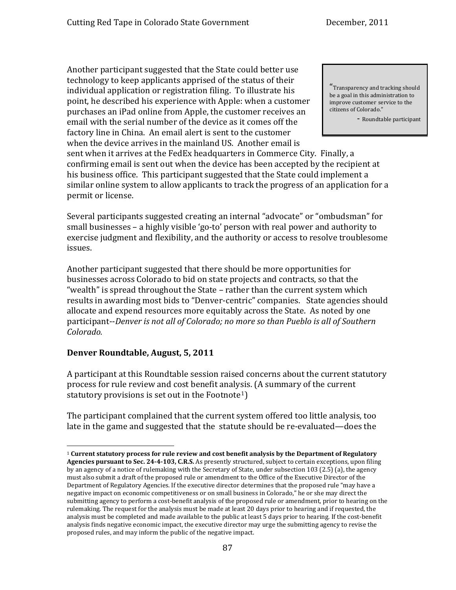Another participant suggested that the State could better use technology to keep applicants apprised of the status of their individual application or registration filing. To illustrate his point, he described his experience with Apple: when a customer purchases an iPad online from Apple, the customer receives an email with the serial number of the device as it comes off the factory line in China. An email alert is sent to the customer when the device arrives in the mainland US. Another email is

sent when it arrives at the FedEx headquarters in Commerce City. Finally, a confirming email is sent out when the device has been accepted by the recipient at his business office. This participant suggested that the State could implement a similar online system to allow applicants to track the progress of an application for a permit or license.

Several participants suggested creating an internal "advocate" or "ombudsman" for small businesses – a highly visible 'go-to' person with real power and authority to exercise judgment and flexibility, and the authority or access to resolve troublesome issues.

Another participant suggested that there should be more opportunities for businesses across Colorado to bid on state projects and contracts, so that the "wealth" is spread throughout the State – rather than the current system which results in awarding most bids to "Denver‐centric" companies. State agencies should allocate and expend resources more equitably across the State. As noted by one articipant‐‐*Denver is not all of Colorado; no more so than Pueblo is all of Southern* p *olorado. C*

#### **Denver Roundtable, August, 5, 2011**

A participant at this Roundtable session raised concerns about the current statutory process for rule review and cost benefit analysis. (A summary of the current statutory provisions is set out in the Footnote<sup>1</sup>)

The participant complained that the current system offered too little analysis, too late in the game and suggested that the statute should be re-evaluated—does the

"Transparency and tracking should be a goal in this administration to improve customer service to the citizens of Colorado."

‐ Roundtable participant

<sup>1</sup> **Current statutory process for rule review and cost benefit analysis by the Department of Regulatory Agencies pursuant to Sec. 244103, C.R.S.** As presently structured, subject to certain exceptions, upon filing by an agency of a notice of rulemaking with the Secretary of State, under subsection 103 (2.5) (a), the agency must also submit a draft of the proposed rule or amendment to the Office of the Executive Director of the Department of Regulatory Agencies. If the executive director determines that the proposed rule "may have a negative impact on economic competitiveness or on small business in Colorado," he or she may direct the submitting agency to perform a cost‐benefit analysis of the proposed rule or amendment, prior to hearing on the rulemaking. The request for the analysis must be made at least 20 days prior to hearing and if requested, the analysis must be completed and made available to the public at least 5 days prior to hearing. If the cost-benefit analysis finds negative economic impact, the executive director may urge the submitting agency to revise the proposed rules, and may inform the public of the negative impact.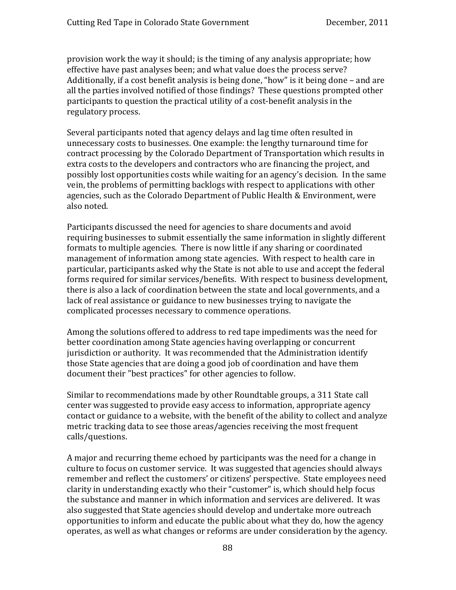provision work the way it should; is the timing of any analysis appropriate; how effective have past analyses been; and what value does the process serve? Additionally, if a cost benefit analysis is being done, "how" is it being done – and are all the parties involved notified of those findings? These questions prompted other participants to question the practical utility of a cost‐benefit analysis in the regulatory process.

Several participants noted that agency delays and lag time often resulted in unnecessary costs to businesses. One example: the lengthy turnaround time for contract processing by the Colorado Department of Transportation which results in extra costs to the developers and contractors who are financing the project, and possibly lost opportunities costs while waiting for an agency's decision. In the same vein, the problems of permitting backlogs with respect to applications with other agencies, such as the Colorado Department of Public Health & Environment, were also noted.

Participants discussed the need for agencies to share documents and avoid requiring businesses to submit essentially the same information in slightly different formats to multiple agencies. There is now little if any sharing or coordinated management of information among state agencies. With respect to health care in particular, participants asked why the State is not able to use and accept the federal forms required for similar services/benefits. With respect to business development, there is also a lack of coordination between the state and local governments, and a lack of real assistance or guidance to new businesses trying to navigate the complicated processes necessary to commence operations.

Among the solutions offered to address to red tape impediments was the need for better coordination among State agencies having overlapping or concurrent jurisdiction or authority. It was recommended that the Administration identify those State agencies that are doing a good job of coordination and have them document their "best practices" for other agencies to follow.

calls/questions. Similar to recommendations made by other Roundtable groups, a 311 State call center was suggested to provide easy access to information, appropriate agency contact or guidance to a website, with the benefit of the ability to collect and analyze metric tracking data to see those areas/agencies receiving the most frequent

A major and recurring theme echoed by participants was the need for a change in culture to focus on customer service. It was suggested that agencies should always remember and reflect the customers' or citizens' perspective. State employees need clarity in understanding exactly who their "customer" is, which should help focus the substance and manner in which information and services are delivered. It was also suggested that State agencies should develop and undertake more outreach opportunities to inform and educate the public about what they do, how the agency operates, as well as what changes or reforms are under consideration by the agency.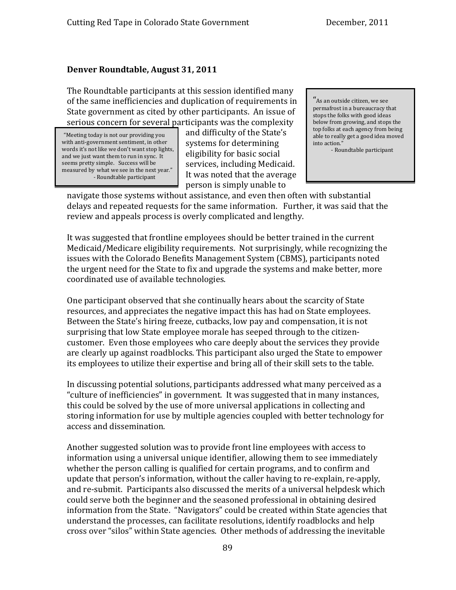#### **Denver Roundtable, August 31, 2011**

The Roundtable participants at this session identified many of the same inefficiencies and duplication of requirements in State government as cited by other participants. An issue of serious concern for several participants was the complexity

"Meeting today is not our providing you with anti-government sentiment, in other words it's not like we don't want stop lights, and we just want them to run in sync. It measured by what we see in the next year." seems pretty simple. Success will be ‐ Roundtable participant

and difficulty of the State's systems for determining eligibility for basic social services, including Medicaid. It was noted that the average person is simply unable to

"As an outside citizen, we see permafrost in a bureaucracy that stops the folks with good ideas below from growing, and stops the top folks at each agency from being able to really get a good idea moved into action." ‐ Roundtable participant

navigate those systems without assistance, and even then often with substantial delays and repeated requests for the same information. Further, it was said that the review and appeals process is overly complicated and lengthy.

It was suggested that frontline employees should be better trained in the current Medicaid/Medicare eligibility requirements. Not surprisingly, while recognizing the issues with the Colorado Benefits Management System (CBMS), participants noted he urgent need for the State to fix and upgrade the systems and make better, more t coordinated use of available technologies.

One participant observed that she continually hears about the scarcity of State resources, and appreciates the negative impact this has had on State employees. Between the State's hiring freeze, cutbacks, low pay and compensation, it is not surprising that low State employee morale has seeped through to the citizencustomer. Even those employees who care deeply about the services they provide are clearly up against roadblocks. This participant also urged the State to empower its employees to utilize their expertise and bring all of their skill sets to the table.

access and dissemination. In discussing potential solutions, participants addressed what many perceived as a "culture of inefficiencies" in government. It was suggested that in many instances, this could be solved by the use of more universal applications in collecting and storing information for use by multiple agencies coupled with better technology for

Another suggested solution was to provide front line employees with access to information using a universal unique identifier, allowing them to see immediately whether the person calling is qualified for certain programs, and to confirm and update that person's information, without the caller having to re‐explain, re‐apply, and re‐submit. Participants also discussed the merits of a universal helpdesk which could serve both the beginner and the seasoned professional in obtaining desired information from the State. "Navigators" could be created within State agencies that understand the processes, can facilitate resolutions, identify roadblocks and help cross over "silos" within State agencies. Other methods of addressing the inevitable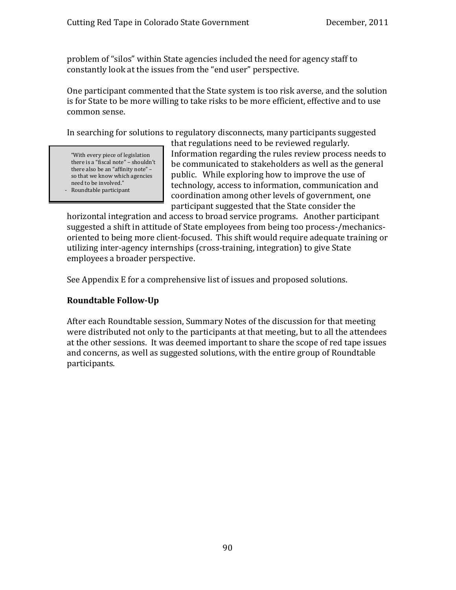problem of "silos" within State agencies included the need for agency staff to constantly look at the issues from the "end user" perspective.

One participant commented that the State system is too risk averse, and the solution is for State to be more willing to take risks to be more efficient, effective and to use common sense.

In searching for solutions to regulatory disconnects, many participants suggested

"With every piece of legislation there is a "fiscal note" – shouldn't there also be an "affinity note" – so that we know which agencies need to be involved." ‐ Roundtable participant

that regulations need to be reviewed regularly. Information regarding the rules review process needs to be communicated to stakeholders as well as the general public. While exploring how to improve the use of technology, access to information, communication and coordination among other levels of government, one participant suggested that the State consider the

horizontal integration and access to broad service programs. Another participant suggested a shift in attitude of State employees from being too process‐/mechanics‐ oriented to being more client‐focused. This shift would require adequate training or utilizing inter-agency internships (cross-training, integration) to give State employees a broader perspective.

See Appendix E for a comprehensive list of issues and proposed solutions.

#### **Roundtable FollowUp**

After each Roundtable session, Summary Notes of the discussion for that meeting were distributed not only to the participants at that meeting, but to all the attendees at the other sessions. It was deemed important to share the scope of red tape issues and concerns, as well as suggested solutions, with the entire group of Roundtable participants.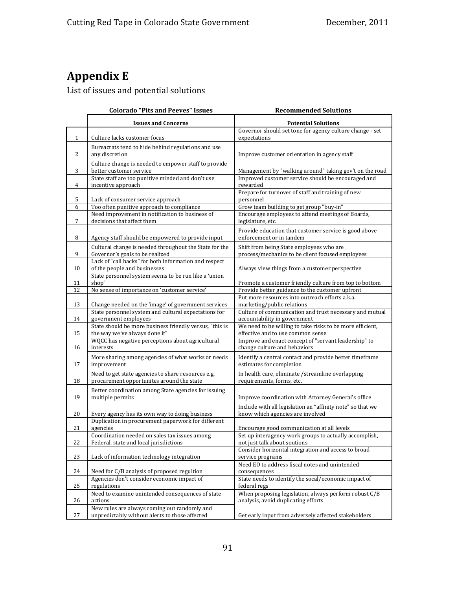# **Appendix E**

List of issues and potential solutions

|              | <b>Colorado "Pits and Peeves" Issues</b>                                                       | <b>Recommended Solutions</b>                                                                 |
|--------------|------------------------------------------------------------------------------------------------|----------------------------------------------------------------------------------------------|
|              | <b>Issues and Concerns</b>                                                                     | <b>Potential Solutions</b>                                                                   |
| $\mathbf{1}$ | Culture lacks customer focus                                                                   | Governor should set tone for agency culture change - set<br>expectations                     |
|              | Bureacrats tend to hide behind regulations and use                                             |                                                                                              |
| 2            | any discretion                                                                                 | Improve customer orientation in agency staff                                                 |
|              | Culture change is needed to empower staff to provide                                           |                                                                                              |
| 3            | better customer service                                                                        | Management by "walking around" taking gov't on the road                                      |
| 4            | State staff are too punitive minded and don't use<br>incentive approach                        | Improved customer service should be encouraged and<br>rewarded                               |
| 5            |                                                                                                | Prepare for turnover of staff and training of new<br>personnel                               |
| 6            | Lack of consumer service approach<br>Too often punitive approach to compliance                 | Grow team building to get group "buy-in"                                                     |
|              | Need improvement in notification to business of                                                | Encourage employees to attend meetings of Boards,                                            |
| 7            | decisions that affect them                                                                     | legislature, etc.                                                                            |
| 8            | Agency staff should be empowered to provide input                                              | Provide education that customer service is good above<br>enforcement or in tandem            |
| 9            | Cultural change is needed throughout the State for the<br>Governor's goals to be realized      | Shift from being State employees who are<br>process/mechanics to be client focused employees |
|              | Lack of "call backs" for both information and respect                                          |                                                                                              |
| 10           | of the people and businesses<br>State personnel system seems to be run like a 'union           | Always view things from a customer perspective                                               |
| 11           | shop'                                                                                          | Promote a customer friendly culture from top to bottom                                       |
| 12           | No sense of importance on 'customer service'                                                   | Provide better guidance to the customer upfront                                              |
|              |                                                                                                | Put more resources into outreach efforts a.k.a.                                              |
| 13           | Change needed on the 'image' of government services                                            | marketing/public relations                                                                   |
| 14           | State personnel system and cultural expectations for<br>government employees                   | Culture of communication and trust necessary and mutual<br>accountability in government      |
|              | State should be more business friendly versus, "this is                                        | We need to be willing to take risks to be more efficient,                                    |
| 15           | the way we've always done it"                                                                  | effective and to use common sense                                                            |
|              | WQCC has negative perceptions about agricultural                                               | Improve and enact concept of "servant leadership" to                                         |
| 16           | interests                                                                                      | change culture and behaviors                                                                 |
| 17           | More sharing among agencies of what works or needs<br>improvement                              | Identify a central contact and provide better timeframe<br>estimates for completion          |
|              | Need to get state agencies to share resources e.g.                                             | In health care, eliminate /streamline overlapping                                            |
| 18           | procurement opportunites around the state                                                      | requirements, forms, etc.                                                                    |
| 19           | Better coordination among State agencies for issuing<br>multiple permits                       | Improve coordination with Attorney General's office                                          |
|              |                                                                                                | Include with all legislation an "affinity note" so that we                                   |
| 20           | Every agency has its own way to doing business                                                 | know which agencies are involved                                                             |
|              | Duplication in procurement paperwork for different                                             |                                                                                              |
| 21           | agencies<br>Coordination needed on sales tax issues among                                      | Encourage good communication at all levels                                                   |
| 22           | Federal, state and local jurisdictions                                                         | Set up interagency work groups to actually accomplish,<br>not just talk about soutions       |
|              |                                                                                                | Consider horizontal integration and access to broad                                          |
| 23           | Lack of information technology integration                                                     | service programs<br>Need EO to address fiscal notes and unintended                           |
| 24           | Need for C/B analysis of proposed regultion                                                    | consequences                                                                                 |
|              | Agencies don't consider economic impact of                                                     | State needs to identify the socal/economic impact of                                         |
| 25           | regulations                                                                                    | federal regs                                                                                 |
|              | Need to examine unintended consequences of state                                               | When proposing legislation, always perform robust C/B                                        |
| 26           | actions                                                                                        | analysis, avoid duplicating efforts                                                          |
| 27           | New rules are always coming out randomly and<br>unpredictably without alerts to those affected | Get early input from adversely affected stakeholders                                         |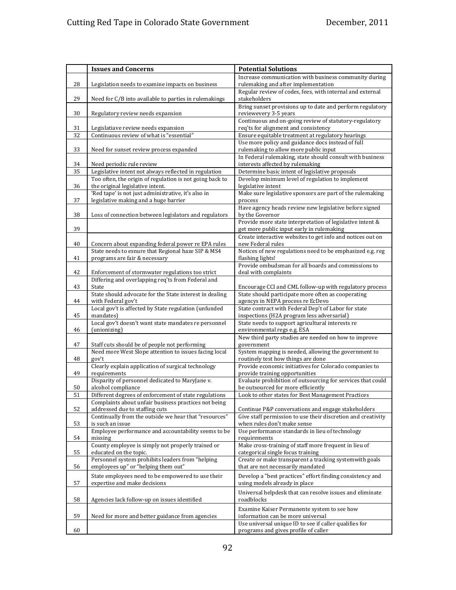|    | <b>Issues and Concerns</b>                                                                                        | <b>Potential Solutions</b>                                                                             |
|----|-------------------------------------------------------------------------------------------------------------------|--------------------------------------------------------------------------------------------------------|
| 28 | Legislation needs to examine impacts on business                                                                  | Increase communication with business community during<br>rulemaking and after implementation           |
| 29 | Need for C/B into available to parties in rulemakings                                                             | Regular review of codes, fees, with internal and external<br>stakeholders                              |
| 30 | Regulatory review needs expansion                                                                                 | Bring sunset provisions up to date and perform regulatory<br>reviewevery 3-5 years                     |
| 31 | Legislatiave review needs expansion                                                                               | Continuous and on-going review of statutory-regulatory<br>req'ts for alignment and consistency         |
| 32 | Continuous review of what is "essential"                                                                          | Ensure equitable treatment at regulatory hearings                                                      |
|    |                                                                                                                   | Use more policy and guidance docs instead of full                                                      |
| 33 | Need for sunset review process expanded                                                                           | rulemaking to allow more public input                                                                  |
|    |                                                                                                                   | In Federal rulemaking, state should consult with business                                              |
| 34 | Need periodic rule review                                                                                         | interests affected by rulemaking                                                                       |
| 35 | Legislative intent not always reflected in regulation<br>Too often, the origin of regulation is not going back to | Determine basic intent of legislative proposals<br>Develop minimum level of regulation to implement    |
| 36 | the original legislative intent.                                                                                  | legislative intent                                                                                     |
|    | 'Red tape' is not just administrative, it's also in                                                               | Make sure legislative sponsors are part of the rulemaking                                              |
| 37 | legislative making and a huge barrier                                                                             | process                                                                                                |
| 38 | Loss of connection between legislators and regulators                                                             | Have agency heads review new legislative before signed<br>by the Governor                              |
| 39 |                                                                                                                   | Provide more state interpretation of legislative intent &<br>get more public input early in rulemaking |
|    |                                                                                                                   | Create interactive websites to get info and notices out on                                             |
| 40 | Concern about expanding federal power re EPA rules<br>State needs to esnure that Regional haze SIP & MS4          | new Federal rules<br>Notices of new regulations need to be emphasized e.g. reg                         |
| 41 | programs are fair & necessary                                                                                     | flashing lights!                                                                                       |
| 42 | Enforcement of stormwater regulations too strict                                                                  | Provide ombudsman for all boards and commissions to<br>deal with complaints                            |
|    | Differing and overlapping req'ts from Federal and                                                                 |                                                                                                        |
| 43 | State                                                                                                             | Encourage CCI and CML follow-up with regulatory process                                                |
| 44 | State should advocate for the State interest in dealing<br>with Federal gov't                                     | State should participate more often as cooperating<br>agencys in NEPA process re EcDevo                |
| 45 | Local gov't is affected by State regulation (unfunded<br>mandates)                                                | State contract with Federal Dep't of Labor for state<br>inspections (H2A program less adversarial)     |
| 46 | Local gov't doesn't want state mandates re personnel<br>(unionizing)                                              | State needs to support agricultural interests re<br>environmental regs e.g. ESA                        |
|    |                                                                                                                   | New third party studies are needed on how to improve                                                   |
| 47 | Staff cuts should be of people not performing                                                                     | government                                                                                             |
| 48 | Need more West Slope attention to issues facing local<br>gov't                                                    | System mapping is needed, allowing the government to<br>routinely test how things are done             |
| 49 | Clearly explain application of surgical technology<br>requirements                                                | Provide economic initiatives for Colorado companies to<br>provide training opportunities               |
|    | Disparity of personnel dedicated to MaryJane v.                                                                   | Evaluate prohibition of outsourcing for services that could                                            |
| 50 | alcohol compliance                                                                                                | be outsourced for more efficiently                                                                     |
| 51 | Different degrees of enforcement of state regulations                                                             | Look to other states for Best Management Practices                                                     |
| 52 | Complaints about unfair business practices not being<br>addressed due to staffing cuts                            | Continue P&P conversations and engage stakeholders                                                     |
|    | Continually from the outside we hear that "resources"                                                             | Give staff permission to use their discretion and creativity                                           |
| 53 | is such an issue                                                                                                  | when rules don't make sense                                                                            |
| 54 | Employee performance and accountability seems to be<br>missing                                                    | Use performance standards in lieu of technology<br>requirements                                        |
| 55 | County employee is simply not properly trained or<br>educated on the topic.                                       | Make cross-training of staff more frequent in lieu of<br>categorical single focus training             |
| 56 | Personnel system prohibits leaders from "helping<br>employees up" or "helping them out"                           | Create or make transparent a tracking systemwith goals<br>that are not necessarily mandated            |
|    | State employees need to be empowered to use their                                                                 | Develop a "best practices" effort finding consistency and                                              |
| 57 | expertise and make decisions                                                                                      | using models already in place<br>Universal helpdesk that can resolve issues and eliminate              |
| 58 | Agencies lack follow-up on issues identified                                                                      | roadblocks                                                                                             |
| 59 | Need for more and better guidance from agencies                                                                   | Examine Kaiser Permanente system to see how<br>information can be more universal                       |
|    |                                                                                                                   | Use universal unique ID to see if caller qualifies for                                                 |
| 60 |                                                                                                                   | programs and gives profile of caller                                                                   |